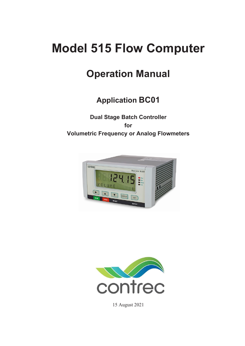# **Model 515 Flow Computer**

# **Operation Manual**

# **Application BC01**

**Dual Stage Batch Controller for Volumetric Frequency or Analog Flowmeters**





15 August 2021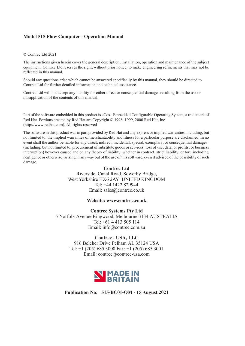#### **Model 515 Flow Computer - Operation Manual**

#### © Contrec Ltd 2021

The instructions given herein cover the general description, installation, operation and maintenance of the subject equipment. Contrec Ltd reserves the right, without prior notice, to make engineering refinements that may not be reflected in this manual.

Should any questions arise which cannot be answered specifically by this manual, they should be directed to Contrec Ltd for further detailed information and technical assistance.

Contrec Ltd will not accept any liability for either direct or consequential damages resulting from the use or misapplication of the contents of this manual.

Part of the software embedded in this product is eCos - Embedded Configurable Operating System, a trademark of Red Hat. Portions created by Red Hat are Copyright © 1998, 1999, 2000 Red Hat, Inc. (http://www.redhat.com). All rights reserved

The software in this product was in part provided by Red Hat and any express or implied warranties, including, but not limited to, the implied warranties of merchantability and fitness for a particular purpose are disclaimed. In no event shall the author be liable for any direct, indirect, incidental, special, exemplary, or consequential damages (including, but not limited to, procurement of substitute goods or services; loss of use, data, or profits; or business interruption) however caused and on any theory of liability, whether in contract, strict liability, or tort (including negligence or otherwise) arising in any way out of the use of this software, even if advised of the possibility of such damage.

#### **Contrec Ltd**

Riverside, Canal Road, Sowerby Bridge, West Yorkshire HX6 2AY UNITED KINGDOM Tel: +44 1422 829944 Email: sales@contrec.co.uk

#### **Website: www.contrec.co.uk**

**Contrec Systems Pty Ltd** 5 Norfolk Avenue Ringwood, Melbourne 3134 AUSTRALIA Tel: +61 4 413 505 114 Email: info@contrec.com.au

### **Contrec - USA, LLC**

916 Belcher Drive Pelham AL 35124 USA Tel: +1 (205) 685 3000 Fax: +1 (205) 685 3001 Email: contrec@contrec-usa.com



**Publication No: 515-BC01-OM - 15 August 2021**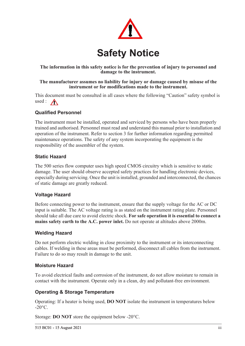

### **The information in this safety notice is for the prevention of injury to personnel and damage to the instrument.**

#### **The manufacturer assumes no liability for injury or damage caused by misuse of the instrument or for modifications made to the instrument.**

This document must be consulted in all cases where the following "Caution" safety symbol is used :  $\bigwedge$ 

### **Qualified Personnel**

The instrument must be installed, operated and serviced by persons who have been properly trained and authorised. Personnel must read and understand this manual prior to installation and operation of the instrument. Refer to section 3 for further information regarding permitted maintenance operations. The safety of any system incorporating the equipment is the responsibility of the assembler of the system.

### **Static Hazard**

The 500 series flow computer uses high speed CMOS circuitry which is sensitive to static damage. The user should observe accepted safety practices for handling electronic devices, especially during servicing. Once the unit is installed, grounded and interconnected, the chances of static damage are greatly reduced.

### **Voltage Hazard**

Before connecting power to the instrument, ensure that the supply voltage for the AC or DC input is suitable. The AC voltage rating is as stated on the instrument rating plate. Personnel should take all due care to avoid electric shock. **For safe operation it is essential to connect a mains safety earth to the A.C. power inlet.** Do not operate at altitudes above 2000m.

### **Welding Hazard**

Do not perform electric welding in close proximity to the instrument or its interconnecting cables. If welding in these areas must be performed, disconnect all cables from the instrument. Failure to do so may result in damage to the unit.

### **Moisture Hazard**

To avoid electrical faults and corrosion of the instrument, do not allow moisture to remain in contact with the instrument. Operate only in a clean, dry and pollutant-free environment.

### **Operating & Storage Temperature**

Operating: If a heater is being used, **DO NOT** isolate the instrument in temperatures below  $-20^{\circ}$ C.

Storage: **DO NOT** store the equipment below -20°C.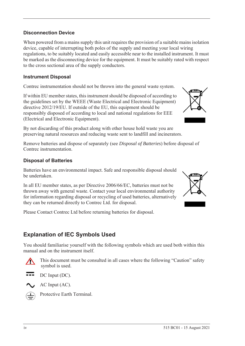### **Disconnection Device**

When powered from a mains supply this unit requires the provision of a suitable mains isolation device, capable of interrupting both poles of the supply and meeting your local wiring regulations, to be suitably located and easily accessible near to the installed instrument. It must be marked as the disconnecting device for the equipment. It must be suitably rated with respect to the cross sectional area of the supply conductors.

### **Instrument Disposal**

Contrec instrumentation should not be thrown into the general waste system.

If within EU member states, this instrument should be disposed of according to the guidelines set by the WEEE (Waste Electrical and Electronic Equipment) directive 2012/19/EU. If outside of the EU, this equipment should be responsibly disposed of according to local and national regulations for EEE (Electrical and Electronic Equipment).

By not discarding of this product along with other house hold waste you are preserving natural resources and reducing waste sent to landfill and incinerators.

Remove batteries and dispose of separately (see *Disposal of Batteries*) before disposal of Contrec instrumentation.

### **Disposal of Batteries**

Batteries have an environmental impact. Safe and responsible disposal should be undertaken.

In all EU member states, as per Directive 2006/66/EC, batteries must not be thrown away with general waste. Contact your local environmental authority for information regarding disposal or recycling of used batteries, alternatively they can be returned directly to Contrec Ltd. for disposal.

Please Contact Contrec Ltd before returning batteries for disposal.

# **Explanation of IEC Symbols Used**

You should familiarise yourself with the following symbols which are used both within this manual and on the instrument itself.

 This document must be consulted in all cases where the following "Caution" safety symbol is used.







Protective Earth Terminal.



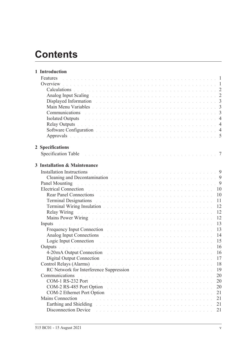# **Contents**

|   | 1 Introduction                                                                                                                                                                                                                 |    |
|---|--------------------------------------------------------------------------------------------------------------------------------------------------------------------------------------------------------------------------------|----|
|   | Features<br>. The contract of the contract of the contract of the contract of the contract of $\mathcal{A}$                                                                                                                    |    |
|   |                                                                                                                                                                                                                                |    |
|   |                                                                                                                                                                                                                                |    |
|   | Analog Input Scaling (and a contract of the contract of the contract of the contract of 2                                                                                                                                      |    |
|   | Displayed Information and the contract of the contract of the contract of the contract of the 3                                                                                                                                |    |
|   |                                                                                                                                                                                                                                |    |
|   | Communications des constructions and construction of the construction of the construction of 3                                                                                                                                 |    |
|   | Isolated Outputs and a contract the contract of the contract of the contract of the contract of the 4                                                                                                                          |    |
|   |                                                                                                                                                                                                                                |    |
|   |                                                                                                                                                                                                                                |    |
|   | Approvals received a construction of the contract of the construction of 5                                                                                                                                                     |    |
|   | 2 Specifications                                                                                                                                                                                                               |    |
|   |                                                                                                                                                                                                                                |    |
|   |                                                                                                                                                                                                                                |    |
| 3 | <b>Installation &amp; Maintenance</b>                                                                                                                                                                                          |    |
|   | <b>Installation Instructions</b>                                                                                                                                                                                               |    |
|   | Cleaning and Decontamination and the contract of the contract of the contract of the state of the Second Second Second Second Second Second Second Second Second Second Second Second Second Second Second Second Second Secon |    |
|   | Panel Mounting research and contract the contract of the contract of the contract of the P                                                                                                                                     |    |
|   | Electrical Connection and a constant of the contract of the contract of the contract of the contract of the contract of the contract of the contract of the contract of the contract of the contract of the contract of the co |    |
|   |                                                                                                                                                                                                                                |    |
|   | Terminal Designations and a contract the contract of the contract of the contract of the contract of the contract of the contract of the contract of the contract of the contract of the contract of the contract of the contr | 11 |
|   | Terminal Wiring Insulation and a contract of the contract of the contract of the contract of the contract of the contract of the contract of the contract of the contract of the contract of the contract of the contract of t | 12 |
|   |                                                                                                                                                                                                                                | 12 |
|   | Mains Power Wiring <b>Experience Communication</b> Communication Communication Communication Communication Communication                                                                                                       | 12 |
|   | and the contract of the contract of the contract of the contract of the contract of the contract of the contract<br>Inputs                                                                                                     | 13 |
|   | Frequency Input Connection and a construction of the contract of the contract of the contract of the contract of the contract of the contract of the contract of the contract of the contract of the contract of the contract  | 13 |
|   | Analog Input Connections and a contract the contract of the contract of the contract of the contract of the contract of the contract of the contract of the contract of the contract of the contract of the contract of the co | 14 |
|   | Logic Input Connection and the contract of the contract of the contract of the contract of the contract of the                                                                                                                 | 15 |
|   |                                                                                                                                                                                                                                | 16 |
|   | 4-20 mA Output Connection                                                                                                                                                                                                      |    |
|   | Digital Output Connection and a construction of the contract of the contract of the contract of the contract of                                                                                                                | 17 |
|   | Control Relays (Alarms) and a control of the control of the control of the control of the control of the control of the control of the control of the control of the control of the control of the control of the control of t | 18 |
|   | RC Network for Interference Suppression and a contract to the contract of the set of the set of the set of the                                                                                                                 | 19 |
|   | Communications<br>.<br>In the company of the company of the company of the company of the company of the company of the company of th                                                                                          | 20 |
|   | COM-1 RS-232 Port                                                                                                                                                                                                              | 20 |
|   | COM-2 RS-485 Port Option                                                                                                                                                                                                       | 20 |
|   | COM-2 Ethernet Port Option                                                                                                                                                                                                     | 21 |
|   | <b>Mains Connection</b><br>a consideration de la construction de la consideration de la consideration de la consideration de la considera                                                                                      | 21 |
|   | Earthing and Shielding Theorem 2014 Contract the Community of the Community of the Community of the Community of the Community of the Community of the Community of the Community of the Community of the Community of the Com | 21 |
|   | Disconnection Device and a construction of the construction of the construction of the construction of the construction of the construction of the construction of the construction of the construction of the construction of | 21 |
|   |                                                                                                                                                                                                                                |    |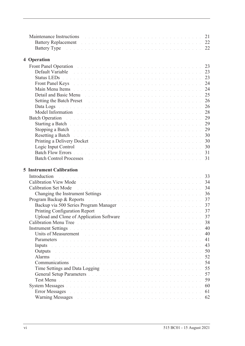| Maintenance Instructions<br>Battery Replacement and a contract of the contract of the contract of the contract of the 22<br>Battery Type decree in the contract of the contract of the contract of the contract of the 22      | 21 |
|--------------------------------------------------------------------------------------------------------------------------------------------------------------------------------------------------------------------------------|----|
| 4 Operation                                                                                                                                                                                                                    |    |
| Front Panel Operation and a contract the contract of the contract of the contract of the 23                                                                                                                                    |    |
| Default Variable and a contract the contract of the contract of the contract of 23                                                                                                                                             |    |
| Status LEDs <b>Election Community 23</b> Status 2014 12:00 August 23                                                                                                                                                           |    |
| Front Panel Keys and a contract the contract of the contract of the contract of 24                                                                                                                                             |    |
| Main Menu Items research and the contract of the contract of the contract of the 24                                                                                                                                            |    |
| Detail and Basic Menu received and the contract of the contract of the contract of the 25                                                                                                                                      |    |
| Setting the Batch Preset entering the setting the Batch Preset entering the Batch Preset entering the Setting                                                                                                                  |    |
| Data Logs de la componentación de la componentación de la componentación de 26                                                                                                                                                 |    |
|                                                                                                                                                                                                                                |    |
| Batch Operation and a contract the contract of the contract of the contract of the 29                                                                                                                                          |    |
|                                                                                                                                                                                                                                |    |
| Stopping a Batch and a contract the contract of the contract of the contract of the 29                                                                                                                                         |    |
| Resetting a Batch research and the contract of the contract of the contract of the 30                                                                                                                                          |    |
| Printing a Delivery Docket and a subsequently and the set of the set of the set of the set of the 30                                                                                                                           |    |
| Logic Input Control and the contract of the contract of the contract of the contract of the 30                                                                                                                                 |    |
|                                                                                                                                                                                                                                |    |
| Batch Control Processes and a control of the control of the control of the control of the control of the control of the control of the control of the control of the control of the control of the control of the control of t |    |
| <b>5 Instrument Calibration</b>                                                                                                                                                                                                |    |
| Introduction                                                                                                                                                                                                                   |    |
| Calibration View Mode entry the contract of the contract of the state of the state of the state of the state of the state of the state of the state of the state of the state of the state of the state of the state of the st |    |
|                                                                                                                                                                                                                                |    |
| Changing the Instrument Settings and a contract of the contract of the settings of the settings of the contract of the settings of the settings of the settings of the settings of the settings of the settings of the setting |    |
| Program Backup & Reports and the contract of the contract of the contract of the 27                                                                                                                                            |    |
|                                                                                                                                                                                                                                |    |
| Printing Configuration Report <b>Constantine Constantine Configuration Report</b> 2003 and 2004 and 2005 and 2007 and 201                                                                                                      |    |
| Upload and Clone of Application Software and a substitution of the state of the state of the state of the state of the state of the state of the state of the state of the state of the state of the state of the state of the | 37 |
| Calibration Menu Tree Albert and albert and albert and albert and albert and albert and                                                                                                                                        | 38 |
|                                                                                                                                                                                                                                | 40 |
| Units of Measurement<br>.<br>In the second complete state of the second complete state of the second complete state of the second complete                                                                                     | 40 |
| Parameters<br>de la caractería de la caractería de la caractería de la caractería                                                                                                                                              | 41 |
| Inputs<br>de la caractería de la caractería de la caractería de la caractería de la caractería de la caractería                                                                                                                | 43 |
| Outputs<br>and the second contract of the second contract of the second contract of the second contract of the second con                                                                                                      | 50 |
| Alarms<br>والمتواطن والمتواطن والمتواطن والمتواطن والمتواطن والمتواطن والمتواطن والمتواطن والمتواطن والمتواطن والمتواطن                                                                                                        | 52 |
| Communications<br>relative to the contract of the contract of the contract of the contract of the contract of                                                                                                                  | 54 |
| Time Settings and Data Logging and Library and the contract of the settings and Data Logging                                                                                                                                   | 55 |
| General Setup Parameters and a contract of the contract of the contract of the contract of the contract of the                                                                                                                 | 57 |
| Test Menu de la componencia de la componencia de la componencia de la componencia                                                                                                                                              | 59 |
| System Messages and a contract the contract of the contract of the contract of the contract of the contract of                                                                                                                 | 60 |
| <b>Error Messages</b><br>and the contract of the contract of the contract of the contract of the contract of the contract of the contract of                                                                                   | 61 |
| Warning Messages and a contract the contract of the contract of the contract of the contract of the contract of the contract of the contract of the contract of the contract of the contract of the contract of the contract o | 62 |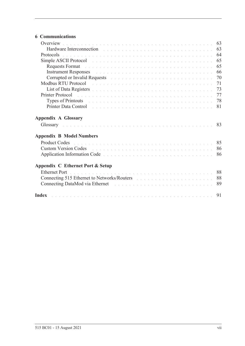## **[6 Communications](#page-72-0)**

|                                                                                                                                                                                                                                | 63 |
|--------------------------------------------------------------------------------------------------------------------------------------------------------------------------------------------------------------------------------|----|
| Hardware Interconnection and a construction of the construction of the construction of the construction of the                                                                                                                 | 63 |
| Protocols and an annual contract of the contract of the contract of the contract of the contract of the contract of the contract of the contract of the contract of the contract of the contract of the contract of the contra | 64 |
| Simple ASCII Protocol and a construction of the construction of the construction of the construction of the construction of the construction of the construction of the construction of the construction of the construction o | 65 |
|                                                                                                                                                                                                                                | 65 |
| Instrument Responses and the contract of the contract of the contract of the contract of the contract of the contract of the contract of the contract of the contract of the contract of the contract of the contract of the c | 66 |
| Corrupted or Invalid Requests and a contract to the contract of the contract of the                                                                                                                                            | 70 |
| Modbus RTU Protocol and all contained to the containing the contact and the contact of the Taurus of The Model                                                                                                                 |    |
| List of Data Registers and a contract the contract of the contract of the contract of the contract of the contract of the contract of the contract of the contract of the contract of the contract of the contract of the cont | 73 |
| Printer Protocol and a construction of the construction of the construction of the construction of the construction of the construction of the construction of the construction of the construction of the construction of the |    |
| Types of Printouts and a contract the contract of the contract of the contract of the Table                                                                                                                                    |    |
| Printer Data Control entre a series and a series of the series of the series of the series of the series of the                                                                                                                | 81 |
| <b>Appendix A Glossary</b>                                                                                                                                                                                                     |    |
| Glossary and a communication of the communication of the communication of the communication of the communication of the communication of the communication of the communication of the communication of the communication of t | 83 |
| <b>Appendix B Model Numbers</b>                                                                                                                                                                                                |    |
| Product Codes And Andrew March 2014 (1996) and Andrew March 2015 (1996) and Andrew March 2015                                                                                                                                  | 85 |
| Custom Version Codes and a contract the contract of the contract of the contract of the contract of the contract of the contract of the contract of the contract of the contract of the contract of the contract of the contra | 86 |
|                                                                                                                                                                                                                                | 86 |
| Appendix C Ethernet Port & Setup                                                                                                                                                                                               |    |
|                                                                                                                                                                                                                                | 88 |
| Ethernet Port and a communication of the communication of the communication of the communication of the communication                                                                                                          |    |
| Connecting 515 Ethernet to Networks/Routers and a substantial contract to the contract of                                                                                                                                      | 88 |
| Connecting DataMod via Ethernet Marian and a connection of the Connecting DataMod via Ethernet Maria and a connection of the Connection of the Connection of the Connection of the Connection of the Connection of the Connect | 89 |
| Index and a construction of the construction of the construction of the construction of $91$                                                                                                                                   |    |
|                                                                                                                                                                                                                                |    |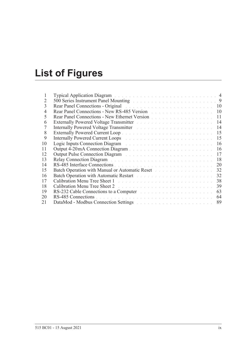# **List of Figures**

| 1  | Typical Application Diagram and a contract of the contract of the contract of the contract of the contract of the contract of the contract of the contract of the contract of the contract of the contract of the contract of  | $\overline{4}$ |
|----|--------------------------------------------------------------------------------------------------------------------------------------------------------------------------------------------------------------------------------|----------------|
| 2  | 500 Series Instrument Panel Mounting Material Communication of the Series of the Series of the Series of the S                                                                                                                 |                |
| 3  | Rear Panel Connections - Original and the connection of the connection of the connection of the connection of the connection of the connection of the connection of the connection of the connection of the connection of the  |                |
| 4  | Rear Panel Connections - New RS-485 Version                                                                                                                                                                                    | 10             |
| 5  | Rear Panel Connections - New Ethernet Version                                                                                                                                                                                  | 11             |
| 6  | Externally Powered Voltage Transmitter Marshall and Alexandre and Alexandre and Alexandre and Alexandre and Alexandre and Alexandre and Alexandre and Alexandre and Alexandre and Alexandre and Alexandre and Alexandre and Al | 14             |
| 7  | Internally Powered Voltage Transmitter Maria and American and American                                                                                                                                                         | 14             |
| 8  |                                                                                                                                                                                                                                | 15             |
| 9  | Internally Powered Current Loops and a substitution of the state of the state of the state of the state of the                                                                                                                 | 15             |
| 10 | Logic Inputs Connection Diagram and a connection of the Connection of the Connection of the Connection of the Connection of the Connection of the Connection of the Connection of the Connection of the Connection of the Conn | 16             |
| 11 |                                                                                                                                                                                                                                | 16             |
| 12 | Output Pulse Connection Diagram                                                                                                                                                                                                | 17             |
| 13 | Relay Connection Diagram and a connection of the connection of the connection of the connection of the connection of the connection of the connection of the connection of the connection of the connection of the connection  | 18             |
| 14 |                                                                                                                                                                                                                                | 20             |
| 15 | Batch Operation with Manual or Automatic Reset <b>Executive 2018</b> 1996                                                                                                                                                      | 32             |
| 16 | Batch Operation with Automatic Restart Marshall and Australian Australian Australian                                                                                                                                           | 32             |
| 17 | Calibration Menu Tree Sheet 1 and the contract of the contract of the contract of the Contract of the Contract of the Contract of the Contract of the Contract of the Contract of the Contract of the Contract of the Contract | 38             |
| 18 | Calibration Menu Tree Sheet 2 and the contract of the contract of the contract of the contract of the contract of the contract of the contract of the contract of the contract of the contract of the contract of the contract | 39             |
| 19 | RS-232 Cable Connections to a Computer and a substitution of the connection of the Connection of the Connection of the Connection of the Connection of the Connection of the Connection of the Connection of the Connection of | 63             |
| 20 |                                                                                                                                                                                                                                | 64             |
| 21 | DataMod - Modbus Connection Settings and a connection of the settings of the connection of the settings of the connection of the settings of the connection of the connection of the connection of the connection of the conne | 89             |
|    |                                                                                                                                                                                                                                |                |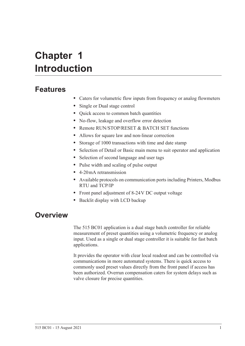# <span id="page-10-0"></span>**Chapter 1 Introduction**

# <span id="page-10-1"></span>**Features**

- **•** Caters for volumetric flow inputs from frequency or analog flowmeters
- **•** Single or Dual stage control
- **•** Quick access to common batch quantities
- No-flow, leakage and overflow error detection
- **•** Remote RUN/STOP/RESET & BATCH SET functions
- **•** Allows for square law and non-linear correction
- **•** Storage of 1000 transactions with time and date stamp
- **•** Selection of Detail or Basic main menu to suit operator and application
- **•** Selection of second language and user tags
- **•** Pulse width and scaling of pulse output
- **•** 4-20 mA retransmission
- **•** Available protocols on communication ports including Printers, Modbus RTU and TCP/IP
- **•** Front panel adjustment of 8-24 V DC output voltage
- **•** Backlit display with LCD backup

# <span id="page-10-2"></span>**Overview**

The 515 BC01 application is a dual stage batch controller for reliable measurement of preset quantities using a volumetric frequency or analog input. Used as a single or dual stage controller it is suitable for fast batch applications.

It provides the operator with clear local readout and can be controlled via communications in more automated systems. There is quick access to commonly used preset values directly from the front panel if access has been authorized. Overrun compensation caters for system delays such as valve closure for precise quantities.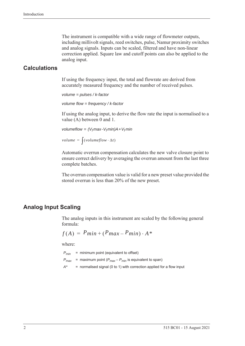The instrument is compatible with a wide range of flowmeter outputs, including millivolt signals, reed switches, pulse, Namur proximity switches and analog signals. Inputs can be scaled, filtered and have non-linear correction applied. Square law and cutoff points can also be applied to the analog input.

### <span id="page-11-0"></span>**Calculations**

If using the frequency input, the total and flowrate are derived from accurately measured frequency and the number of received pulses.

*volume = pulses / k-factor*

*volume flow = frequency / k-factor*

If using the analog input, to derive the flow rate the input is normalised to a value (A) between 0 and 1.

```
volumeflow = (V_fmax - V_fmin)A + V_fminvolume = \int (volumeflow \cdot \Delta t)
```
Automatic overrun compensation calculates the new valve closure point to ensure correct delivery by averaging the overrun amount from the last three complete batches.

The overrun compensation value is valid for a new preset value provided the stored overrun is less than 20% of the new preset.

### <span id="page-11-1"></span>**Analog Input Scaling**

The analog inputs in this instrument are scaled by the following general formula:

$$
f(A) = Pmin + (Pmax - Pmin) \cdot A^*
$$

where:

*Pmin* = minimum point (equivalent to offset)  $P_{max}$  = maximum point ( $P_{max} - P_{min}$  is equivalent to span)

*A\** = normalised signal (0 to 1) with correction applied for a flow input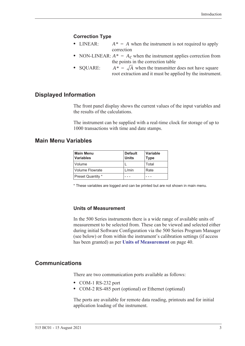### **Correction Type**

- LINEAR:  $A^* = A$  when the instrument is not required to apply correction
- NON-LINEAR:  $A^* = A_c$  when the instrument applies correction from the points in the correction table
- SQUARE:  $A^* = \sqrt{A}$  when the transmitter does not have square root extraction and it must be applied by the instrument.

# <span id="page-12-0"></span>**Displayed Information**

The front panel display shows the current values of the input variables and the results of the calculations.

The instrument can be supplied with a real-time clock for storage of up to 1000 transactions with time and date stamps.

### <span id="page-12-1"></span>**Main Menu Variables**

| <b>Main Menu</b><br>Variables | <b>Default</b><br><b>Units</b> | <b>Variable</b><br>Type |  |
|-------------------------------|--------------------------------|-------------------------|--|
| Volume                        |                                | Total                   |  |
| l Volume Flowrate             | L/min                          | Rate                    |  |
| Preset Quantity *             |                                |                         |  |

\* These variables are logged and can be printed but are not shown in main menu.

#### **Units of Measurement**

In the 500 Series instruments there is a wide range of available units of measurement to be selected from. These can be viewed and selected either during initial Software Configuration via the 500 Series Program Manager (see below) or from within the instrument's calibration settings (if access has been granted) as per **[Units of Measurement](#page-49-2)** on page 40.

### <span id="page-12-2"></span>**Communications**

There are two communication ports available as follows:

- **•** COM-1 RS-232 port
- **•** COM-2 RS-485 port (optional) or Ethernet (optional)

The ports are available for remote data reading, printouts and for initial application loading of the instrument.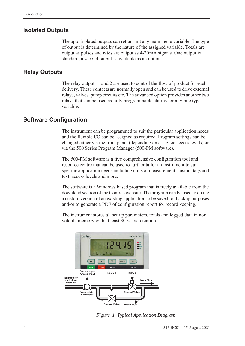# <span id="page-13-0"></span>**Isolated Outputs**

The opto-isolated outputs can retransmit any main menu variable. The type of output is determined by the nature of the assigned variable. Totals are output as pulses and rates are output as 4-20 mA signals. One output is standard, a second output is available as an option.

# <span id="page-13-1"></span>**Relay Outputs**

The relay outputs 1 and 2 are used to control the flow of product for each delivery. These contacts are normally open and can be used to drive external relays, valves, pump circuits etc. The advanced option provides another two relays that can be used as fully programmable alarms for any rate type variable.

# <span id="page-13-2"></span>**Software Configuration**

The instrument can be programmed to suit the particular application needs and the flexible I/O can be assigned as required. Program settings can be changed either via the front panel (depending on assigned access levels) or via the 500 Series Program Manager (500-PM software).

The 500-PM software is a free comprehensive configuration tool and resource centre that can be used to further tailor an instrument to suit specific application needs including units of measurement, custom tags and text, access levels and more.

The software is a Windows based program that is freely available from the download section of the Contrec website. The program can be used to create a custom version of an existing application to be saved for backup purposes and/or to generate a PDF of configuration report for record keeping.

The instrument stores all set-up parameters, totals and logged data in nonvolatile memory with at least 30 years retention.



<span id="page-13-3"></span>*Figure 1 Typical Application Diagram*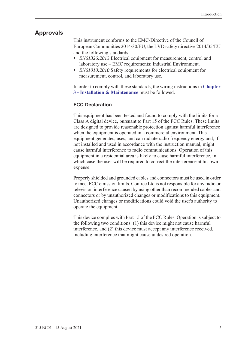## <span id="page-14-0"></span>**Approvals**

This instrument conforms to the EMC-Directive of the Council of European Communities 2014/30/EU, the LVD safety directive 2014/35/EU and the following standards:

- **•** *EN61326:2013* Electrical equipment for measurement, control and laboratory use – EMC requirements: Industrial Environment.
- *EN61010:2010* Safety requirements for electrical equipment for measurement, control, and laboratory use.

In order to comply with these standards, the wiring instructions in **[Chapter](#page-18-5)  [3 - Installation & Maintenance](#page-18-5)** must be followed.

### **FCC Declaration**

This equipment has been tested and found to comply with the limits for a Class A digital device, pursuant to Part 15 of the FCC Rules. These limits are designed to provide reasonable protection against harmful interference when the equipment is operated in a commercial environment. This equipment generates, uses, and can radiate radio frequency energy and, if not installed and used in accordance with the instruction manual, might cause harmful interference to radio communications. Operation of this equipment in a residential area is likely to cause harmful interference, in which case the user will be required to correct the interference at his own expense.

Properly shielded and grounded cables and connectors must be used in order to meet FCC emission limits. Contrec Ltd is not responsible for any radio or television interference caused by using other than recommended cables and connectors or by unauthorized changes or modifications to this equipment. Unauthorized changes or modifications could void the user's authority to operate the equipment.

This device complies with Part 15 of the FCC Rules. Operation is subject to the following two conditions: (1) this device might not cause harmful interference, and (2) this device must accept any interference received, including interference that might cause undesired operation.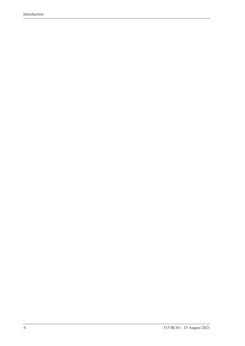Introduction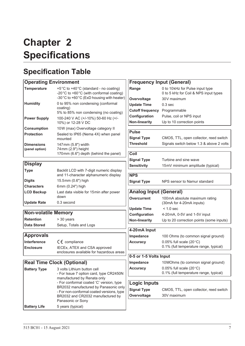# <span id="page-16-0"></span>**Chapter 2 Specifications**

# <span id="page-16-1"></span>**Specification Table**

#### **Operating Environment Temperature**  $+5^{\circ}$ C to  $+40^{\circ}$ C (standard - no coating) -20 °C to +60 °C (with conformal coating) -30 °C to +60 °C (ExD housing with heater) **Humidity** 0 to 95% non condensing (conformal coating) 5% to 85% non condensing (no coating) **Power Supply** 100-240 V AC (+/-10%) 50-60 Hz (+/- 10%) or 12-28 V DC **Consumption** 10W (max) Overvoltage category II **Protection** Sealed to IP65 (Nema 4X) when panel mounted **Dimensions (panel option)** 147 mm (5.8") width 74 mm (2.9") height 170 mm (6.6") depth (behind the panel) **Display Type** Backlit LCD with 7-digit numeric display and 11-character alphanumeric display **Digits** 15.5 mm (0.6") high **Characters** 6mm (0.24") high **LCD Backup** Last data visible for 15 min after power down **Update Rate** 0.3 second **Non-volatile Memory Retention** > 30 years **Data Stored** Setup, Totals and Logs **Approvals Interference** C E compliance **Enclosure** IECEx, ATEX and CSA approved enclosures available for hazardous areas **Real Time Clock (Optional) Battery Type** 3 volts Lithium button cell - For Issue 7 option card, type CR2450N manufactured by Renata only - For conformal coated 'C' version, type BR2032 manufactured by Panasonic only - For non-conformal coated versions, type BR2032 and CR2032 manufactured by Panasonic or Sony **Frequency Input (General) Range** 0 to 10 kHz for Pulse input type 0 to 5 kHz for Coil & NPS input types **Overvoltage** 30V maximum **Update Time** 0.3 sec **Cutoff frequency** Programmable **Configuration** Pulse, coil or NPS input **Non-linearity** Up to 10 correction points **Pulse Signal Type** CMOS, TTL, open collector, reed switch **Threshold** Signals switch below 1.3 & above 2 volts **Coil Signal Type** Turbine and sine wave **Sensitivity** 15mV minimum amplitude (typical) **NPS Signal Type** NPS sensor to Namur standard **Analog Input (General) Overcurrent** 100mA absolute maximum rating (30mA for 4-20mA inputs) **Update Time** < 1.0 sec **Configuration** 4-20 mA, 0-5V and 1-5V input **Non-linearity** Up to 20 correction points (some inputs) **4-20 mA Input Impedance** 100 Ohms (to common signal ground) **Accuracy** 0.05% full scale (20 °C) 0.1% (full temperature range, typical) **0-5 or 1-5 Volts Input Impedance** 10 MOhms (to common signal ground) **Accuracy** 0.05% full scale (20 °C) 0.1% (full temperature range, typical) **Logic Inputs Signal Type** CMOS, TTL, open collector, reed switch **Overvoltage** 30V maximum

**Battery Life** 5 years (typical)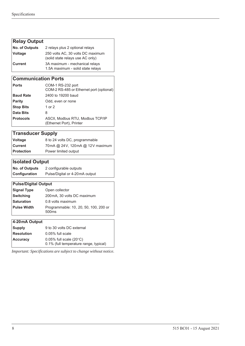# **Relay Output**

| <b>No. of Outputs</b> | 2 relays plus 2 optional relays                                       |  |  |  |
|-----------------------|-----------------------------------------------------------------------|--|--|--|
| Voltage               | 250 volts AC, 30 volts DC maximum<br>(solid state relays use AC only) |  |  |  |
| l Current l           | 3A maximum - mechanical relays<br>1.5A maximum - solid state relays   |  |  |  |

### **Communication Ports**

| ∣ Ports          | COM-1 RS-232 port<br>COM-2 RS-485 or Ethernet port (optional) |
|------------------|---------------------------------------------------------------|
| <b>Baud Rate</b> | 2400 to 19200 baud                                            |
| Parity           | Odd, even or none                                             |
| <b>Stop Bits</b> | 1 or 2                                                        |
| Data Bits        | 8                                                             |
| <b>Protocols</b> | ASCII, Modbus RTU, Modbus TCP/IP<br>(Ethernet Port), Printer  |

# **Transducer Supply**

| Voltage        | 8 to 24 volts DC, programmable  |
|----------------|---------------------------------|
| <b>Current</b> | 70mA @ 24V, 120mA @ 12V maximum |
| Protection     | Power limited output            |

# **Isolated Output**

| <b>No. of Outputs</b> | 2 configurable outputs         |  |  |  |  |
|-----------------------|--------------------------------|--|--|--|--|
| <b>Configuration</b>  | Pulse/Digital or 4-20mA output |  |  |  |  |

# **Pulse/Digital Output**

| <b>Signal Type</b> | Open collector                                             |  |  |  |  |  |
|--------------------|------------------------------------------------------------|--|--|--|--|--|
| <b>Switching</b>   | 200 mA, 30 volts DC maximum                                |  |  |  |  |  |
| <b>Saturation</b>  | 0.8 volts maximum                                          |  |  |  |  |  |
| <b>Pulse Width</b> | Programmable: 10, 20, 50, 100, 200 or<br>500 <sub>ms</sub> |  |  |  |  |  |
|                    |                                                            |  |  |  |  |  |

### **4-20 mA Output**

| <b>Supply</b>     | 9 to 30 volts DC external                                                  |  |  |  |  |
|-------------------|----------------------------------------------------------------------------|--|--|--|--|
| <b>Resolution</b> | $0.05\%$ full scale                                                        |  |  |  |  |
| <b>Accuracy</b>   | 0.05% full scale $(20^{\circ}C)$<br>0.1% (full temperature range, typical) |  |  |  |  |

*Important: Specifications are subject to change without notice.*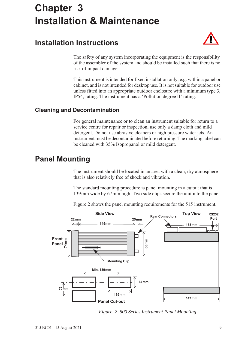# <span id="page-18-5"></span><span id="page-18-0"></span>**Chapter 3 Installation & Maintenance**

# <span id="page-18-1"></span>**Installation Instructions**



The safety of any system incorporating the equipment is the responsibility of the assembler of the system and should be installed such that there is no risk of impact damage.

This instrument is intended for fixed installation only, e.g. within a panel or cabinet, and is not intended for desktop use. It is not suitable for outdoor use unless fitted into an appropriate outdoor enclosure with a minimum type 3, IP54, rating. The instrument has a 'Pollution degree II' rating.

# <span id="page-18-2"></span>**Cleaning and Decontamination**

For general maintenance or to clean an instrument suitable for return to a service centre for repair or inspection, use only a damp cloth and mild detergent. Do not use abrasive cleaners or high pressure water jets. An instrument must be decontaminated before returning. The marking label can be cleaned with 35% Isopropanol or mild detergent.

# <span id="page-18-3"></span>**Panel Mounting**

The instrument should be located in an area with a clean, dry atmosphere that is also relatively free of shock and vibration.

The standard mounting procedure is panel mounting in a cutout that is 139 mm wide by 67 mm high. Two side clips secure the unit into the panel.



[Figure 2](#page-18-4) shows the panel mounting requirements for the 515 instrument.

<span id="page-18-4"></span>*Figure 2 500 Series Instrument Panel Mounting*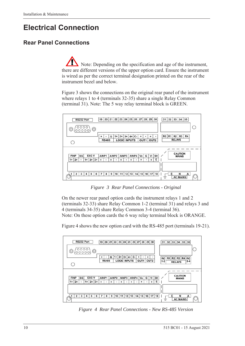# <span id="page-19-0"></span>**Electrical Connection**

# <span id="page-19-1"></span>**Rear Panel Connections**

Note: Depending on the specification and age of the instrument, there are different versions of the upper option card. Ensure the instrument is wired as per the correct terminal designation printed on the rear of the instrument bezel and below.

[Figure 3](#page-19-2) shows the connections on the original rear panel of the instrument where relays 1 to 4 (terminals 32-35) share a single Relay Common (terminal 31). Note: The 5 way relay terminal block is GREEN.



*Figure 3 Rear Panel Connections - Original*

<span id="page-19-2"></span>On the newer rear panel option cards the instrument relays 1 and 2 (terminals 32-33) share Relay Common 1-2 (terminal 31) and relays 3 and 4 (terminals 34-35) share Relay Common 3-4 (terminal 36). Note: On these option cards the 6 way relay terminal block is ORANGE.

[Figure 4](#page-19-3) shows the new option card with the RS-485 port (terminals 19-21).



<span id="page-19-3"></span>*Figure 4 Rear Panel Connections - New RS-485 Version*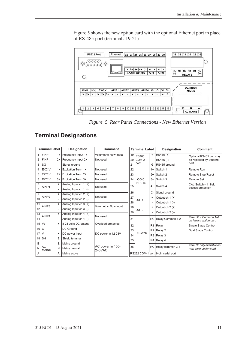[Figure 5](#page-20-1) shows the new option card with the optional Ethernet port in place of RS-485 port (terminals 19-21).



<span id="page-20-1"></span>*Figure 5 Rear Panel Connections - New Ethernet Version*

# <span id="page-20-0"></span>**Terminal Designations**

| <b>Terminal Label</b> |                        |                          | <b>Designation</b>        | <b>Comment</b>                    | <b>Terminal Label</b> |                  |                | <b>Designation</b>                 | <b>Comment</b>                                |
|-----------------------|------------------------|--------------------------|---------------------------|-----------------------------------|-----------------------|------------------|----------------|------------------------------------|-----------------------------------------------|
|                       | <b>FINP</b>            | $1+$                     | Frequency Input 1+        | <b>Volumetric Flow Input</b>      | 19                    | <b>RS485</b>     | $+$            | $RS485 (+)$                        | Optional RS485 port may                       |
| 2                     | <b>FINP</b>            | $2+$                     | Frequency Input 2+        | Not used                          | 20                    | COM-2            |                | RS485 (-)                          | be replaced by Ethernet                       |
| 3                     | $\overline{\text{SG}}$ | $\overline{\phantom{a}}$ | Signal ground             |                                   | 21                    | port             | G              | RS485 ground                       | port.                                         |
| 4                     | EXC V                  | $1+$                     | <b>Excitation Term 1+</b> | Not used                          | 22                    |                  | $1+$           | Switch 1                           | Remote Run                                    |
| 5                     | EXC V                  | $2+$                     | <b>Excitation Term 2+</b> | Not used                          | 23                    |                  | $2+$           | Switch 2                           | Remote Stop/Reset                             |
| 6                     | EXC V                  | $3+$                     | Excitation Term 3+        | Not used                          | 24                    | <b>LOGIC</b>     | $3+$           | Switch 3                           | Remote Set                                    |
| 7                     | AINP1                  | $\ddot{}$                | Analog Input ch $1 (+)$   | Not used                          | 25                    | <b>INPUTS</b>    | $4+$           | Switch 4                           | CAL Switch - In field                         |
| 8                     |                        |                          | Analog Input ch 1 (-)     |                                   |                       |                  |                |                                    | access protection                             |
| 9                     | AINP <sub>2</sub>      | $\ddot{}$                | Analog Input ch $2 (+)$   | Not used                          | 26                    |                  | $C-$           | Signal ground                      |                                               |
| 10                    |                        |                          | Analog Input ch 2 (-)     |                                   | $\overline{27}$       | OUT <sub>1</sub> | $\ddot{}$      | Output ch $1 (+)$                  |                                               |
| 11                    | AINP3                  | $\ddot{}$                | Analog Input ch $3 (+)$   |                                   | 28                    |                  |                | Output ch 1 (-)                    |                                               |
| 12                    |                        | $\overline{\phantom{a}}$ | Analog Input ch 3 (-)     | <b>Volumetric Flow Input</b>      | $\overline{29}$       | OUT <sub>2</sub> | $\ddot{}$      | Output ch $2 (+)$                  |                                               |
| 13                    |                        | $\ddot{}$                | Analog Input ch $4 (+)$   |                                   | 30                    |                  |                | Output ch 2 (-)                    |                                               |
| 14                    | AINP4                  | $\overline{\phantom{a}}$ | Analog Input ch 4 (-)     | Not used                          | 31                    |                  | <b>RC</b>      | Relay Common 1-2                   | Term 31 - Common 1-4<br>on legacy option card |
| 15                    | Vo                     | $\ddot{}$                | 8-24 volts DC output      | Overload protected                | 32                    |                  | R1             | Relay 1                            | Single Stage Control                          |
| 16                    | G                      | $\overline{\phantom{a}}$ | <b>DC</b> Ground          |                                   | 33                    |                  | R2             | Relay 2                            | Dual Stage Control                            |
| 17                    | Vi                     | $\ddot{}$                | DC power input            | DC power in 12-28V                | 34                    | <b>RELAYS</b>    | R <sub>3</sub> | Relay 3                            |                                               |
| 18                    | <b>SH</b>              | E                        | Shield terminal           |                                   | 35                    |                  | R4             | Relay 4                            |                                               |
| E                     |                        | E                        | Mains ground              |                                   |                       |                  |                |                                    | Term 36 only available on                     |
| N                     | AC<br><b>MAINS</b>     | N                        | Mains neutral             | AC power in 100-<br><b>240VAC</b> | 36                    |                  | RC             | Relay common 3-4                   | new style option card                         |
| A                     |                        | Α                        | Mains active              |                                   |                       |                  |                | RS232 COM-1 port 9-pin serial port |                                               |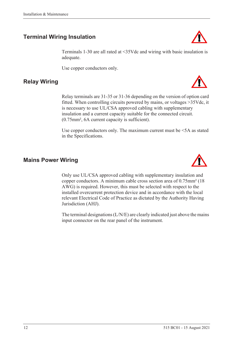# <span id="page-21-0"></span>**Terminal Wiring Insulation**

Terminals 1-30 are all rated at <35Vdc and wiring with basic insulation is adequate.

Use copper conductors only.

# <span id="page-21-1"></span>**Relay Wiring**

Relay terminals are 31-35 or 31-36 depending on the version of option card fitted. When controlling circuits powered by mains, or voltages >35Vdc, it is necessary to use UL/CSA approved cabling with supplementary insulation and a current capacity suitable for the connected circuit. (0.75mm², 6A current capacity is sufficient).

Use copper conductors only. The maximum current must be  $\leq 5A$  as stated in the Specifications.

# <span id="page-21-2"></span>**Mains Power Wiring**

Only use UL/CSA approved cabling with supplementary insulation and copper conductors. A minimum cable cross section area of 0.75mm² (18 AWG) is required. However, this must be selected with respect to the installed overcurrent protection device and in accordance with the local relevant Electrical Code of Practice as dictated by the Authority Having Jurisdiction (AHJ).

The terminal designations (L/N/E) are clearly indicated just above the mains input connector on the rear panel of the instrument.



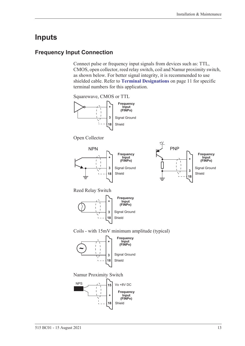# <span id="page-22-0"></span>**Inputs**

## <span id="page-22-1"></span>**Frequency Input Connection**

Connect pulse or frequency input signals from devices such as: TTL, CMOS, open collector, reed relay switch, coil and Namur proximity switch, as shown below. For better signal integrity, it is recommended to use shielded cable. Refer to **[Terminal Designations](#page-20-0)** on page 11 for specific terminal numbers for this application.

Squarewave, CMOS or TTL



Open Collector





Reed Relay Switch



Coils - with 15mV minimum amplitude (typical)



Namur Proximity Switch

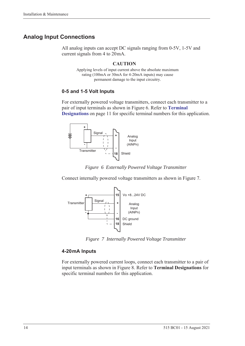# <span id="page-23-0"></span>**Analog Input Connections**

All analog inputs can accept DC signals ranging from 0-5V, 1-5V and current signals from 4 to 20 mA.

### **CAUTION**

Applying levels of input current above the absolute maximum rating (100mA or 30mA for 4-20mA inputs) may cause permanent damage to the input circuitry.

### **0-5 and 1-5 Volt Inputs**

For externally powered voltage transmitters, connect each transmitter to a pair of input terminals as shown in [Figure 6](#page-23-1). Refer to **[Terminal](#page-20-0)  [Designations](#page-20-0)** on page 11 for specific terminal numbers for this application.





<span id="page-23-1"></span>Connect internally powered voltage transmitters as shown in [Figure 7.](#page-23-2)



*Figure 7 Internally Powered Voltage Transmitter*

### <span id="page-23-2"></span>**4-20 mA Inputs**

For externally powered current loops, connect each transmitter to a pair of input terminals as shown in [Figure 8.](#page-24-1) Refer to **Terminal Designations** for specific terminal numbers for this application.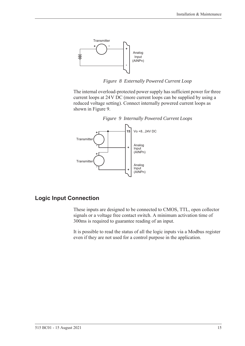

*Figure 8 Externally Powered Current Loop*

<span id="page-24-1"></span>The internal overload-protected power supply has sufficient power for three current loops at 24 V DC (more current loops can be supplied by using a reduced voltage setting). Connect internally powered current loops as shown in [Figure 9.](#page-24-2)



<span id="page-24-2"></span>

### <span id="page-24-0"></span>**Logic Input Connection**

These inputs are designed to be connected to CMOS, TTL, open collector signals or a voltage free contact switch. A minimum activation time of 300ms is required to guarantee reading of an input.

It is possible to read the status of all the logic inputs via a Modbus register even if they are not used for a control purpose in the application.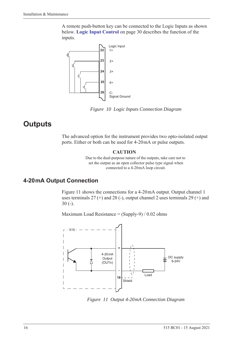A remote push-button key can be connected to the Logic Inputs as shown below. **[Logic Input Control](#page-39-3)** on page 30 describes the function of the inputs.



*Figure 10 Logic Inputs Connection Diagram*

# <span id="page-25-0"></span>**Outputs**

<span id="page-25-2"></span>The advanced option for the instrument provides two opto-isolated output ports. Either or both can be used for 4-20 mA or pulse outputs.

### **CAUTION**

Due to the dual-purpose nature of the outputs, take care not to set the output as an open collector pulse type signal when connected to a 4-20 mA loop circuit.

# <span id="page-25-1"></span>**4-20 mA Output Connection**

[Figure 11](#page-25-3) shows the connections for a 4-20 mA output. Output channel 1 uses terminals  $27 (+)$  and  $28 (-)$ , output channel 2 uses terminals  $29 (+)$  and  $30(-)$ .

Maximum Load Resistance =  $(Supply-9) / 0.02$  ohms



<span id="page-25-3"></span>*Figure 11 Output 4-20 mA Connection Diagram*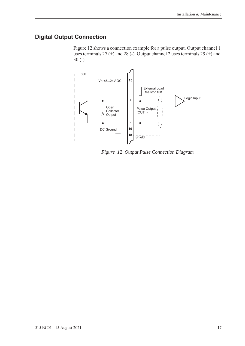# <span id="page-26-0"></span>**Digital Output Connection**

[Figure 12](#page-26-1) shows a connection example for a pulse output. Output channel 1 uses terminals 27 (+) and 28 (-). Output channel 2 uses terminals 29 (+) and 30 (-).



<span id="page-26-1"></span>*Figure 12 Output Pulse Connection Diagram*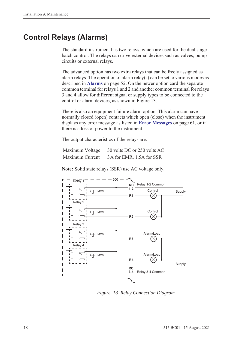# <span id="page-27-0"></span>**Control Relays (Alarms)**

The standard instrument has two relays, which are used for the dual stage batch control. The relays can drive external devices such as valves, pump circuits or external relays.

The advanced option has two extra relays that can be freely assigned as alarm relays. The operation of alarm relay(s) can be set to various modes as described in **Alarms** [on page 52](#page-61-1). On the newer option card the separate common terminal for relays 1 and 2 and another common terminal for relays 3 and 4 allow for different signal or supply types to be connected to the control or alarm devices, as shown in [Figure 13.](#page-27-1)

There is also an equipment failure alarm option. This alarm can have normally closed (open) contacts which open (close) when the instrument displays any error message as listed in **[Error Messages](#page-70-1)** on page 61, or if there is a loss of power to the instrument.

The output characteristics of the relays are:

| Maximum Voltage | 30 volts DC or 250 volts AC |
|-----------------|-----------------------------|
| Maximum Current | 3A for EMR, 1.5A for SSR    |



**Note:** Solid state relays (SSR) use AC voltage only.

<span id="page-27-1"></span>*Figure 13 Relay Connection Diagram*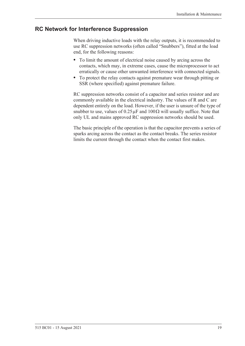### <span id="page-28-0"></span>**RC Network for Interference Suppression**

When driving inductive loads with the relay outputs, it is recommended to use RC suppression networks (often called "Snubbers"), fitted at the load end, for the following reasons:

- **•** To limit the amount of electrical noise caused by arcing across the contacts, which may, in extreme cases, cause the microprocessor to act erratically or cause other unwanted interference with connected signals.
- **•** To protect the relay contacts against premature wear through pitting or SSR (where specified) against premature failure.

RC suppression networks consist of a capacitor and series resistor and are commonly available in the electrical industry. The values of R and C are dependent entirely on the load. However, if the user is unsure of the type of snubber to use, values of  $0.25 \mu$ F and  $100 \Omega$  will usually suffice. Note that only UL and mains approved RC suppression networks should be used.

The basic principle of the operation is that the capacitor prevents a series of sparks arcing across the contact as the contact breaks. The series resistor limits the current through the contact when the contact first makes.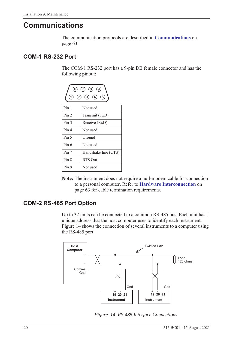# <span id="page-29-0"></span>**Communications**

The communication protocols are described in **[Communications](#page-72-4)** on [page 63.](#page-72-4)

## <span id="page-29-1"></span>**COM-1 RS-232 Port**

The COM-1 RS-232 port has a 9-pin DB female connector and has the following pinout:

| $(6)$ (7) (8) (9)<br>$(2)$ $(3)$ $(4)$ $(5)$<br>$\circled{\pi}$ |                      |  |  |  |
|-----------------------------------------------------------------|----------------------|--|--|--|
| Pin <sub>1</sub>                                                | Not used             |  |  |  |
| Pin 2                                                           | Transmit (TxD)       |  |  |  |
| Pin <sub>3</sub>                                                | Receive (RxD)        |  |  |  |
| Pin 4                                                           | Not used             |  |  |  |
| Pin <sub>5</sub>                                                | Ground               |  |  |  |
| Pin 6                                                           | Not used             |  |  |  |
| Pin 7                                                           | Handshake line (CTS) |  |  |  |
| Pin 8                                                           | RTS Out              |  |  |  |
| Pin 9                                                           | Not used             |  |  |  |

**Note:** The instrument does not require a null-modem cable for connection to a personal computer. Refer to **[Hardware Interconnection](#page-72-5)** on [page 63](#page-72-5) for cable termination requirements.

# <span id="page-29-2"></span>**COM-2 RS-485 Port Option**

Up to 32 units can be connected to a common RS-485 bus. Each unit has a unique address that the host computer uses to identify each instrument. [Figure 14](#page-29-3) shows the connection of several instruments to a computer using the RS-485 port.



<span id="page-29-3"></span>*Figure 14 RS-485 Interface Connections*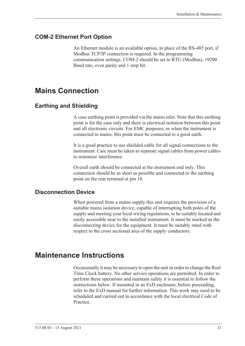### <span id="page-30-0"></span>**COM-2 Ethernet Port Option**

An Ethernet module is an available option, in place of the RS-485 port, if Modbus TCP/IP connection is required. In the programming communication settings, COM-2 should be set to RTU (Modbus), 19200 Baud rate, even parity and 1 stop bit.

# <span id="page-30-1"></span>**Mains Connection**

### <span id="page-30-2"></span>**Earthing and Shielding**

A case earthing point is provided via the mains inlet. Note that this earthing point is for the case only and there is electrical isolation between this point and all electronic circuits. For EMC purposes, or when the instrument is connected to mains, this point must be connected to a good earth.

It is a good practice to use shielded cable for all signal connections to the instrument. Care must be taken to separate signal cables from power cables to minimize interference.

Overall earth should be connected at the instrument end only. This connection should be as short as possible and connected to the earthing point on the rear terminal at pin 18.

### <span id="page-30-3"></span>**Disconnection Device**

When powered from a mains supply this unit requires the provision of a suitable mains isolation device, capable of interrupting both poles of the supply and meeting your local wiring regulations, to be suitably located and easily accessible near to the installed instrument. It must be marked as the disconnecting device for the equipment. It must be suitably rated with respect to the cross sectional area of the supply conductors.

# <span id="page-30-4"></span>**Maintenance Instructions**

Occasionally it may be necessary to open the unit in order to change the Real Time Clock battery. No other service operations are permitted. In order to perform these operations and maintain safety it is essential to follow the instructions below. If mounted in an ExD enclosure, before proceeding, refer to the ExD manual for further information. This work may need to be scheduled and carried out in accordance with the local electrical Code of Practice.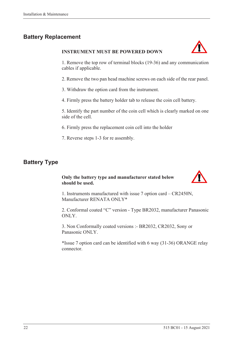# <span id="page-31-0"></span>**Battery Replacement**

#### **INSTRUMENT MUST BE POWERED DOWN**



2. Remove the two pan head machine screws on each side of the rear panel.

3. Withdraw the option card from the instrument.

4. Firmly press the battery holder tab to release the coin cell battery.

5. Identify the part number of the coin cell which is clearly marked on one side of the cell.

- 6. Firmly press the replacement coin cell into the holder
- 7. Reverse steps 1-3 for re assembly.

## <span id="page-31-1"></span>**Battery Type**

**Only the battery type and manufacturer stated below should be used.** 



1. Instruments manufactured with issue 7 option card – CR2450N, Manufacturer RENATA ONLY\*

2. Conformal coated "C" version - Type BR2032, manufacturer Panasonic ONLY.

3. Non Conformally coated versions :- BR2032, CR2032, Sony or Panasonic ONLY.

\*Issue 7 option card can be identified with 6 way (31-36) ORANGE relay connector.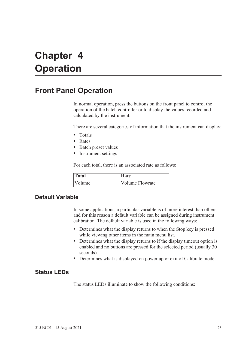# <span id="page-32-0"></span>**Chapter 4 Operation**

# <span id="page-32-1"></span>**Front Panel Operation**

In normal operation, press the buttons on the front panel to control the operation of the batch controller or to display the values recorded and calculated by the instrument.

There are several categories of information that the instrument can display:

- **•** Totals
- **•** Rates
- **•** Batch preset values
- **•** Instrument settings

For each total, there is an associated rate as follows:

| Total         | Rate            |
|---------------|-----------------|
| <b>Volume</b> | Volume Flowrate |

### <span id="page-32-2"></span>**Default Variable**

In some applications, a particular variable is of more interest than others, and for this reason a default variable can be assigned during instrument calibration. The default variable is used in the following ways:

- **•** Determines what the display returns to when the Stop key is pressed while viewing other items in the main menu list.
- **•** Determines what the display returns to if the display timeout option is enabled and no buttons are pressed for the selected period (usually 30 seconds).
- **•** Determines what is displayed on power up or exit of Calibrate mode.

### <span id="page-32-3"></span>**Status LEDs**

The status LEDs illuminate to show the following conditions: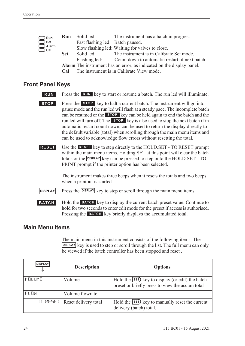| Run   |
|-------|
| Set   |
| Alarm |
| Cal   |

**Run** Solid led: The instrument has a batch in progress. Fast flashing led: Batch paused. Slow flashing led: Waiting for valves to close. **Set** Solid led: The instrument is in Calibrate Set mode. Flashing led: Count down to automatic restart of next batch. **Alarm** The instrument has an error, as indicated on the display panel.

**Cal** The instrument is in Calibrate View mode.

# <span id="page-33-0"></span>**Front Panel Keys**

- **RUN** Press the **RUN** key to start or resume a batch. The run led will illuminate.
- **STOP** Press the **STOP** key to halt a current batch. The instrument will go into pause mode and the run led will flash at a steady pace. The incomplete batch can be resumed or the **STOP** key can be held again to end the batch and the run led will turn off. The **STOP** key is also used to stop the next batch if in automatic restart count down, can be used to return the display directly to the default variable (total) when scrolling through the main menu items and can be used to acknowledge flow errors without resetting the total.
- **RESET** Use the **RESET** key to step directly to the HOLD.SET TO RESET prompt within the main menu items. Holding SET at this point will clear the batch totals or the **DISPLAY** key can be pressed to step onto the HOLD.SET - TO PRINT prompt if the printer option has been selected.

The instrument makes three beeps when it resets the totals and two beeps when a printout is started.

- **DISPLAY** Press the **DISPLAY** key to step or scroll through the main menu items.
- **BATCH** Hold the **BATCH** key to display the current batch preset value. Continue to hold for two seconds to enter edit mode for the preset if access is authorised. Pressing the **BATCH** key briefly displays the accumulated total.

# <span id="page-33-1"></span>**Main Menu Items**

The main menu in this instrument consists of the following items. The **DISPLAY** key is used to step or scroll through the list. The full menu can only be viewed if the batch controller has been stopped and reset .

| <b>DISPLAY</b> | <b>Description</b>   | <b>Options</b>                                                                                              |
|----------------|----------------------|-------------------------------------------------------------------------------------------------------------|
| VOLUME         | Volume               | Hold the $\text{SET}$ key to display (or edit) the batch<br>preset or briefly press to view the accum total |
| FLOW           | Volume flowrate      |                                                                                                             |
| TO RESET       | Reset delivery total | Hold the <b>SET</b> ) key to manually reset the current<br>delivery (batch) total.                          |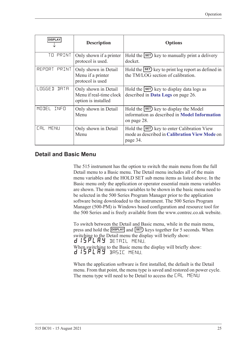| <b>DISPLAY</b>        | <b>Description</b>                                                     | <b>Options</b>                                                                                                           |
|-----------------------|------------------------------------------------------------------------|--------------------------------------------------------------------------------------------------------------------------|
| PRINT<br>TO           | Only shown if a printer<br>protocol is used.                           | Hold the $\text{SET}$ key to manually print a delivery<br>docket.                                                        |
| REPORT<br>PRINT       | Only shown in Detail<br>Menu if a printer<br>protocol is used          | Hold the $\text{SET}$ key to print log report as defined in<br>the TM/LOG section of calibration.                        |
| LOGGED<br><b>IRTR</b> | Only shown in Detail<br>Menu if real-time clock<br>option is installed | Hold the $\text{[set]}$ key to display data logs as<br>described in <b>Data Logs</b> on page 26.                         |
| MODEL<br>INFO         | Only shown in Detail<br>Menu                                           | Hold the $\left[$ set $\right]$ key to display the Model<br>information as described in Model Information<br>on page 28. |
| <b>EAL MENU</b>       | Only shown in Detail<br>Menu                                           | Hold the <b>SET</b> key to enter Calibration View<br>mode as described in Calibration View Mode on<br>page 34.           |

## <span id="page-34-0"></span>**Detail and Basic Menu**

The 515 instrument has the option to switch the main menu from the full Detail menu to a Basic menu. The Detail menu includes all of the main menu variables and the HOLD SET sub menu items as listed above. In the Basic menu only the application or operator essential main menu variables are shown. The main menu variables to be shown in the basic menu need to be selected in the 500 Series Program Manager prior to the application software being downloaded to the instrument. The 500 Series Program Manager (500-PM) is Windows based configuration and resource tool for the 500 Series and is freely available from the www.contrec.co.uk website.

To switch between the Detail and Basic menu, while in the main menu, press and hold the **DISPLAY** and **SET**) keys together for 5 seconds. When switching to the Detail menu the display will briefly show: d 15 PL A Y DETAIL MENU. When switching to the Basic menu the display will briefly show: d<sup>1</sup>15PLAY BASIC MENU.

When the application software is first installed, the default is the Detail menu. From that point, the menu type is saved and restored on power cycle. The menu type will need to be Detail to access the CAL MENU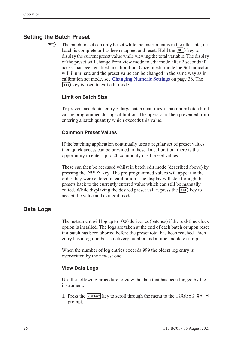### <span id="page-35-0"></span>**Setting the Batch Preset**

- **SET**
- The batch preset can only be set while the instrument is in the idle state, i.e. batch is complete or has been stopped and reset. Hold the **SET** key to display the current preset value while viewing the total variable. The display of the preset will change from view mode to edit mode after 2 seconds if access has been enabled in calibration. Once in edit mode the **Set** indicator will illuminate and the preset value can be changed in the same way as in calibration set mode, see **[Changing Numeric Settings](#page-45-1)** on page 36. The key is used to exit edit mode. **SET**

### **Limit on Batch Size**

To prevent accidental entry of large batch quantities, a maximum batch limit can be programmed during calibration. The operator is then prevented from entering a batch quantity which exceeds this value.

### **Common Preset Values**

If the batching application continually uses a regular set of preset values then quick access can be provided to these. In calibration, there is the opportunity to enter up to 20 commonly used preset values.

These can then be accessed whilst in batch edit mode (described above) by pressing the **DISPLAY** key. The pre-programmed values will appear in the order they were entered in calibration. The display will step through the presets back to the currently entered value which can still be manually edited. While displaying the desired preset value, press the **SET**) key to accept the value and exit edit mode.

### <span id="page-35-1"></span>**Data Logs**

The instrument will log up to 1000 deliveries (batches) if the real-time clock option is installed. The logs are taken at the end of each batch or upon reset if a batch has been aborted before the preset total has been reached. Each entry has a log number, a delivery number and a time and date stamp.

When the number of log entries exceeds 999 the oldest log entry is overwritten by the newest one.

### **View Data Logs**

Use the following procedure to view the data that has been logged by the instrument:

**1.** Press the **DISPLAY** key to scroll through the menu to the LOGGE D DATA prompt.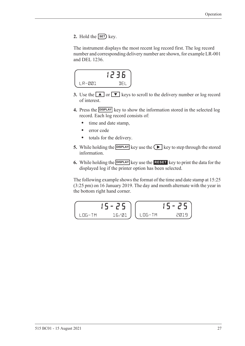**2.** Hold the  $\overline{\text{SET}}$  key.

The instrument displays the most recent log record first. The log record number and corresponding delivery number are shown, for example LR-001 and DEL 1236.



- **3.** Use the  $\Box$  or  $\Box$  keys to scroll to the delivery number or log record of interest.
- 4. Press the **DISPLAY** key to show the information stored in the selected log record. Each log record consists of:
	- time and date stamp,
	- **•** error code
	- totals for the delivery.
- **5.** While holding the  $\boxed{\text{DISPLAN}}$  key use the  $\boxed{\blacktriangleright}$  key to step through the stored information.
- **6.** While holding the **DISPLAY** key use the **RESET** key to print the data for the displayed log if the printer option has been selected.

The following example shows the format of the time and date stamp at 15:25 (3:25 pm) on 16 January 2019. The day and month alternate with the year in the bottom right hand corner.

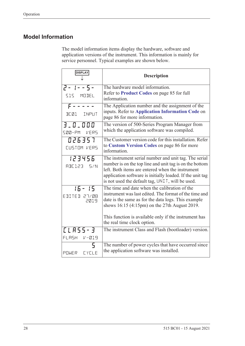### <span id="page-37-0"></span>**Model Information**

The model information items display the hardware, software and application versions of the instrument. This information is mainly for service personnel. Typical examples are shown below.

| <b>DISPLAY</b>                         | <b>Description</b>                                                                                                                                                                                                                                                                                      |
|----------------------------------------|---------------------------------------------------------------------------------------------------------------------------------------------------------------------------------------------------------------------------------------------------------------------------------------------------------|
| $2 - 1 - 5 -$<br>SIS MODEL             | The hardware model information.<br>Refer to Product Codes on page 85 for full<br>information.                                                                                                                                                                                                           |
| $F - - - -$<br>BEØ1 INPUT              | The Application number and the assignment of the<br>inputs. Refer to Application Information Code on<br>page 86 for more information.                                                                                                                                                                   |
| 3.0.000<br>SMM-PM VERS                 | The version of 500-Series Program Manager from<br>which the application software was compiled.                                                                                                                                                                                                          |
| 026357<br>CUSTOM VERS                  | The Customer version code for this installation. Refer<br>to Custom Version Codes on page 86 for more<br>information.                                                                                                                                                                                   |
| 123456<br>RBE123 5/N                   | The instrument serial number and unit tag. The serial<br>number is on the top line and unit tag is on the bottom<br>left. Both items are entered when the instrument<br>application software is initially loaded. If the unit tag<br>is not used the default tag, UNIT, will be used.                   |
| $15 - 15$<br>EDITED 27/08<br>2019      | The time and date when the calibration of the<br>instrument was last edited. The format of the time and<br>date is the same as for the data logs. This example<br>shows 16:15 (4:15pm) on the 27th August 2019.<br>This function is available only if the instrument has<br>the real time clock option. |
| <b>[LASS-3</b><br>FLASH V-019          | The instrument Class and Flash (bootloader) version.                                                                                                                                                                                                                                                    |
| $\overline{\mathsf{S}}$<br>POWER EYELE | The number of power cycles that have occurred since<br>the application software was installed.                                                                                                                                                                                                          |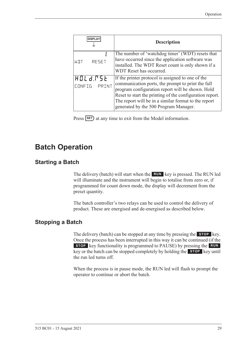| <b>DISPLAY</b>                     | <b>Description</b>                                                                                                                                                                                                                                                                                                      |
|------------------------------------|-------------------------------------------------------------------------------------------------------------------------------------------------------------------------------------------------------------------------------------------------------------------------------------------------------------------------|
| RESET<br>WIT                       | The number of 'watchdog timer' (WDT) resets that<br>have occurred since the application software was<br>installed. The WDT Reset count is only shown if a<br>WDT Reset has occurred.                                                                                                                                    |
| HOLd.PSE<br><b>CONFIG</b><br>PRINT | If the printer protocol is assigned to one of the<br>communication ports, the prompt to print the full<br>program configuration report will be shown. Hold<br>Reset to start the printing of the configuration report.<br>The report will be in a similar format to the report<br>generated by the 500 Program Manager. |

Press **SET**) at any time to exit from the Model information.

# **Batch Operation**

#### **Starting a Batch**

The delivery (batch) will start when the **RUN** key is pressed. The RUN led will illuminate and the instrument will begin to totalise from zero or, if programmed for count down mode, the display will decrement from the preset quantity.

The batch controller's two relays can be used to control the delivery of product. These are energised and de-energised as described below.

#### **Stopping a Batch**

The delivery (batch) can be stopped at any time by pressing the **STOP** key. Once the process has been interrupted in this way it can be continued (if the key functionality is programmed to PAUSE) by pressing the **STOP RUN** key or the batch can be stopped completely by holding the **STOP** key until the run led turns off.

When the process is in pause mode, the RUN led will flash to prompt the operator to continue or abort the batch.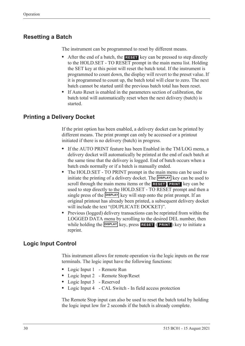#### **Resetting a Batch**

The instrument can be programmed to reset by different means.

- After the end of a batch, the **RESET** key can be pressed to step directly to the HOLD.SET - TO RESET prompt in the main menu list. Holding the SET key at this point will reset the batch total. If the instrument is programmed to count down, the display will revert to the preset value. If it is programmed to count up, the batch total will clear to zero. The next batch cannot be started until the previous batch total has been reset.
- **•** If Auto Reset is enabled in the parameters section of calibration, the batch total will automatically reset when the next delivery (batch) is started.

#### **Printing a Delivery Docket**

If the print option has been enabled, a delivery docket can be printed by different means. The print prompt can only be accessed or a printout initiated if there is no delivery (batch) in progress.

- **•** If the AUTO PRINT feature has been Enabled in the TM/LOG menu, a delivery docket will automatically be printed at the end of each batch at the same time that the delivery is logged. End of batch occurs when a batch ends normally or if a batch is manually ended.
- **•** The HOLD.SET TO PRINT prompt in the main menu can be used to initiate the printing of a delivery docket. The **DISPLAY** key can be used to **RESET FIRIOR IS NOTE THAT IS SET OF THE INCORDER THE VALUE OF THE VIDEO SET OF PRINT Rey can be** used to step directly to the HOLD.SET - TO RESET prompt and then a single press of the **DISPLAY** key will step onto the print prompt. If an original printout has already been printed, a subsequent delivery docket will include the text "(DUPLICATE DOCKET)".
- **•** Previous (logged) delivery transactions can be reprinted from within the LOGGED DATA menu by scrolling to the desired DEL number, then **while holding the DISPLAY key, press RESET (PRINT) key to initiate a** reprint.

#### **Logic Input Control**

This instrument allows for remote operation via the logic inputs on the rear terminals. The logic input have the following functions:

- **•** Logic Input 1 Remote Run
- **•** Logic Input 2 Remote Stop/Reset
- **•** Logic Input 3 Reserved
- Logic Input 4 CAL Switch In field access protection

The Remote Stop input can also be used to reset the batch total by holding the logic input low for 2 seconds if the batch is already complete.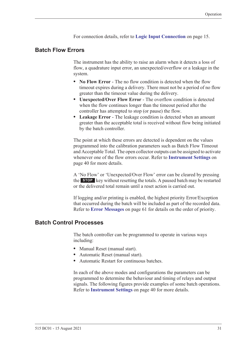For connection details, refer to **[Logic Input Connection](#page-24-0)** on page 15.

#### **Batch Flow Errors**

The instrument has the ability to raise an alarm when it detects a loss of flow, a quadrature input error, an unexpected/overflow or a leakage in the system.

- **No Flow Error** The no flow condition is detected when the flow timeout expires during a delivery. There must not be a period of no flow greater than the timeout value during the delivery.
- **• Unexpected/Over Flow Error** The overflow condition is detected when the flow continues longer than the timeout period after the controller has attempted to stop (or pause) the flow.
- **• Leakage Error** The leakage condition is detected when an amount greater than the acceptable total is received without flow being initiated by the batch controller.

The point at which these errors are detected is dependent on the values programmed into the calibration parameters such as Batch Flow Timeout and Acceptable Total. The open collector outputs can be assigned to activate whenever one of the flow errors occur. Refer to **[Instrument Settings](#page-49-0)** on [page 40](#page-49-0) for more details.

A 'No Flow' or 'Unexpected/Over Flow' error can be cleared by pressing the **STOP** key without resetting the totals. A paused batch may be restarted or the delivered total remain until a reset action is carried out.

If logging and/or printing is enabled, the highest priority Error/Exception that occurred during the batch will be included as part of the recorded data. Refer to **[Error Messages](#page-70-0)** on page 61 for details on the order of priority.

#### **Batch Control Processes**

The batch controller can be programmed to operate in various ways including:

- **•** Manual Reset (manual start).
- **•** Automatic Reset (manual start).
- **•** Automatic Restart for continuous batches.

In each of the above modes and configurations the parameters can be programmed to determine the behaviour and timing of relays and output signals. The following figures provide examples of some batch operations. Refer to **[Instrument Settings](#page-49-0)** on page 40 for more details.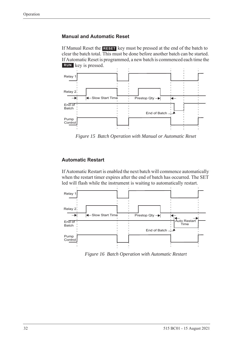#### **Manual and Automatic Reset**

If Manual Reset the **RESET** key must be pressed at the end of the batch to clear the batch total. This must be done before another batch can be started. If Automatic Reset is programmed, a new batch is commenced each time the **RUN** key is pressed.



*Figure 15 Batch Operation with Manual or Automatic Reset*

#### **Automatic Restart**

If Automatic Restart is enabled the next batch will commence automatically when the restart timer expires after the end of batch has occurred. The SET led will flash while the instrument is waiting to automatically restart.



*Figure 16 Batch Operation with Automatic Restart*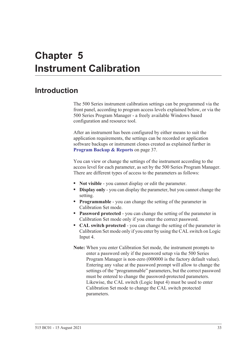# **Chapter 5 Instrument Calibration**

# **Introduction**

The 500 Series instrument calibration settings can be programmed via the front panel, according to program access levels explained below, or via the 500 Series Program Manager - a freely available Windows based configuration and resource tool.

After an instrument has been configured by either means to suit the application requirements, the settings can be recorded or application software backups or instrument clones created as explained further in **[Program Backup & Reports](#page-46-0)** on page 37.

You can view or change the settings of the instrument according to the access level for each parameter, as set by the 500 Series Program Manager. There are different types of access to the parameters as follows:

- **• Not visible** you cannot display or edit the parameter.
- **• Display only** you can display the parameter, but you cannot change the setting.
- **• Programmable** you can change the setting of the parameter in Calibration Set mode.
- **• Password protected** you can change the setting of the parameter in Calibration Set mode only if you enter the correct password.
- **• CAL switch protected**  you can change the setting of the parameter in Calibration Set mode only if you enter by using the CAL switch on Logic Input 4.
- **Note:** When you enter Calibration Set mode, the instrument prompts to enter a password only if the password setup via the 500 Series Program Manager is non-zero (000000 is the factory default value). Entering any value at the password prompt will allow to change the settings of the "programmable" parameters, but the correct password must be entered to change the password-protected parameters. Likewise, the CAL switch (Logic Input 4) must be used to enter Calibration Set mode to change the CAL switch protected parameters.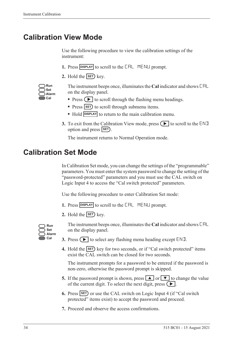# **Calibration View Mode**

Use the following procedure to view the calibration settings of the instrument:

- 1. Press **DISPLAY** to scroll to the **CAL** MENLI prompt.
- **2.** Hold the  $\overline{\text{SET}}$  key.



The instrument beeps once, illuminates the **Cal** indicator and shows CAL on the display panel.

- Press  $\left( \blacktriangleright \right)$  to scroll through the flashing menu headings.
- Press **SET**) to scroll through submenu items.
- Hold **DISPLAY** to return to the main calibration menu.
- **3.** To exit from the Calibration View mode, press  $\Box$  to scroll to the END option and press **SET**).

The instrument returns to Normal Operation mode.

# **Calibration Set Mode**

In Calibration Set mode, you can change the settings of the "programmable" parameters. You must enter the system password to change the setting of the "password-protected" parameters and you must use the CAL switch on Logic Input 4 to access the "Cal switch protected" parameters.

Use the following procedure to enter Calibration Set mode:

- **1.** Press **DISPLAY** to scroll to the **CAL** MENLI prompt.
- **2.** Hold the  $\overline{\text{SET}}$  key.



The instrument beeps once, illuminates the **Cal** indicator and shows CAL on the display panel.

- **3.** Press  $\left( \blacktriangleright \right)$  to select any flashing menu heading except END.
- **4.** Hold the **SET** key for two seconds, or if "Cal switch protected" items exist the CAL switch can be closed for two seconds.

The instrument prompts for a password to be entered if the password is non-zero, otherwise the password prompt is skipped.

- **5.** If the password prompt is shown, press  $\boxed{\blacktriangle}$  or  $\boxed{\blacktriangledown}$  to change the value of the current digit. To select the next digit, press  $\Box$ .
- **6.** Press **SET** or use the CAL switch on Logic Input 4 (if "Cal switch protected" items exist) to accept the password and proceed.
- **7.** Proceed and observe the access confirmations.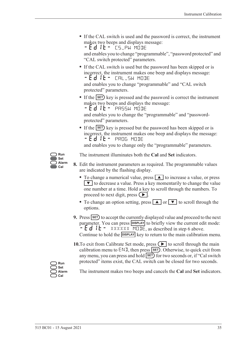**•** If the CAL switch is used and the password is correct, the instrument makes two beeps and displays message:  $-Ed$  it -  $TS$  pw mode

and enables you to change "programmable", "password protected" and "CAL switch protected" parameters.

• If the CAL switch is used but the password has been skipped or is incorrect, the instrument makes one beep and displays message: -EDIT- CAL\_SW MODE

and enables you to change "programmable" and "CAL switch protected" parameters.

- If the **SET**) key is pressed and the password is correct the instrument makes two beeps and displays the message:
	- -EDIT- PASSW MODE and enables you to change the "programmable" and "passwordprotected" parameters.
- If the **SET**) key is pressed but the password has been skipped or is incorrect, the instrument makes one beep and displays the message: -EDIT- PROG MODE

and enables you to change only the "programmable" parameters.



The instrument illuminates both the **Cal** and **Set** indicators.

- **8.** Edit the instrument parameters as required. The programmable values are indicated by the flashing display.
	- To change a numerical value, press **A** to increase a value, or press  $\triangledown$  to decrease a value. Press a key momentarily to change the value one number at a time. Hold a key to scroll through the numbers. To proceed to next digit, press  $(\blacktriangleright)$ .
	- To change an option setting, press  $\Box$  or  $\nabla$  to scroll through the options.
- **9.** Press **SET** to accept the currently displayed value and proceed to the next parameter. You can press **DISPLAY** to briefly view the current edit mode:  $-Ed$   $E - \frac{2}{x}$  XXXXXX MODE, as described in step 6 above. Continue to hold the **DISPLAY** key to return to the main calibration menu.
- **10.**To exit from Calibrate Set mode, press  $\Box$  to scroll through the main calibration menu to  $ENI$ , then press  $SET$ . Otherwise, to quick exit from any menu, you can press and hold **SET** for two seconds or, if "Cal switch protected" items exist, the CAL switch can be closed for two seconds.

**Run Set Alarm Cal**

The instrument makes two beeps and cancels the **Cal** and **Set** indicators.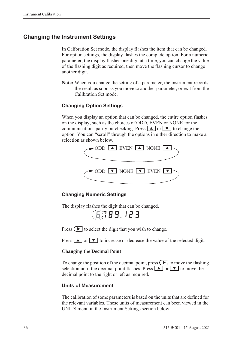#### **Changing the Instrument Settings**

In Calibration Set mode, the display flashes the item that can be changed. For option settings, the display flashes the complete option. For a numeric parameter, the display flashes one digit at a time, you can change the value of the flashing digit as required, then move the flashing cursor to change another digit.

**Note:** When you change the setting of a parameter, the instrument records the result as soon as you move to another parameter, or exit from the Calibration Set mode.

#### **Changing Option Settings**

When you display an option that can be changed, the entire option flashes on the display, such as the choices of ODD, EVEN or NONE for the communications parity bit checking. Press  $\boxed{\blacktriangle}$  or  $\boxed{\blacktriangledown}$  to change the option. You can "scroll" through the options in either direction to make a selection as shown below.



#### **Changing Numeric Settings**

The display flashes the digit that can be changed.

第第89.123

Press  $\left( \blacktriangleright \right)$  to select the digit that you wish to change.

Press  $\boxed{\blacktriangle}$  or  $\boxed{\blacktriangledown}$  to increase or decrease the value of the selected digit.

#### **Changing the Decimal Point**

To change the position of the decimal point, press  $\Box$  to move the flashing selection until the decimal point flashes. Press  $\boxed{\blacktriangle}$  or  $\boxed{\blacktriangledown}$  to move the decimal point to the right or left as required.

#### **Units of Measurement**

The calibration of some parameters is based on the units that are defined for the relevant variables. These units of measurement can been viewed in the UNITS menu in the Instrument Settings section below.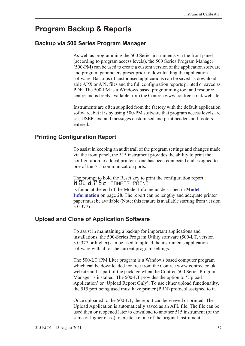# <span id="page-46-0"></span>**Program Backup & Reports**

#### **Backup via 500 Series Program Manager**

As well as programming the 500 Series instruments via the front panel (according to program access levels), the 500 Series Program Manager (500-PM) can be used to create a custom version of the application software and program parameters preset prior to downloading the application software. Backups of customised applications can be saved as downloadable APX or APL files and the full configuration reports printed or saved as PDF. The 500-PM is a Windows based programming tool and resource centre and is freely available from the Contrec www.contrec.co.uk website.

Instruments are often supplied from the factory with the default application software, but it is by using 500-PM software that program access levels are set, USER text and messages customised and print headers and footers entered.

#### **Printing Configuration Report**

To assist in keeping an audit trail of the program settings and changes made via the front panel, the 515 instrument provides the ability to print the configuration to a local printer if one has been connected and assigned to one of the 515 communication ports.

The prompt to hold the Reset key to print the configuration report HOLd.PSE CONFIG PRINT is found at the end of the Model Info menu, described in **[Model](#page-37-0)  [Information](#page-37-0)** on page 28. The report can be lengthy and adequate printer paper must be available (Note: this feature is available starting from version 3.0.377).

#### **Upload and Clone of Application Software**

To assist in maintaining a backup for important applications and installations, the 500-Series Program Utility software (500-LT, version 3.0.377 or higher) can be used to upload the instruments application software with all of the current program settings.

The 500-LT (PM Lite) program is a Windows based computer program which can be downloaded for free from the Contrec www.contrec.co.uk website and is part of the package when the Contrec 500 Series Program Manager is installed. The 500-LT provides the option to 'Upload Application' or 'Upload Report Only'. To use either upload functionality, the 515 port being used must have printer (PRN) protocol assigned to it.

Once uploaded to the 500-LT, the report can be viewed or printed. The Upload Application is automatically saved as an APL file. The file can be used then or reopened later to download to another 515 instrument (of the same or higher class) to create a clone of the original instrument.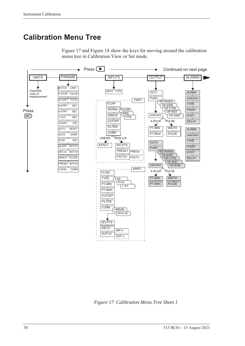# **Calibration Menu Tree**

[Figure 17](#page-47-0) and [Figure 18](#page-48-0) show the keys for moving around the calibration menu tree in Calibration View or Set mode.



<span id="page-47-0"></span>*Figure 17 Calibration Menu Tree Sheet 1*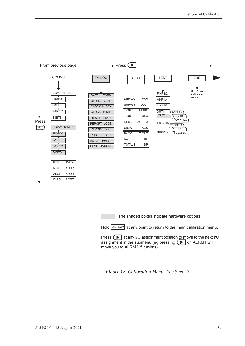

The shaded boxes indicate hardware options

Hold **DISPLAY** at any point to return to the main calibration menu.

Press  $\Box$  at any I/O assignment position to move to the next I/O assignment in the submenu (eg pressing  $\left( \blacktriangleright \right)$  on ALRM1 will move you to ALRM2 if it exists)

<span id="page-48-0"></span>*Figure 18 Calibration Menu Tree Sheet 2*

FLASH PORT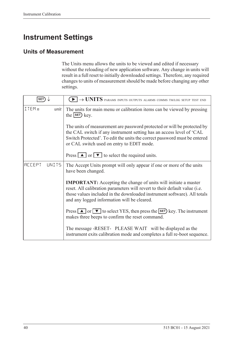# <span id="page-49-0"></span>**Instrument Settings**

#### **Units of Measurement**

The Units menu allows the units to be viewed and edited if necessary without the reloading of new application software. Any change in units will result in a full reset to initially downloaded settings. Therefore, any required changes to units of measurement should be made before changing any other settings.

| <b>SET</b>                | $\blacktriangleright$ $\rightarrow$ UNITS params inputs outputs alarms comms tm/log setup test end                                                                                                                                                                              |  |  |  |
|---------------------------|---------------------------------------------------------------------------------------------------------------------------------------------------------------------------------------------------------------------------------------------------------------------------------|--|--|--|
| ITER <sub>n</sub><br>unit | The units for main menu or calibration items can be viewed by pressing<br>the $\left  \text{set} \right $ key.                                                                                                                                                                  |  |  |  |
|                           | The units of measurement are password protected or will be protected by<br>the CAL switch if any instrument setting has an access level of 'CAL<br>Switch Protected'. To edit the units the correct password must be entered<br>or CAL switch used on entry to EDIT mode.       |  |  |  |
|                           | Press $\boxed{\blacktriangle}$ or $\boxed{\blacktriangledown}$ to select the required units.                                                                                                                                                                                    |  |  |  |
| <b>ACCEPT</b><br>LINIT5   | The Accept Units prompt will only appear if one or more of the units<br>have been changed.                                                                                                                                                                                      |  |  |  |
|                           | <b>IMPORTANT:</b> Accepting the change of units will initiate a master<br>reset. All calibration parameters will revert to their default value (i.e.<br>those values included in the downloaded instrument software). All totals<br>and any logged information will be cleared. |  |  |  |
|                           | Press $\Box$ or $\nabla$ to select YES, then press the SET key. The instrument<br>makes three beeps to confirm the reset command.                                                                                                                                               |  |  |  |
|                           | The message -RESET- PLEASE WAIT will be displayed as the<br>instrument exits calibration mode and completes a full re-boot sequence.                                                                                                                                            |  |  |  |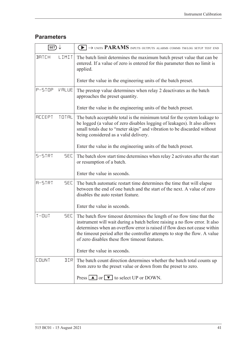#### **Parameters**

| SET)          |            | $\blacktriangleright$ $\rightarrow$ units PARAMS inputs outputs alarms comms tm/log setup test end                                                                                                                                                                                                                                                                                              |  |  |
|---------------|------------|-------------------------------------------------------------------------------------------------------------------------------------------------------------------------------------------------------------------------------------------------------------------------------------------------------------------------------------------------------------------------------------------------|--|--|
| BATCH         | LIMIT      | The batch limit determines the maximum batch preset value that can be<br>entered. If a value of zero is entered for this parameter then no limit is<br>applied.                                                                                                                                                                                                                                 |  |  |
|               |            | Enter the value in the engineering units of the batch preset.                                                                                                                                                                                                                                                                                                                                   |  |  |
| <b>P-510P</b> | VALUE      | The prestop value determines when relay 2 deactivates as the batch<br>approaches the preset quantity.                                                                                                                                                                                                                                                                                           |  |  |
|               |            | Enter the value in the engineering units of the batch preset.                                                                                                                                                                                                                                                                                                                                   |  |  |
| <b>ACCEPT</b> | TOTAL      | The batch acceptable total is the minimum total for the system leakage to<br>be logged (a value of zero disables logging of leakages). It also allows<br>small totals due to "meter skips" and vibration to be discarded without<br>being considered as a valid delivery.                                                                                                                       |  |  |
|               |            | Enter the value in the engineering units of the batch preset.                                                                                                                                                                                                                                                                                                                                   |  |  |
| <b>5-5TRT</b> | SEC        | The batch slow start time determines when relay 2 activates after the start<br>or resumption of a batch.<br>Enter the value in seconds.                                                                                                                                                                                                                                                         |  |  |
| A-SIRT        | SEC        | The batch automatic restart time determines the time that will elapse<br>between the end of one batch and the start of the next. A value of zero<br>disables the auto restart feature.<br>Enter the value in seconds.                                                                                                                                                                           |  |  |
| $T - 111T$    | <b>SEC</b> | The batch flow timeout determines the length of no flow time that the<br>instrument will wait during a batch before raising a no flow error. It also<br>determines when an overflow error is raised if flow does not cease within<br>the timeout period after the controller attempts to stop the flow. A value<br>of zero disables these flow timeout features.<br>Enter the value in seconds. |  |  |
| <b>COUNT</b>  | JIR.       | The batch count direction determines whether the batch total counts up                                                                                                                                                                                                                                                                                                                          |  |  |
|               |            | from zero to the preset value or down from the preset to zero.                                                                                                                                                                                                                                                                                                                                  |  |  |
|               |            | Press $\boxed{\blacktriangle}$ or $\boxed{\blacktriangledown}$ to select UP or DOWN.                                                                                                                                                                                                                                                                                                            |  |  |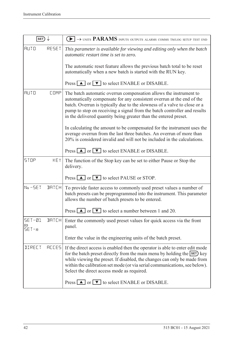| SET)                                      | $\blacktriangleright$ $\rightarrow$ units PARAMS inputs outputs alarms comms tm/log setup test end                                                                                                                                                                                                                                                                       |
|-------------------------------------------|--------------------------------------------------------------------------------------------------------------------------------------------------------------------------------------------------------------------------------------------------------------------------------------------------------------------------------------------------------------------------|
| RESET<br><b>AUTO</b>                      | This parameter is available for viewing and editing only when the batch<br>automatic restart time is set to zero.                                                                                                                                                                                                                                                        |
|                                           | The automatic reset feature allows the previous batch total to be reset<br>automatically when a new batch is started with the RUN key.                                                                                                                                                                                                                                   |
|                                           | Press $\boxed{\blacktriangle}$ or $\boxed{\blacktriangledown}$ to select ENABLE or DISABLE.                                                                                                                                                                                                                                                                              |
| <b>RUTO</b><br><b>COMP</b>                | The batch automatic overrun compensation allows the instrument to<br>automatically compensate for any consistent overrun at the end of the<br>batch. Overrun is typically due to the slowness of a valve to close or a<br>pump to stop on receiving a signal from the batch controller and results<br>in the delivered quantity being greater than the entered preset.   |
|                                           | In calculating the amount to be compensated for the instrument uses the<br>average overrun from the last three batches. An overrun of more than<br>20% is considered invalid and will not be included in the calculations.                                                                                                                                               |
|                                           | Press $\Box$ or $\nabla$ to select ENABLE or DISABLE.                                                                                                                                                                                                                                                                                                                    |
| <b>STOP</b><br><b>KEY</b>                 | The function of the Stop key can be set to either Pause or Stop the<br>delivery.                                                                                                                                                                                                                                                                                         |
|                                           | Press $\boxed{\blacktriangle}$ or $\boxed{\blacktriangledown}$ to select PAUSE or STOP.                                                                                                                                                                                                                                                                                  |
| $No - SET$<br><b>BATCH</b>                | To provide faster access to commonly used preset values a number of<br>batch presets can be preprogrammed into the instrument. This parameter<br>allows the number of batch presets to be entered.                                                                                                                                                                       |
|                                           | Press $\boxed{\blacktriangle}$ or $\boxed{\blacktriangledown}$ to select a number between 1 and 20.                                                                                                                                                                                                                                                                      |
| <b>BRTCH</b><br>5ET-01<br>to<br>$5ET - n$ | Enter the commonly used preset values for quick access via the front<br>panel.                                                                                                                                                                                                                                                                                           |
|                                           | Enter the value in the engineering units of the batch preset.                                                                                                                                                                                                                                                                                                            |
| <b>ACCES</b><br><b>JIRECT</b>             | If the direct access is enabled then the operator is able to enter edit mode<br>for the batch preset directly from the main menu by holding the $\text{SET}$ key<br>while viewing the preset. If disabled, the changes can only be made from<br>within the calibration set mode (or via serial communications, see below).<br>Select the direct access mode as required. |
|                                           | Press $\Box$ or $\nabla$ to select ENABLE or DISABLE.                                                                                                                                                                                                                                                                                                                    |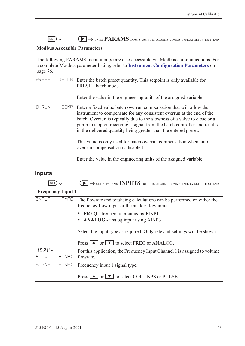| $\blacktriangleright$ $\rightarrow$ units PARAMS inputs outputs alarms comms tm/log setup test end<br><b>SET</b>                                                                         |                                                                                                                                                                                                                                                                                                                                                                                                                                                                                                                                                        |  |  |  |  |
|------------------------------------------------------------------------------------------------------------------------------------------------------------------------------------------|--------------------------------------------------------------------------------------------------------------------------------------------------------------------------------------------------------------------------------------------------------------------------------------------------------------------------------------------------------------------------------------------------------------------------------------------------------------------------------------------------------------------------------------------------------|--|--|--|--|
|                                                                                                                                                                                          | <b>Modbus Accessible Parameters</b>                                                                                                                                                                                                                                                                                                                                                                                                                                                                                                                    |  |  |  |  |
| The following PARAMS menu item(s) are also accessible via Modbus communications. For<br>a complete Modbus parameter listing, refer to Instrument Configuration Parameters on<br>page 76. |                                                                                                                                                                                                                                                                                                                                                                                                                                                                                                                                                        |  |  |  |  |
| PRESET<br><b>BRICH</b>                                                                                                                                                                   | Enter the batch preset quantity. This setpoint is only available for<br>PRESET batch mode.<br>Enter the value in the engineering units of the assigned variable.                                                                                                                                                                                                                                                                                                                                                                                       |  |  |  |  |
| $D - R UN$<br>[UMP]                                                                                                                                                                      | Enter a fixed value batch overrun compensation that will allow the<br>instrument to compensate for any consistent overrun at the end of the<br>batch. Overrun is typically due to the slowness of a valve to close or a<br>pump to stop on receiving a signal from the batch controller and results<br>in the delivered quantity being greater than the entered preset.<br>This value is only used for batch overrun compensation when auto<br>overrun compensation is disabled.<br>Enter the value in the engineering units of the assigned variable. |  |  |  |  |

### **Inputs**

| SET)                     |                                                                          | $\rightarrow$ UNITS PARAMS INPUTS OUTPUTS ALARMS COMMS TM/LOG SETUP TEST END                                              |  |  |  |
|--------------------------|--------------------------------------------------------------------------|---------------------------------------------------------------------------------------------------------------------------|--|--|--|
| <b>Frequency Input 1</b> |                                                                          |                                                                                                                           |  |  |  |
| TYPE<br>INPUT            |                                                                          | The flowrate and totalising calculations can be performed on either the<br>frequency flow input or the analog flow input. |  |  |  |
|                          |                                                                          | FREQ - frequency input using FINP1                                                                                        |  |  |  |
|                          |                                                                          | <b>ANALOG</b> - analog input using AINP3                                                                                  |  |  |  |
|                          | Select the input type as required. Only relevant settings will be shown. |                                                                                                                           |  |  |  |
|                          |                                                                          | Press $\Box$ or $\nabla$ to select FREQ or ANALOG.                                                                        |  |  |  |
| INPUE<br>FLOW            | FINP1                                                                    | For this application, the Frequency Input Channel 1 is assigned to volume<br>flowrate.                                    |  |  |  |
| <b>SIGNAL</b>            | FINP1                                                                    | Frequency input 1 signal type.                                                                                            |  |  |  |
|                          |                                                                          | Press $\Box$ or $\nabla$ to select COIL, NPS or PULSE.                                                                    |  |  |  |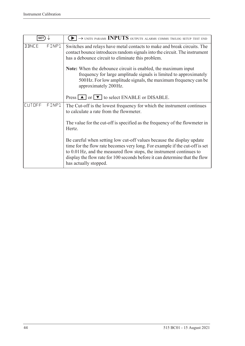| <b>SET</b>   |       | $\rightarrow$ units params INPUTS outputs alarms comms tm/log setup test end                                                                                                                                                                                                                                                         |  |
|--------------|-------|--------------------------------------------------------------------------------------------------------------------------------------------------------------------------------------------------------------------------------------------------------------------------------------------------------------------------------------|--|
| <b>JBNCE</b> | FINP1 | Switches and relays have metal contacts to make and break circuits. The<br>contact bounce introduces random signals into the circuit. The instrument<br>has a debounce circuit to eliminate this problem.                                                                                                                            |  |
|              |       | <b>Note:</b> When the debounce circuit is enabled, the maximum input<br>frequency for large amplitude signals is limited to approximately<br>500 Hz. For low amplitude signals, the maximum frequency can be<br>approximately 200Hz.                                                                                                 |  |
|              |       | Press $\boxed{\blacktriangle}$ or $\boxed{\blacktriangledown}$ to select ENABLE or DISABLE.                                                                                                                                                                                                                                          |  |
| CUTOFF       | FINP1 | The Cut-off is the lowest frequency for which the instrument continues<br>to calculate a rate from the flowmeter.                                                                                                                                                                                                                    |  |
|              |       | The value for the cut-off is specified as the frequency of the flowmeter in<br>Hertz.                                                                                                                                                                                                                                                |  |
|              |       | Be careful when setting low cut-off values because the display update<br>time for the flow rate becomes very long. For example if the cut-off is set<br>to 0.01 Hz, and the measured flow stops, the instrument continues to<br>display the flow rate for 100 seconds before it can determine that the flow<br>has actually stopped. |  |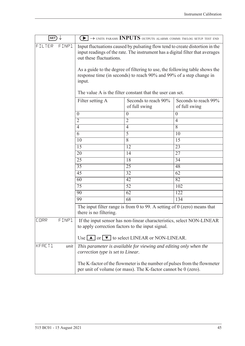| SET)                 |                                                                                                                                                                                     | $\textcolor{blue}{\blacktriangleright} \rightarrow$ units params INPUTS outputs alarms comms tm/log setup test end                                                                                                                                                                                                                                                                                          |                                       |  |  |
|----------------------|-------------------------------------------------------------------------------------------------------------------------------------------------------------------------------------|-------------------------------------------------------------------------------------------------------------------------------------------------------------------------------------------------------------------------------------------------------------------------------------------------------------------------------------------------------------------------------------------------------------|---------------------------------------|--|--|
| FILTER<br>FINP1      | input.                                                                                                                                                                              | Input fluctuations caused by pulsating flow tend to create distortion in the<br>input readings of the rate. The instrument has a digital filter that averages<br>out these fluctuations.<br>As a guide to the degree of filtering to use, the following table shows the<br>response time (in seconds) to reach 90% and 99% of a step change in<br>The value A is the filter constant that the user can set. |                                       |  |  |
|                      | Filter setting A                                                                                                                                                                    | Seconds to reach 90%<br>of full swing                                                                                                                                                                                                                                                                                                                                                                       | Seconds to reach 99%<br>of full swing |  |  |
|                      | $\theta$                                                                                                                                                                            | $\boldsymbol{0}$                                                                                                                                                                                                                                                                                                                                                                                            | $\boldsymbol{0}$                      |  |  |
|                      | $\overline{2}$                                                                                                                                                                      | $\overline{2}$                                                                                                                                                                                                                                                                                                                                                                                              | $\overline{4}$                        |  |  |
|                      | $\overline{4}$                                                                                                                                                                      | $\overline{4}$                                                                                                                                                                                                                                                                                                                                                                                              | $\overline{8}$                        |  |  |
|                      | 6                                                                                                                                                                                   | $\overline{5}$                                                                                                                                                                                                                                                                                                                                                                                              | 10                                    |  |  |
|                      | $\overline{8}$<br>15<br>10                                                                                                                                                          |                                                                                                                                                                                                                                                                                                                                                                                                             |                                       |  |  |
|                      | $\overline{15}$                                                                                                                                                                     | $\overline{12}$                                                                                                                                                                                                                                                                                                                                                                                             | 23                                    |  |  |
|                      | 20                                                                                                                                                                                  | 14                                                                                                                                                                                                                                                                                                                                                                                                          | 27                                    |  |  |
|                      | $\overline{25}$                                                                                                                                                                     | 18                                                                                                                                                                                                                                                                                                                                                                                                          | 34                                    |  |  |
|                      | $\overline{35}$                                                                                                                                                                     | $\overline{25}$                                                                                                                                                                                                                                                                                                                                                                                             | 48                                    |  |  |
|                      | $\overline{45}$                                                                                                                                                                     | 32                                                                                                                                                                                                                                                                                                                                                                                                          | 62                                    |  |  |
|                      | $\overline{60}$                                                                                                                                                                     | 42                                                                                                                                                                                                                                                                                                                                                                                                          | 82                                    |  |  |
|                      | $\overline{75}$                                                                                                                                                                     | $\overline{52}$                                                                                                                                                                                                                                                                                                                                                                                             | $\overline{102}$                      |  |  |
|                      | 90                                                                                                                                                                                  | 62                                                                                                                                                                                                                                                                                                                                                                                                          | 122                                   |  |  |
|                      | 99                                                                                                                                                                                  | $\overline{68}$                                                                                                                                                                                                                                                                                                                                                                                             | 134                                   |  |  |
|                      | there is no filtering.                                                                                                                                                              | The input filter range is from 0 to 99. A setting of $0$ (zero) means that                                                                                                                                                                                                                                                                                                                                  |                                       |  |  |
| <b>CORR</b><br>FINP1 | If the input sensor has non-linear characteristics, select NON-LINEAR<br>to apply correction factors to the input signal.<br>Use $\Box$ or $\nabla$ to select LINEAR or NON-LINEAR. |                                                                                                                                                                                                                                                                                                                                                                                                             |                                       |  |  |
| KFACT1<br>unit       | This parameter is available for viewing and editing only when the<br>correction type is set to Linear.                                                                              |                                                                                                                                                                                                                                                                                                                                                                                                             |                                       |  |  |
|                      |                                                                                                                                                                                     | The K-factor of the flowmeter is the number of pulses from the flowmeter<br>per unit of volume (or mass). The K-factor cannot be 0 (zero).                                                                                                                                                                                                                                                                  |                                       |  |  |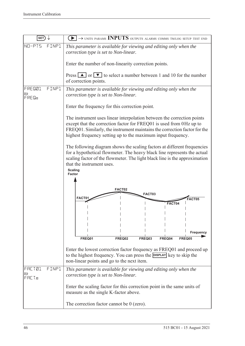| <b>SET</b>                  |       | $\rightarrow$ units params INPUTS outputs alarms comms tm/log setup test end                                                                                                                                                                                                                       |  |  |  |  |
|-----------------------------|-------|----------------------------------------------------------------------------------------------------------------------------------------------------------------------------------------------------------------------------------------------------------------------------------------------------|--|--|--|--|
| NO-PIS                      | FINP1 | This parameter is available for viewing and editing only when the<br>correction type is set to Non-linear.                                                                                                                                                                                         |  |  |  |  |
|                             |       | Enter the number of non-linearity correction points.                                                                                                                                                                                                                                               |  |  |  |  |
|                             |       | Press $\boxed{\blacktriangle}$ or $\boxed{\blacktriangledown}$ to select a number between 1 and 10 for the number<br>of correction points.                                                                                                                                                         |  |  |  |  |
| FRED01<br>to<br>$F$ REQ $n$ | FINP1 | This parameter is available for viewing and editing only when the<br>correction type is set to Non-linear.                                                                                                                                                                                         |  |  |  |  |
|                             |       | Enter the frequency for this correction point.                                                                                                                                                                                                                                                     |  |  |  |  |
|                             |       | The instrument uses linear interpolation between the correction points<br>except that the correction factor for FREQ01 is used from 0Hz up to<br>FREQ01. Similarly, the instrument maintains the correction factor for the<br>highest frequency setting up to the maximum input frequency.         |  |  |  |  |
|                             |       | The following diagram shows the scaling factors at different frequencies<br>for a hypothetical flowmeter. The heavy black line represents the actual<br>scaling factor of the flowmeter. The light black line is the approximation<br>that the instrument uses.<br><b>Scaling</b><br><b>Factor</b> |  |  |  |  |
|                             |       |                                                                                                                                                                                                                                                                                                    |  |  |  |  |
|                             |       | FACT02<br>FACT03                                                                                                                                                                                                                                                                                   |  |  |  |  |
|                             |       | FACT0<br><b>FACT05</b><br>FACT04                                                                                                                                                                                                                                                                   |  |  |  |  |
|                             |       |                                                                                                                                                                                                                                                                                                    |  |  |  |  |
|                             |       |                                                                                                                                                                                                                                                                                                    |  |  |  |  |
|                             |       |                                                                                                                                                                                                                                                                                                    |  |  |  |  |
|                             |       | <b>Frequency</b><br>FREQ02<br>FREQ03<br>FREQ04<br>FREQ01<br>FREQ05                                                                                                                                                                                                                                 |  |  |  |  |
|                             |       | Enter the lowest correction factor frequency as FREQ01 and proceed up<br>to the highest frequency. You can press the <b>DISPLAY</b> key to skip the<br>non-linear points and go to the next item.                                                                                                  |  |  |  |  |
| FACT01<br>to<br>F H L T n   | FINP1 | This parameter is available for viewing and editing only when the<br>correction type is set to Non-linear.                                                                                                                                                                                         |  |  |  |  |
|                             |       | Enter the scaling factor for this correction point in the same units of<br>measure as the single K-factor above.                                                                                                                                                                                   |  |  |  |  |
|                             |       | The correction factor cannot be $0$ (zero).                                                                                                                                                                                                                                                        |  |  |  |  |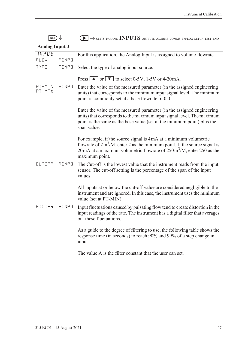| SET)                  |              | $\blacktriangleright$ $\rightarrow$ units params INPUTS outputs alarms comms tm/log setup test end                                                                                                                                                          |  |  |
|-----------------------|--------------|-------------------------------------------------------------------------------------------------------------------------------------------------------------------------------------------------------------------------------------------------------------|--|--|
| <b>Analog Input 3</b> |              |                                                                                                                                                                                                                                                             |  |  |
| <b>INPUE</b><br>FLOW  | AINP3        | For this application, the Analog Input is assigned to volume flowrate.                                                                                                                                                                                      |  |  |
| TYPE                  | <b>AINP3</b> | Select the type of analog input source.                                                                                                                                                                                                                     |  |  |
|                       |              | Press $\Box$ or $\Box$ to select 0-5V, 1-5V or 4-20mA.                                                                                                                                                                                                      |  |  |
| PT-MIN<br>PT-MRX      | <b>AINP3</b> | Enter the value of the measured parameter (in the assigned engineering<br>units) that corresponds to the minimum input signal level. The minimum<br>point is commonly set at a base flowrate of 0.0.                                                        |  |  |
|                       |              | Enter the value of the measured parameter (in the assigned engineering<br>units) that corresponds to the maximum input signal level. The maximum<br>point is the same as the base value (set at the minimum point) plus the<br>span value.                  |  |  |
|                       |              | For example, if the source signal is 4mA at a minimum volumetric<br>flowrate of $2m3/M$ , enter 2 as the minimum point. If the source signal is<br>20mA at a maximum volumetric flowrate of $250 \text{ m}^3/\text{M}$ , enter 250 as the<br>maximum point. |  |  |
| CUTOFF                | <b>AINP3</b> | The Cut-off is the lowest value that the instrument reads from the input<br>sensor. The cut-off setting is the percentage of the span of the input<br>values.                                                                                               |  |  |
|                       |              | All inputs at or below the cut-off value are considered negligible to the<br>instrument and are ignored. In this case, the instrument uses the minimum<br>value (set at PT-MIN).                                                                            |  |  |
| FILTER                | <b>AINP3</b> | Input fluctuations caused by pulsating flow tend to create distortion in the<br>input readings of the rate. The instrument has a digital filter that averages<br>out these fluctuations.                                                                    |  |  |
|                       |              | As a guide to the degree of filtering to use, the following table shows the<br>response time (in seconds) to reach 90% and 99% of a step change in<br>input.                                                                                                |  |  |
|                       |              | The value A is the filter constant that the user can set.                                                                                                                                                                                                   |  |  |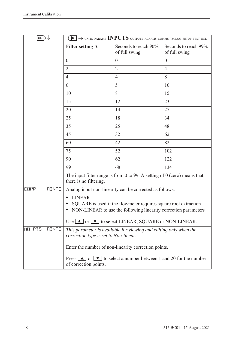| SET) $\downarrow$           | $\blacktriangleright$ $\rightarrow$ units params INPUTS outputs alarms comms tm/log setup test end                                                                                                                    |                                                                            |                                       |  |
|-----------------------------|-----------------------------------------------------------------------------------------------------------------------------------------------------------------------------------------------------------------------|----------------------------------------------------------------------------|---------------------------------------|--|
|                             | <b>Filter setting A</b>                                                                                                                                                                                               | Seconds to reach 90%<br>of full swing                                      | Seconds to reach 99%<br>of full swing |  |
|                             | $\theta$                                                                                                                                                                                                              | $\overline{0}$                                                             | $\boldsymbol{0}$                      |  |
|                             | $\overline{2}$                                                                                                                                                                                                        | $\overline{2}$                                                             | $\overline{4}$                        |  |
|                             | 4                                                                                                                                                                                                                     | $\overline{4}$                                                             | 8                                     |  |
|                             | 6                                                                                                                                                                                                                     | 5                                                                          | 10                                    |  |
|                             | 10                                                                                                                                                                                                                    | 8                                                                          | 15                                    |  |
|                             | 15                                                                                                                                                                                                                    | 12                                                                         | 23                                    |  |
|                             | 20                                                                                                                                                                                                                    | 14                                                                         | 27                                    |  |
|                             | 25                                                                                                                                                                                                                    | 18                                                                         | 34                                    |  |
|                             | 35                                                                                                                                                                                                                    | 25                                                                         | 48                                    |  |
|                             | 45                                                                                                                                                                                                                    | 32                                                                         | 62                                    |  |
|                             | 60                                                                                                                                                                                                                    | 42                                                                         | 82                                    |  |
|                             | 75                                                                                                                                                                                                                    | 52                                                                         | 102                                   |  |
|                             | 90                                                                                                                                                                                                                    | 62                                                                         | 122                                   |  |
|                             | 99                                                                                                                                                                                                                    | 68                                                                         | 134                                   |  |
|                             | there is no filtering.                                                                                                                                                                                                | The input filter range is from 0 to 99. A setting of $0$ (zero) means that |                                       |  |
| <b>AINP3</b><br><b>CORR</b> |                                                                                                                                                                                                                       | Analog input non-linearity can be corrected as follows:                    |                                       |  |
|                             | <b>LINEAR</b><br>SQUARE is used if the flowmeter requires square root extraction<br>NON-LINEAR to use the following linearity correction parameters<br>Use $\Box$ or $\nabla$ to select LINEAR, SQUARE or NON-LINEAR. |                                                                            |                                       |  |
| <b>AINP3</b><br>NO-PT5      | This parameter is available for viewing and editing only when the<br>correction type is set to Non-linear.                                                                                                            |                                                                            |                                       |  |
|                             | Enter the number of non-linearity correction points.                                                                                                                                                                  |                                                                            |                                       |  |
|                             | Press $\boxed{\blacktriangle}$ or $\boxed{\blacktriangledown}$ to select a number between 1 and 20 for the number<br>of correction points.                                                                            |                                                                            |                                       |  |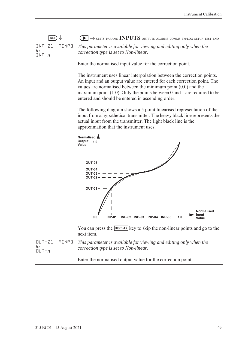| SET)                                          | $\rightarrow$ UNITS PARAMS INPUTS OUTPUTS ALARMS COMMS TM/LOG SETUP TEST END                                                                                                                                                                                                                                                                             |
|-----------------------------------------------|----------------------------------------------------------------------------------------------------------------------------------------------------------------------------------------------------------------------------------------------------------------------------------------------------------------------------------------------------------|
| $INP - Q1$<br><b>AINP3</b><br>to<br>$INP - n$ | This parameter is available for viewing and editing only when the<br>correction type is set to Non-linear.                                                                                                                                                                                                                                               |
|                                               | Enter the normalised input value for the correction point.                                                                                                                                                                                                                                                                                               |
|                                               | The instrument uses linear interpolation between the correction points.<br>An input and an output value are entered for each correction point. The<br>values are normalised between the minimum point $(0.0)$ and the<br>maximum point $(1.0)$ . Only the points between 0 and 1 are required to be<br>entered and should be entered in ascending order. |
|                                               | The following diagram shows a 5 point linearised representation of the<br>input from a hypothetical transmitter. The heavy black line represents the<br>actual input from the transmitter. The light black line is the<br>approximation that the instrument uses.                                                                                        |
|                                               | Normalised<br>Output<br>1.0<br>Value<br><b>OUT-05</b>                                                                                                                                                                                                                                                                                                    |
|                                               | <b>OUT-04</b><br><b>OUT-03</b><br><b>OUT-02</b>                                                                                                                                                                                                                                                                                                          |
|                                               | <b>OUT-01</b>                                                                                                                                                                                                                                                                                                                                            |
|                                               | Normalised<br>Input<br><b>INP-01</b><br><b>INP-02</b><br><b>INP-04</b><br><b>INP-05</b><br>0.0<br><b>INP-03</b><br>1.0<br>Value                                                                                                                                                                                                                          |
|                                               | You can press the <b>DISPLAY</b> key to skip the non-linear points and go to the<br>next item.                                                                                                                                                                                                                                                           |
| $OUT-01$<br><b>AINP3</b><br>to<br>[[]]        | This parameter is available for viewing and editing only when the<br>correction type is set to Non-linear.                                                                                                                                                                                                                                               |
|                                               | Enter the normalised output value for the correction point.                                                                                                                                                                                                                                                                                              |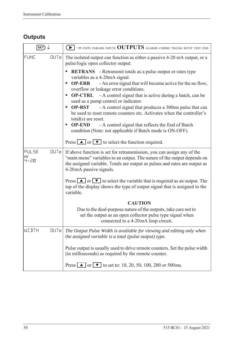### **Outputs**

| SET)                                          | $\textcolor{blue}{\blacktriangleright} \rightarrow$ units params inputs $\textcolor{blue}{\text{OUTPUTS}}$ alarms comms tm/log setup test end                                                                                                                                                                                                                                                                                                                                                                                                                                                                                                                                                                                                                                                                          |
|-----------------------------------------------|------------------------------------------------------------------------------------------------------------------------------------------------------------------------------------------------------------------------------------------------------------------------------------------------------------------------------------------------------------------------------------------------------------------------------------------------------------------------------------------------------------------------------------------------------------------------------------------------------------------------------------------------------------------------------------------------------------------------------------------------------------------------------------------------------------------------|
| FUNE<br>$\Box$ $\Box$ $\Box$ $n$              | The isolated output can function as either a passive 4-20 mA output, or a<br>pulse/logic open collector output:                                                                                                                                                                                                                                                                                                                                                                                                                                                                                                                                                                                                                                                                                                        |
|                                               | <b>RETRANS</b> - Retransmit totals as a pulse output or rates type<br>variables as a 4-20mA signal.<br><b>OP-ERR</b><br>- An error signal that will become active for the no flow,<br>$\bullet$<br>overflow or leakage error conditions.<br><b>OP-CTRL</b> - A control signal that is active during a batch, can be<br>$\bullet$<br>used as a pump control or indicator.<br><b>OP-RST</b><br>- A control signal that produces a 300ms pulse that can<br>$\bullet$<br>be used to reset remote counters etc. Activates when the controller's<br>$total(s)$ are reset.<br><b>OP-END</b><br>- A control signal that reflects the End of Batch<br>$\bullet$<br>condition (Note: not applicable if Batch mode is ON-OFF).<br>Press $\boxed{\blacktriangle}$ or $\boxed{\blacktriangledown}$ to select the function required. |
| PULSE<br>$\Box$ $\Box$ $\Box n$<br>or<br>4-20 | If above function is set for retransmission, you can assign any of the<br>"main menu" variables to an output. The nature of the output depends on<br>the assigned variable. Totals are output as pulses and rates are output as<br>4-20 mA passive signals.<br>Press $\Box$ or $\nabla$ to select the variable that is required as an output. The<br>top of the display shows the type of output signal that is assigned to the<br>variable.                                                                                                                                                                                                                                                                                                                                                                           |
|                                               | <b>CAUTION</b>                                                                                                                                                                                                                                                                                                                                                                                                                                                                                                                                                                                                                                                                                                                                                                                                         |
|                                               | Due to the dual-purpose nature of the outputs, take care not to<br>set the output as an open collector pulse type signal when<br>connected to a 4-20mA loop circuit.                                                                                                                                                                                                                                                                                                                                                                                                                                                                                                                                                                                                                                                   |
| WIJTH<br>$\Box$ $\Box$ $\Box$ $n$             | The Output Pulse Width is available for viewing and editing only when<br>the assigned variable is a total (pulse output) type.                                                                                                                                                                                                                                                                                                                                                                                                                                                                                                                                                                                                                                                                                         |
|                                               | Pulse output is usually used to drive remote counters. Set the pulse width<br>(in milliseconds) as required by the remote counter.                                                                                                                                                                                                                                                                                                                                                                                                                                                                                                                                                                                                                                                                                     |
|                                               | Press $\boxed{\blacktriangle}$ or $\boxed{\blacktriangledown}$ to set to: 10, 20, 50, 100, 200 or 500 ms.                                                                                                                                                                                                                                                                                                                                                                                                                                                                                                                                                                                                                                                                                                              |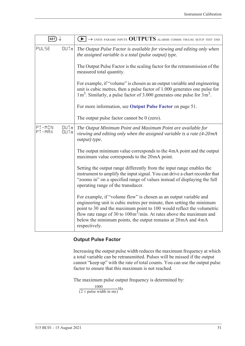| SET)                                   |                                                                                                                                                                                                                                                                                                                                                                                               |
|----------------------------------------|-----------------------------------------------------------------------------------------------------------------------------------------------------------------------------------------------------------------------------------------------------------------------------------------------------------------------------------------------------------------------------------------------|
| PULSE<br>$\Box$ $\Box$ $\Box$ $n$      | The Output Pulse Factor is available for viewing and editing only when<br>the assigned variable is a total (pulse output) type.                                                                                                                                                                                                                                                               |
|                                        | The Output Pulse Factor is the scaling factor for the retransmission of the<br>measured total quantity.                                                                                                                                                                                                                                                                                       |
|                                        | For example, if "volume" is chosen as an output variable and engineering<br>unit is cubic metres, then a pulse factor of 1.000 generates one pulse for<br>$1 \text{ m}^3$ . Similarly, a pulse factor of 3.000 generates one pulse for $3 \text{ m}^3$ .                                                                                                                                      |
|                                        | For more information, see Output Pulse Factor on page 51.                                                                                                                                                                                                                                                                                                                                     |
|                                        | The output pulse factor cannot be $0$ (zero).                                                                                                                                                                                                                                                                                                                                                 |
| PT-MIN<br>$QU$ T $n$<br>QUTn<br>PT-MAX | The Output Minimum Point and Maximum Point are available for<br>viewing and editing only when the assigned variable is a rate (4-20mA<br>output) type.                                                                                                                                                                                                                                        |
|                                        | The output minimum value corresponds to the 4mA point and the output<br>maximum value corresponds to the 20mA point.                                                                                                                                                                                                                                                                          |
|                                        | Setting the output range differently from the input range enables the<br>instrument to amplify the input signal. You can drive a chart recorder that<br>"zooms in" on a specified range of values instead of displaying the full<br>operating range of the transducer.                                                                                                                        |
|                                        | For example, if "volume flow" is chosen as an output variable and<br>engineering unit is cubic metres per minute, then setting the minimum<br>point to 30 and the maximum point to 100 would reflect the volumetric<br>flow rate range of 30 to $100 \text{m}^3/\text{min}$ . At rates above the maximum and<br>below the minimum points, the output remains at 20mA and 4mA<br>respectively. |

#### <span id="page-60-0"></span>**Output Pulse Factor**

Increasing the output pulse width reduces the maximum frequency at which a total variable can be retransmitted. Pulses will be missed if the output cannot "keep up" with the rate of total counts. You can use the output pulse factor to ensure that this maximum is not reached.

The maximum pulse output frequency is determined by:

```
1000
\frac{1000}{(2 \times \text{pulse width in ms})}Hz
```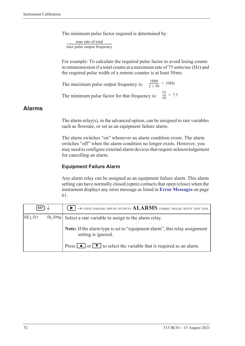The minimum pulse factor required is determined by:

max rate of total max pulse output frequency ------------------------------------------------------------------

For example: To calculate the required pulse factor to avoid losing counts in retransmission if a total counts at a maximum rate of 75 units/sec (Hz) and the required pulse width of a remote counter is at least 50ms:

The maximum pulse output frequency is:  $\frac{1000}{2 \times 50}$  = 10Hz

The minimum pulse factor for that frequency is:  $\frac{75}{10}$  $\frac{73}{10}$  = 7.5

#### **Alarms**

The alarm relay(s), in the advanced option, can be assigned to rate variables such as flowrate, or set as an equipment failure alarm.

The alarm switches "on" whenever an alarm condition exists. The alarm switches "off" when the alarm condition no longer exists. However, you may need to configure external alarm devices that require acknowledgement for cancelling an alarm.

#### **Equipment Failure Alarm**

Any alarm relay can be assigned as an equipment failure alarm. This alarm setting can have normally closed (open) contacts that open (close) when the instrument displays any error message as listed in **[Error Messages](#page-70-1)** on page [61](#page-70-1).

| SET)  | $\textcolor{blue}{\blacktriangleright} \rightarrow$ units params inputs outputs $ALARMS$ comms tm/log setup test end |
|-------|----------------------------------------------------------------------------------------------------------------------|
| RELAY | $\left  \mathsf{RLRM} \right $ Select a rate variable to assign to the alarm relay.                                  |
|       | Note: If the alarm type is set to "equipment alarm", this relay assignment<br>setting is ignored.                    |
|       | Press $\Box$ or $\nabla$ to select the variable that is required as an alarm.                                        |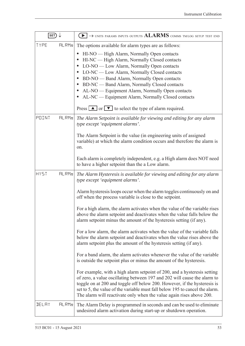| SET)                 | $\blacktriangleright$ $\rightarrow$ units params inputs outputs $ALARMS$ comms tm/log setup test end                                                                                                                                                                                                                                                                                                                                                                                                                                                                                                                                                                                                                                                                                                                                                                                                                                                                                                                                                                                                                                                                                                                                                          |
|----------------------|---------------------------------------------------------------------------------------------------------------------------------------------------------------------------------------------------------------------------------------------------------------------------------------------------------------------------------------------------------------------------------------------------------------------------------------------------------------------------------------------------------------------------------------------------------------------------------------------------------------------------------------------------------------------------------------------------------------------------------------------------------------------------------------------------------------------------------------------------------------------------------------------------------------------------------------------------------------------------------------------------------------------------------------------------------------------------------------------------------------------------------------------------------------------------------------------------------------------------------------------------------------|
| TYPE<br>HLRMn        | The options available for alarm types are as follows:<br>HI-NO — High Alarm, Normally Open contacts<br>$\bullet$<br>HI-NC — High Alarm, Normally Closed contacts<br>LO-NO - Low Alarm, Normally Open contacts<br>$\bullet$<br>LO-NC — Low Alarm, Normally Closed contacts<br>$\bullet$<br>BD-NO - Band Alarm, Normally Open contacts<br>BD-NC — Band Alarm, Normally Closed contacts<br>$\bullet$<br>AL-NO — Equipment Alarm, Normally Open contacts<br>$\bullet$<br>AL-NC — Equipment Alarm, Normally Closed contacts<br>Press $\boxed{\blacktriangle}$ or $\boxed{\blacktriangledown}$ to select the type of alarm required.                                                                                                                                                                                                                                                                                                                                                                                                                                                                                                                                                                                                                                |
| POINT<br>HLRMn       | The Alarm Setpoint is available for viewing and editing for any alarm<br>type except 'equipment alarms'.<br>The Alarm Setpoint is the value (in engineering units of assigned<br>variable) at which the alarm condition occurs and therefore the alarm is<br>on.<br>Each alarm is completely independent, e.g. a High alarm does NOT need<br>to have a higher setpoint than the a Low alarm.                                                                                                                                                                                                                                                                                                                                                                                                                                                                                                                                                                                                                                                                                                                                                                                                                                                                  |
| <b>HY5T</b><br>HLRMn | The Alarm Hysteresis is available for viewing and editing for any alarm<br>type except 'equipment alarms'.<br>Alarm hysteresis loops occur when the alarm toggles continuously on and<br>off when the process variable is close to the setpoint.<br>For a high alarm, the alarm activates when the value of the variable rises<br>above the alarm setpoint and deactivates when the value falls below the<br>alarm setpoint minus the amount of the hysteresis setting (if any).<br>For a low alarm, the alarm activates when the value of the variable falls<br>below the alarm setpoint and deactivates when the value rises above the<br>alarm setpoint plus the amount of the hysteresis setting (if any).<br>For a band alarm, the alarm activates whenever the value of the variable<br>is outside the setpoint plus or minus the amount of the hysteresis.<br>For example, with a high alarm setpoint of 200, and a hysteresis setting<br>of zero, a value oscillating between 197 and 202 will cause the alarm to<br>toggle on at 200 and toggle off below 200. However, if the hysteresis is<br>set to 5, the value of the variable must fall below 195 to cancel the alarm.<br>The alarm will reactivate only when the value again rises above 200. |
| HLRMn<br>JELAY       | The Alarm Delay is programmed in seconds and can be used to eliminate<br>undesired alarm activation during start-up or shutdown operation.                                                                                                                                                                                                                                                                                                                                                                                                                                                                                                                                                                                                                                                                                                                                                                                                                                                                                                                                                                                                                                                                                                                    |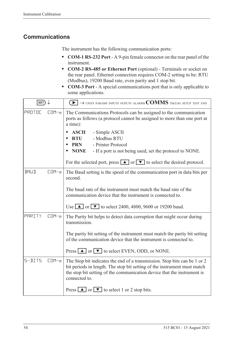#### **Communications**

The instrument has the following communication ports:

- **• COM-1 RS-232 Port** A 9-pin female connector on the rear panel of the instrument.
- **• COM-2 RS-485 or Ethernet Port** (optional) Terminals or socket on the rear panel. Ethernet connection requires COM-2 setting to be: RTU (Modbus), 19200 Baud rate, even parity and 1 stop bit.
- **• COM-3 Port** A special communications port that is only applicable to some applications.

| SET)                     | $\blacktriangleright$ $\rightarrow$ units params inputs ouputs alarms COMMS tmlog setup test end                                                                                                                                                                                                                                                |
|--------------------------|-------------------------------------------------------------------------------------------------------------------------------------------------------------------------------------------------------------------------------------------------------------------------------------------------------------------------------------------------|
| PROTOC<br>$CDM - n$      | The Communications Protocols can be assigned to the communication<br>ports as follows (a protocol cannot be assigned to more than one port at<br>a time):<br><b>ASCII</b><br>- Simple ASCII<br>- Modbus RTU<br><b>RTU</b><br>- Printer Protocol<br><b>PRN</b><br><b>NONE</b><br>- If a port is not being used, set the protocol to NONE.        |
|                          | For the selected port, press $\boxed{\blacktriangle}$ or $\boxed{\blacktriangledown}$ to select the desired protocol.                                                                                                                                                                                                                           |
| <b>BAUD</b><br>$CDM - n$ | The Baud setting is the speed of the communication port in data bits per<br>second.<br>The baud rate of the instrument must match the baud rate of the<br>communication device that the instrument is connected to.<br>Use <u>1</u> or <b>v</b> to select 2400, 4800, 9600 or 19200 baud.                                                       |
| PARITY<br>$CDM - n$      | The Parity bit helps to detect data corruption that might occur during<br>transmission.<br>The parity bit setting of the instrument must match the parity bit setting<br>of the communication device that the instrument is connected to.<br>Press $\Box$ or $\nabla$ to select EVEN, ODD, or NONE.                                             |
| $5 - 3115$<br>$CDM - n$  | The Stop bit indicates the end of a transmission. Stop bits can be 1 or 2<br>bit periods in length. The stop bit setting of the instrument must match<br>the stop bit setting of the communication device that the instrument is<br>connected to.<br>Press $\boxed{\blacktriangle}$ or $\boxed{\blacktriangledown}$ to select 1 or 2 stop bits. |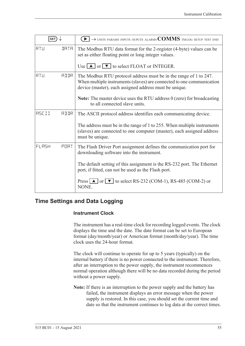| <b>SET</b>   |             | $\rightarrow$ units params inputs ouputs alarms $COMMS$ tm/log setup test end                                                                                                                                                                                                                                                       |
|--------------|-------------|-------------------------------------------------------------------------------------------------------------------------------------------------------------------------------------------------------------------------------------------------------------------------------------------------------------------------------------|
| RTU          | <b>IRTR</b> | The Modbus RTU data format for the 2-register (4-byte) values can be<br>set as either floating point or long integer values.<br>Use $\Box$ or $\nabla$ to select FLOAT or INTEGER.                                                                                                                                                  |
| RTU          | <b>ATTR</b> | The Modbus RTU protocol address must be in the range of 1 to 247.<br>When multiple instruments (slaves) are connected to one communication<br>device (master), each assigned address must be unique.<br><b>Note:</b> The master device uses the RTU address 0 (zero) for broadcasting<br>to all connected slave units.              |
| <b>RSCII</b> | <b>ATTR</b> | The ASCII protocol address identifies each communicating device.<br>The address must be in the range of 1 to 255. When multiple instruments<br>(slaves) are connected to one computer (master), each assigned address<br>must be unique.                                                                                            |
| FLASH        | PORT        | The Flash Driver Port assignment defines the communication port for<br>downloading software into the instrument.<br>The default setting of this assignment is the RS-232 port. The Ethernet<br>port, if fitted, can not be used as the Flash port.<br>Press $\Box$ or $\nabla$ to select RS-232 (COM-1), RS-485 (COM-2) or<br>NONE. |

#### **Time Settings and Data Logging**

#### **Instrument Clock**

The instrument has a real-time clock for recording logged events. The clock displays the time and the date. The date format can be set to European format (day/month/year) or American format (month/day/year). The time clock uses the 24-hour format.

The clock will continue to operate for up to 5 years (typically) on the internal battery if there is no power connected to the instrument. Therefore, after an interruption to the power supply, the instrument recommences normal operation although there will be no data recorded during the period without a power supply.

**Note:** If there is an interruption to the power supply and the battery has failed, the instrument displays an error message when the power supply is restored. In this case, you should set the current time and date so that the instrument continues to log data at the correct times.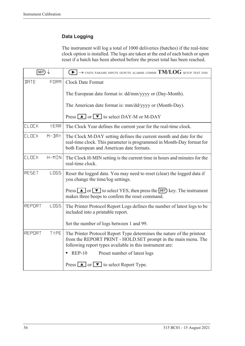#### **Data Logging**

The instrument will log a total of 1000 deliveries (batches) if the real-time clock option is installed. The logs are taken at the end of each batch or upon reset if a batch has been aborted before the preset total has been reached.

| SET)         |             | $\rightarrow$ units params inputs ouputs alarms comms $\mathrm{TM/LOG}$ setup test end<br>$\blacktriangleright$ 1                                                                                   |
|--------------|-------------|-----------------------------------------------------------------------------------------------------------------------------------------------------------------------------------------------------|
| <b>JATE</b>  | FORM        | <b>Clock Date Format</b>                                                                                                                                                                            |
|              |             | The European date format is: dd/mm/yyyy or (Day-Month).                                                                                                                                             |
|              |             | The American date format is: mm/dd/yyyy or (Month-Day).                                                                                                                                             |
|              |             | Press $\boxed{\blacktriangle}$ or $\boxed{\blacktriangledown}$ to select DAY-M or M-DAY                                                                                                             |
| <b>CLOCK</b> | YEAR        | The Clock Year defines the current year for the real-time clock.                                                                                                                                    |
| <b>CLOCK</b> | $M - JHY$   | The Clock M-DAY setting defines the current month and date for the<br>real-time clock. This parameter is programmed in Month-Day format for<br>both European and American date formats.             |
| <b>CLOCK</b> | H-MIN       | The Clock H-MIN setting is the current time in hours and minutes for the<br>real-time clock.                                                                                                        |
| RESET        | <b>LOGS</b> | Reset the logged data. You may need to reset (clear) the logged data if<br>you change the time/log settings.                                                                                        |
|              |             | Press $\Box$ or $\nabla$ to select YES, then press the <b>SET</b> ) key. The instrument<br>makes three beeps to confirm the reset command.                                                          |
| REPORT       | <b>LOGS</b> | The Printer Protocol Report Logs defines the number of latest logs to be<br>included into a printable report.                                                                                       |
|              |             | Set the number of logs between 1 and 99.                                                                                                                                                            |
| REPORT       | TYPE        | The Printer Protocol Report Type determines the nature of the printout<br>from the REPORT PRINT - HOLD.SET prompt in the main menu. The<br>following report types available in this instrument are: |
|              |             | <b>REP-10</b><br>Preset number of latest logs                                                                                                                                                       |
|              |             | Press $\boxed{\blacktriangle}$ or $\boxed{\blacktriangledown}$ to select Report Type.                                                                                                               |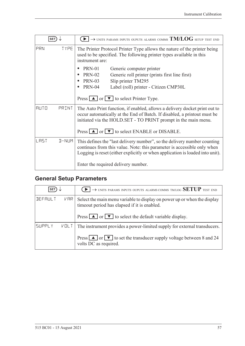| <b>SET</b>           | $\rightarrow$ units params inputs ouputs alarms comms $\mathrm{TM}/\mathrm{LOG}$ setup test end                                                                                                                                                                                                                      |
|----------------------|----------------------------------------------------------------------------------------------------------------------------------------------------------------------------------------------------------------------------------------------------------------------------------------------------------------------|
| TYPE<br>PRN          | The Printer Protocol Printer Type allows the nature of the printer being<br>used to be specified. The following printer types available in this<br>instrument are:                                                                                                                                                   |
|                      | <b>PRN-01</b><br>Generic computer printer<br>$\bullet$<br><b>PRN-02</b><br>Generic roll printer (prints first line first)<br><b>PRN-03</b><br>Slip printer TM295<br><b>PRN-04</b><br>Label (roll) printer - Citizen CMP30L<br>Press $\boxed{\blacktriangle}$ or $\boxed{\blacktriangledown}$ to select Printer Type. |
| <b>RUTO</b><br>PRINT | The Auto Print function, if enabled, allows a delivery docket print out to<br>occur automatically at the End of Batch. If disabled, a printout must be<br>initiated via the HOLD.SET - TO PRINT prompt in the main menu.<br>Press $\Box$ or $\nabla$ to select ENABLE or DISABLE.                                    |
| LAST<br>$J - N LM$   | This defines the "last delivery number", so the delivery number counting<br>continues from this value. Note: this parameter is accessible only when<br>Logging is reset (either explicitly or when application is loaded into unit).<br>Enter the required delivery number.                                          |

### <span id="page-66-0"></span>**General Setup Parameters**

| <b>SET</b>     |            | $\rightarrow$ units params inputs ouputs alarms comms tm/log $SETUP$ test end                                            |
|----------------|------------|--------------------------------------------------------------------------------------------------------------------------|
| <b>JEFAULT</b> | $V$ RR $ $ | Select the main menu variable to display on power up or when the display<br>timeout period has elapsed if it is enabled. |
|                |            | Press $\Box$ or $\Box$ to select the default variable display.                                                           |
| <b>SUPPLY</b>  | VCLT       | The instrument provides a power-limited supply for external transducers.                                                 |
|                |            | Press $\Box$ or $\Box$ to set the transducer supply voltage between 8 and 24<br>volts DC as required.                    |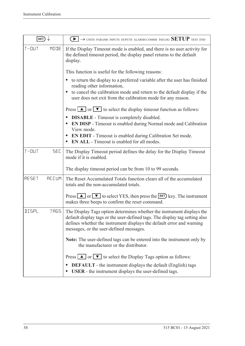| SET)                    | $\rightarrow$ units params inputs ouputs alarms comms tm/log SETUP test end                                                                                                                                                                                               |
|-------------------------|---------------------------------------------------------------------------------------------------------------------------------------------------------------------------------------------------------------------------------------------------------------------------|
| $T - 11T$<br>MODE       | If the Display Timeout mode is enabled, and there is no user activity for<br>the defined timeout period, the display panel returns to the default<br>display.                                                                                                             |
|                         | This function is useful for the following reasons:                                                                                                                                                                                                                        |
|                         | to return the display to a preferred variable after the user has finished<br>$\bullet$<br>reading other information,                                                                                                                                                      |
|                         | to cancel the calibration mode and return to the default display if the<br>user does not exit from the calibration mode for any reason.                                                                                                                                   |
|                         | Press $\boxed{\blacktriangle}$ or $\boxed{\blacktriangledown}$ to select the display timeout function as follows:                                                                                                                                                         |
|                         | <b>DISABLE</b> - Timeout is completely disabled.<br>$\bullet$<br><b>EN DISP</b> - Timeout is enabled during Normal mode and Calibration<br>$\bullet$<br>View mode.                                                                                                        |
|                         | EN EDIT - Timeout is enabled during Calibration Set mode.<br>$\bullet$<br><b>EN ALL</b> - Timeout is enabled for all modes.<br>$\bullet$                                                                                                                                  |
| <b>SEC</b><br>$T - 11T$ | The Display Timeout period defines the delay for the Display Timeout<br>mode if it is enabled.                                                                                                                                                                            |
|                         | The display timeout period can be from 10 to 99 seconds.                                                                                                                                                                                                                  |
| RESET<br><b>REEUM</b>   | The Reset Accumulated Totals function clears all of the accumulated<br>totals and the non-accumulated totals.                                                                                                                                                             |
|                         | Press $\Box$ or $\nabla$ to select YES, then press the <b>SET</b> ) key. The instrument<br>makes three beeps to confirm the reset command.                                                                                                                                |
| <b>JISPL</b><br>TRG5    | The Display Tags option determines whether the instrument displays the<br>default display tags or the user-defined tags. The display tag setting also<br>defines whether the instrument displays the default error and warning<br>messages, or the user-defined messages. |
|                         | Note: The user-defined tags can be entered into the instrument only by<br>the manufacturer or the distributor.                                                                                                                                                            |
|                         | Press $\boxed{\blacktriangle}$ or $\boxed{\blacktriangledown}$ to select the Display Tags option as follows:                                                                                                                                                              |
|                         | <b>DEFAULT</b> - the instrument displays the default (English) tags<br>$\bullet$<br>USER - the instrument displays the user-defined tags.                                                                                                                                 |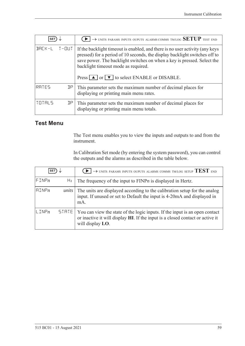| SE1           |           | $\rightarrow$ units params inputs ouputs alarms comms tm/log SETUP test end                                                                                                                                                                                                                                                           |
|---------------|-----------|---------------------------------------------------------------------------------------------------------------------------------------------------------------------------------------------------------------------------------------------------------------------------------------------------------------------------------------|
| $B H L K - L$ | $T - GUT$ | If the backlight timeout is enabled, and there is no user activity (any keys<br>pressed) for a period of 10 seconds, the display backlight switches off to<br>save power. The backlight switches on when a key is pressed. Select the<br>backlight timeout mode as required.<br>Press $\Box$ or $\nabla$ to select ENABLE or DISABLE. |
| RATES         | ηp        | This parameter sets the maximum number of decimal places for<br>displaying or printing main menu rates.                                                                                                                                                                                                                               |
| TOTALS        | IJΡ       | This parameter sets the maximum number of decimal places for<br>displaying or printing main menu totals.                                                                                                                                                                                                                              |

#### **Test Menu**

The Test menu enables you to view the inputs and outputs to and from the instrument.

In Calibration Set mode (by entering the system password), you can control the outputs and the alarms as described in the table below.

| <b>SET</b>  |       | $\rightarrow$ units params inputs ouputs alarms comms tm/log setup $\mathrm{TEST}$ end                                                                                           |
|-------------|-------|----------------------------------------------------------------------------------------------------------------------------------------------------------------------------------|
| FINPn       | Hz    | The frequency of the input to $FINPn$ is displayed in Hertz.                                                                                                                     |
| HINPn       | units | The units are displayed according to the calibration setup for the analog<br>input. If unused or set to Default the input is 4-20mA and displayed in<br>mA.                      |
| $L$ INP $n$ | STRTE | You can view the state of the logic inputs. If the input is an open contact<br>or inactive it will display HI. If the input is a closed contact or active it<br>will display LO. |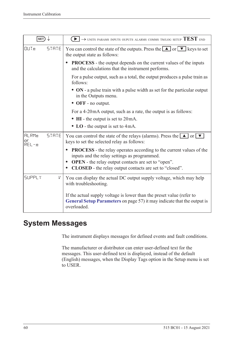| SET)                              |       | $\rightarrow$ units params inputs ouputs alarms comms tm/log setup $\mathrm{TEST}$ end                                                                                 |
|-----------------------------------|-------|------------------------------------------------------------------------------------------------------------------------------------------------------------------------|
| QUTn                              | STRTE | You can control the state of the outputs. Press the $\Box$ or $\nabla$ keys to set<br>the output state as follows:                                                     |
|                                   |       | <b>PROCESS</b> - the output depends on the current values of the inputs<br>and the calculations that the instrument performs.                                          |
|                                   |       | For a pulse output, such as a total, the output produces a pulse train as<br>follows:                                                                                  |
|                                   |       | • ON - a pulse train with a pulse width as set for the particular output<br>in the Outputs menu.                                                                       |
|                                   |       | • OFF - no output.                                                                                                                                                     |
|                                   |       | For a 4-20 mA output, such as a rate, the output is as follows:                                                                                                        |
|                                   |       | • HI - the output is set to 20mA.                                                                                                                                      |
|                                   |       | • LO - the output is set to 4mA.                                                                                                                                       |
| HLRMn<br><sub>or</sub><br>$REL-n$ | STRTE | You can control the state of the relays (alarms). Press the $\Box$ or $\nabla$<br>keys to set the selected relay as follows:                                           |
|                                   |       | <b>PROCESS</b> - the relay operates according to the current values of the<br>inputs and the relay settings as programmed.                                             |
|                                   |       | <b>OPEN</b> - the relay output contacts are set to "open".<br>$\bullet$<br>CLOSED - the relay output contacts are set to "closed".                                     |
| <b>SUPPLY</b>                     | V     | You can display the actual DC output supply voltage, which may help<br>with troubleshooting.                                                                           |
|                                   |       | If the actual supply voltage is lower than the preset value (refer to<br><b>General Setup Parameters</b> on page 57) it may indicate that the output is<br>overloaded. |

# **System Messages**

The instrument displays messages for defined events and fault conditions.

The manufacturer or distributor can enter user-defined text for the messages. This user-defined text is displayed, instead of the default (English) messages, when the Display Tags option in the Setup menu is set to USER.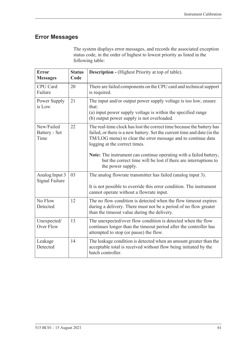### <span id="page-70-1"></span><span id="page-70-0"></span>**Error Messages**

The system displays error messages, and records the associated exception status code, in the order of highest to lowest priority as listed in the following table:

| <b>Error</b><br><b>Messages</b>     | <b>Status</b><br>Code | Description - (Highest Priority at top of table).                                                                                                                                                                                                  |
|-------------------------------------|-----------------------|----------------------------------------------------------------------------------------------------------------------------------------------------------------------------------------------------------------------------------------------------|
| CPU Card<br>Failure                 | 20                    | There are failed components on the CPU card and technical support<br>is required.                                                                                                                                                                  |
| Power Supply<br>is Low              | 21                    | The input and/or output power supply voltage is too low, ensure<br>that:<br>(a) input power supply voltage is within the specified range<br>(b) output power supply is not overloaded.                                                             |
| New/Failed<br>Battery - Set<br>Time | 22                    | The real-time clock has lost the correct time because the battery has<br>failed, or there is a new battery. Set the current time and date (in the<br>TM/LOG menu) to clear the error message and to continue data<br>logging at the correct times. |
|                                     |                       | Note: The instrument can continue operating with a failed battery,<br>but the correct time will be lost if there are interruptions to<br>the power supply.                                                                                         |
| Analog Input 3<br>Signal Failure    | 03                    | The analog flowrate transmitter has failed (analog input 3).<br>It is not possible to override this error condition. The instrument<br>cannot operate without a flowrate input.                                                                    |
| No Flow<br>Detected                 | 12                    | The no flow condition is detected when the flow timeout expires<br>during a delivery. There must not be a period of no flow greater<br>than the timeout value during the delivery.                                                                 |
| Unexpected/<br><b>Over Flow</b>     | 13                    | The unexpected/over flow condition is detected when the flow<br>continues longer than the timeout period after the controller has<br>attempted to stop (or pause) the flow.                                                                        |
| Leakage<br>Detected                 | 14                    | The leakage condition is detected when an amount greater than the<br>acceptable total is received without flow being initiated by the<br>batch controller.                                                                                         |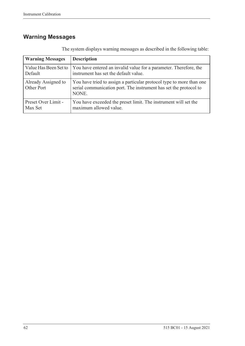### **Warning Messages**

| <b>Warning Messages</b>           | <b>Description</b>                                                                                                                                 |
|-----------------------------------|----------------------------------------------------------------------------------------------------------------------------------------------------|
| Value Has Been Set to             | You have entered an invalid value for a parameter. Therefore, the                                                                                  |
| Default                           | instrument has set the default value.                                                                                                              |
| Already Assigned to<br>Other Port | You have tried to assign a particular protocol type to more than one<br>serial communication port. The instrument has set the protocol to<br>NONE. |
| Preset Over Limit -               | You have exceeded the preset limit. The instrument will set the                                                                                    |
| Max Set                           | maximum allowed value.                                                                                                                             |

The system displays warning messages as described in the following table: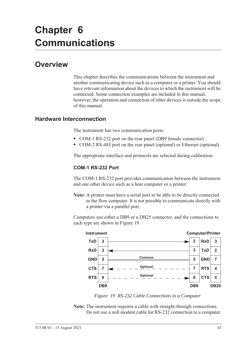# **Chapter 6 Communications**

# **Overview**

<span id="page-72-2"></span>This chapter describes the communications between the instrument and another communicating device such as a computer or a printer. You should have relevant information about the devices to which the instrument will be connected. Some connection examples are included in this manual, however, the operation and connection of other devices is outside the scope of this manual.

# **Hardware Interconnection**

<span id="page-72-3"></span>The instrument has two communication ports:

- **•** COM-1 RS-232 port on the rear panel (DB9 female connector)
- **•** COM-2 RS-485 port on the rear panel (optional) or Ethernet (optional)

The appropriate interface and protocols are selected during calibration.

#### <span id="page-72-1"></span>**COM-1 RS-232 Port**

The COM-1 RS-232 port provides communication between the instrument and one other device such as a host computer or a printer.

**Note:** A printer must have a serial port to be able to be directly connected to the flow computer. It is not possible to communicate directly with a printer via a parallel port.

Computers use either a DB9 or a DB25 connector, and the connections to each type are shown in [Figure 19.](#page-72-0)



*Figure 19 RS-232 Cable Connections to a Computer*

<span id="page-72-0"></span>**Note:** The instrument requires a cable with straight-through connections. Do not use a null modem cable for RS-232 connection to a computer.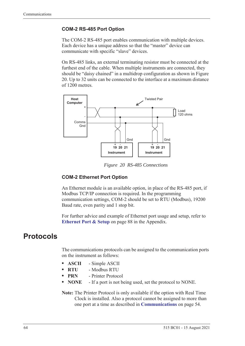### <span id="page-73-1"></span>**COM-2 RS-485 Port Option**

The COM-2 RS-485 port enables communication with multiple devices. Each device has a unique address so that the "master" device can communicate with specific "slave" devices.

On RS-485 links, an external terminating resistor must be connected at the furthest end of the cable. When multiple instruments are connected, they should be "daisy chained" in a multidrop configuration as shown in Figure [20](#page-73-0). Up to 32 units can be connected to the interface at a maximum distance of 1200 metres.



<span id="page-73-3"></span>*Figure 20 RS-485 Connections*

### <span id="page-73-0"></span>**COM-2 Ethernet Port Option**

An Ethernet module is an available option, in place of the RS-485 port, if Modbus TCP/IP connection is required. In the programming communication settings, COM-2 should be set to RTU (Modbus), 19200 Baud rate, even parity and 1 stop bit.

<span id="page-73-2"></span>For further advice and example of Ethernet port usage and setup, refer to **[Ethernet Port & Setup](#page-97-0)** on page 88 in the Appendix.

# **Protocols**

The communications protocols can be assigned to the communication ports on the instrument as follows:

- **• ASCII** Simple ASCII
- **• RTU** Modbus RTU
- **• PRN** Printer Protocol
- **NONE** If a port is not being used, set the protocol to NONE.

**Note:** The Printer Protocol is only available if the option with Real Time Clock is installed. Also a protocol cannot be assigned to more than one port at a time as described in **[Communications](#page-63-0)** on page 54.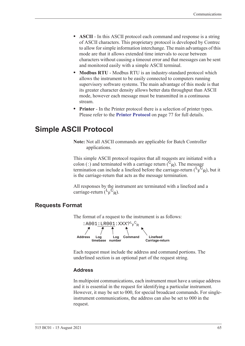- **• ASCII** In this ASCII protocol each command and response is a string of ASCII characters. This proprietary protocol is developed by Contrec to allow for simple information interchange. The main advantages of this mode are that it allows extended time intervals to occur between characters without causing a timeout error and that messages can be sent and monitored easily with a simple ASCII terminal.
- **• Modbus RTU** Modbus RTU is an industry-standard protocol which allows the instrument to be easily connected to computers running supervisory software systems. The main advantage of this mode is that its greater character density allows better data throughput than ASCII mode, however each message must be transmitted in a continuous stream.
- <span id="page-74-1"></span>**• Printer** - In the Printer protocol there is a selection of printer types. Please refer to the **[Printer Protocol](#page-86-0)** on page 77 for full details.

# **Simple ASCII Protocol**

**Note:** Not all ASCII commands are applicable for Batch Controller applications.

This simple ASCII protocol requires that all requests are initiated with a colon (:) and terminated with a carriage return  $\binom{C_R}{R}$ . The message termination can include a linefeed before the carriage-return  $(\mathsf{L}_\mathsf{F}^\mathsf{C}_{\mathsf{R}})$ , but it is the carriage-return that acts as the message termination.

<span id="page-74-2"></span>All responses by the instrument are terminated with a linefeed and a carriage-return  $\begin{pmatrix} L & C \\ F & R \end{pmatrix}$ .

### **Requests Format**

The format of a request to the instrument is as follows:



Each request must include the address and command portions. The underlined section is an optional part of the request string.

#### <span id="page-74-0"></span>**Address**

In multipoint communications, each instrument must have a unique address and it is essential in the request for identifying a particular instrument. However, it may be set to 000, for special broadcast commands. For singleinstrument communications, the address can also be set to 000 in the request.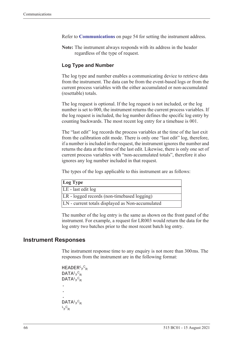Refer to **[Communications](#page-63-0)** on page 54 for setting the instrument address.

**Note:** The instrument always responds with its address in the header regardless of the type of request.

#### **Log Type and Number**

The log type and number enables a communicating device to retrieve data from the instrument. The data can be from the event-based logs or from the current process variables with the either accumulated or non-accumulated (resettable) totals.

The log request is optional. If the log request is not included, or the log number is set to 000, the instrument returns the current process variables. If the log request is included, the log number defines the specific log entry by counting backwards. The most recent log entry for a timebase is 001.

The "last edit" log records the process variables at the time of the last exit from the calibration edit mode. There is only one "last edit" log, therefore, if a number is included in the request, the instrument ignores the number and returns the data at the time of the last edit. Likewise, there is only one set of current process variables with "non-accumulated totals", therefore it also ignores any log number included in that request.

The types of the logs applicable to this instrument are as follows:

| Log Type                                         |
|--------------------------------------------------|
| LE - last edit log                               |
| LR - logged records (non-timebased logging)      |
| LN - current totals displayed as Non-accumulated |

The number of the log entry is the same as shown on the front panel of the instrument. For example, a request for LR003 would return the data for the log entry two batches prior to the most recent batch log entry.

### **Instrument Responses**

<span id="page-75-0"></span>The instrument response time to any enquiry is not more than 300 ms. The responses from the instrument are in the following format:

```
HEADER<sup>L</sup>F<sup>C</sup>R
DATA<sup>L</sup>F<sup>C</sup>R
DATA<sup>L</sup>F<sup>C</sup>R
.
.
.
DATA<sup>L</sup>F<sup>C</sup>R
L
F
C
R
```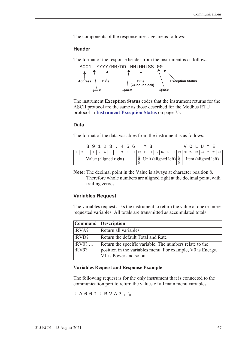The components of the response message are as follows:

#### **Header**

The format of the response header from the instrument is as follows:



<span id="page-76-0"></span>The instrument **Exception Status** codes that the instrument returns for the ASCII protocol are the same as those described for the Modbus RTU protocol in **[Instrument Exception Status](#page-84-0)** on page 75.

#### **Data**

The format of the data variables from the instrument is as follows:

|                                                                                                                                               |  |  |  |  |  |  | 89123.456                                                                                                                                 |  | M २ |  |  |  |  |  | V O L II M E |  |  |
|-----------------------------------------------------------------------------------------------------------------------------------------------|--|--|--|--|--|--|-------------------------------------------------------------------------------------------------------------------------------------------|--|-----|--|--|--|--|--|--------------|--|--|
|                                                                                                                                               |  |  |  |  |  |  |                                                                                                                                           |  |     |  |  |  |  |  |              |  |  |
| 2   3   4   5   6   7   8   9   10   11   12   13   14   15   16   17   18   19   20   22   23   24   25   26   27  <br>Value (aligned right) |  |  |  |  |  |  | $\begin{bmatrix} 8 \\ 8 \\ 6 \\ 6 \end{bmatrix}$ Unit (aligned left) $\begin{bmatrix} 8 \\ 8 \\ 6 \\ 6 \end{bmatrix}$ Item (aligned left) |  |     |  |  |  |  |  |              |  |  |

**Note:** The decimal point in the Value is always at character position 8. Therefore whole numbers are aligned right at the decimal point, with trailing zeroes.

### **Variables Request**

The variables request asks the instrument to return the value of one or more requested variables. All totals are transmitted as accumulated totals.

|                             | Command Description                                                                                                                             |
|-----------------------------|-------------------------------------------------------------------------------------------------------------------------------------------------|
| :RVA?                       | Return all variables                                                                                                                            |
| :RVD?                       | Return the default Total and Rate                                                                                                               |
| $\vert:RV0? \dots$<br>:RV9? | Return the specific variable. The numbers relate to the<br>position in the variables menu. For example, V0 is Energy,<br>V1 is Power and so on. |

#### **Variables Request and Response Example**

The following request is for the only instrument that is connected to the communication port to return the values of all main menu variables.

: A 0 0 1 : R V A ?  $L_F C_R$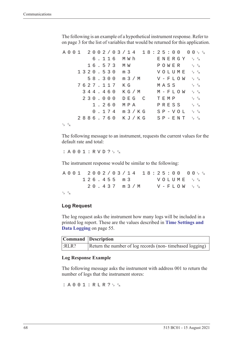The following is an example of a hypothetical instrument response. Refer to [on page 3](#page-12-0) for the list of variables that would be returned for this application.

|                 |  |  |  |  |          |  |              |  |       |  |                            |       |  | A 0 0 1 2 0 0 2 / 0 3 / 1 4 1 8 : 2 5 : 0 0 0 0 0 $\frac{1}{2}$ $\frac{6}{10}$ |                 |                 |  |
|-----------------|--|--|--|--|----------|--|--------------|--|-------|--|----------------------------|-------|--|--------------------------------------------------------------------------------|-----------------|-----------------|--|
|                 |  |  |  |  |          |  | 6.116 MWh    |  |       |  |                            |       |  | E N E R G Y                                                                    |                 |                 |  |
|                 |  |  |  |  |          |  | 16.573 MW    |  |       |  |                            | POWER |  |                                                                                | $L_{F}$ $C_{R}$ |                 |  |
|                 |  |  |  |  |          |  | 1320.530 m 3 |  |       |  |                            |       |  | VOLUME <sup>L</sup> <sub>R</sub> <sup>C</sup> R                                |                 |                 |  |
|                 |  |  |  |  |          |  |              |  |       |  | 58.300 m 3 / M V - F L O W |       |  |                                                                                | $L_{F}$ $C_{R}$ |                 |  |
|                 |  |  |  |  | 7627.117 |  | K G          |  |       |  |                            | MASS  |  |                                                                                |                 | $L_{F}$ $C_{R}$ |  |
|                 |  |  |  |  |          |  |              |  |       |  | 344.460 KG/M M-FLOW        |       |  |                                                                                | $L_F$ $C_R$     |                 |  |
|                 |  |  |  |  | 230.000  |  |              |  | DEG C |  | T E M P                    |       |  |                                                                                | $L_F$ $C_R$     |                 |  |
|                 |  |  |  |  | 1.260    |  | МРА          |  |       |  |                            | PRESS |  |                                                                                |                 | $L_{F}$ $C_{R}$ |  |
|                 |  |  |  |  |          |  |              |  |       |  | $0.174$ m $3/KG$ SP-VOL    |       |  |                                                                                | $L_F$ $C_R$     |                 |  |
|                 |  |  |  |  |          |  |              |  |       |  |                            |       |  | 2886.760 KJ/KG SP-ENT F <sup>c</sup> r                                         |                 |                 |  |
| $L_{F}$ $C_{R}$ |  |  |  |  |          |  |              |  |       |  |                            |       |  |                                                                                |                 |                 |  |

The following message to an instrument, requests the current values for the default rate and total:

: A 0 0 1 : R V D ?  $L_F$   $C_R$ 

The instrument response would be similar to the following:

A001 2002/03/14 18:25:00  $F$   $\circ$ <sub>R</sub> 126.455 m3 VOLUME <sup>L</sup>  $F$   $\circ$ <sub>R</sub> 20.437 m3/M V-FLOW <sup>L</sup> <sup>F</sup> <sup>C</sup> R L <sup>F</sup> <sup>C</sup> R

#### **Log Request**

The log request asks the instrument how many logs will be included in a printed log report. These are the values described in **[Time Settings and](#page-64-0)  [Data Logging](#page-64-0)** on page 55.

|      | Command Description                                      |
|------|----------------------------------------------------------|
| RLR? | Return the number of log records (non-timebased logging) |

#### **Log Response Example**

The following message asks the instrument with address 001 to return the number of logs that the instrument stores:

: A 0 0 1 : R L R ?  $L_F$   $C_R$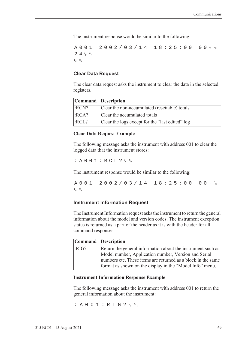The instrument response would be similar to the following:

A001 2002/03/14 18:25:00  $F$   $C_R$  $24r$ <sub>F</sub>  $c$ <sub>R</sub> L <sup>F</sup> <sup>C</sup> R

#### **Clear Data Request**

The clear data request asks the instrument to clear the data in the selected registers.

| Command Description |                                                 |
|---------------------|-------------------------------------------------|
| ERCN?               | Clear the non-accumulated (resettable) totals   |
| :RCA?               | Clear the accumulated totals                    |
| :RCL?               | Clear the logs except for the "last edited" log |

#### **Clear Data Request Example**

The following message asks the instrument with address 001 to clear the logged data that the instrument stores:

: A 0 0 1 : R C L ?  $L_F$   $c_R$ 

The instrument response would be similar to the following:

A001 2002/03/14 18:25:00  $F$   $C_R$ L <sup>F</sup> <sup>C</sup> R

#### <span id="page-78-0"></span>**Instrument Information Request**

The Instrument Information request asks the instrument to return the general information about the model and version codes. The instrument exception status is returned as a part of the header as it is with the header for all command responses.

| Command Description        |                                                              |
|----------------------------|--------------------------------------------------------------|
| $\mathsf{I}:\mathsf{RIG}?$ | Return the general information about the instrument such as  |
|                            | Model number, Application number, Version and Serial         |
|                            | numbers etc. These items are returned as a block in the same |
|                            | format as shown on the display in the "Model Info" menu.     |

#### **Instrument Information Response Example**

The following message asks the instrument with address 001 to return the general information about the instrument:

 $: A 0 0 1 : R I G ? L F c R$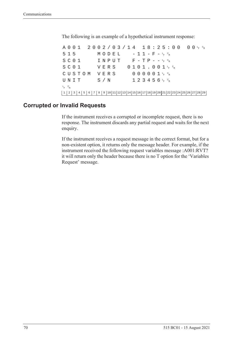The following is an example of a hypothetical instrument response:

A001 2002/03/14 18:25:00  $F$   $\circ$ <sub>R</sub>  $515$   $MODEL$   $-11-F F$   $R$  $S$  C O  $1$  I N P U T F - T P - - <sup>L</sup><sub>F</sub> <sup>C</sup>R  $S$  C O  $1$  V E R S O  $1$  O  $1$  J  $1$  , O  $0$   $1$   $1$   $1$   $6$   $8$ CUSTOM VERS 000001<sup>L</sup>F<sup>C</sup>R  $\texttt{UNIT}$  S/N 123456<sup>L</sup><sub>F</sub>  $\texttt{C}_{\texttt{R}}$ L <sup>F</sup> <sup>C</sup> R 1 2 3 4 5 6 7 8 9 10 11 12 13 14 15 16 17 18 19 20 21 22 23 24 25 26 27 28 29

# **Corrupted or Invalid Requests**

If the instrument receives a corrupted or incomplete request, there is no response. The instrument discards any partial request and waits for the next enquiry.

If the instrument receives a request message in the correct format, but for a non-existent option, it returns only the message header. For example, if the instrument received the following request variables message :A001:RVT? it will return only the header because there is no T option for the 'Variables Request' message.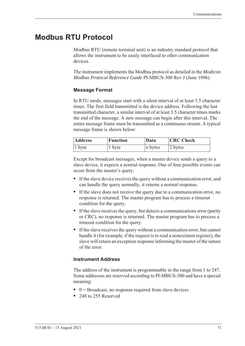# **Modbus RTU Protocol**

<span id="page-80-0"></span>Modbus RTU (remote terminal unit) is an industry standard protocol that allows the instrument to be easily interfaced to other communication devices.

The instrument implements the Modbus protocol as detailed in the *Modicon Modbus Protocol Reference Guide* PI-MBUS-300 Rev J (June 1996).

## **Message Format**

In RTU mode, messages start with a silent interval of at least 3.5 character times. The first field transmitted is the device address. Following the last transmitted character, a similar interval of at least 3.5 character times marks the end of the message. A new message can begin after this interval. The entire message frame must be transmitted as a continuous stream. A typical message frame is shown below:

| <b>Address</b> | <b>Function</b> | Data    | <b>CRC</b> Check |
|----------------|-----------------|---------|------------------|
| $ 1$ byte      | 1 byte          | n bytes | 2 bytes          |

Except for broadcast messages, when a master device sends a query to a slave device, it expects a normal response. One of four possible events can occur from the master's query:

- **•** If the slave device receives the query without a communication error, and can handle the query normally, it returns a normal response.
- **•** If the slave does not receive the query due to a communication error, no response is returned. The master program has to process a timeout condition for the query.
- **•** If the slave receives the query, but detects a communications error (parity or CRC), no response is returned. The master program has to process a timeout condition for the query.
- **•** If the slave receives the query without a communication error, but cannot handle it (for example, if the request is to read a nonexistent register), the slave will return an exception response informing the master of the nature of the error.

# **Instrument Address**

The address of the instrument is programmable in the range from 1 to 247. Some addresses are reserved according to PI-MBUS-300 and have a special meaning:

- 0 = Broadcast, no response required from slave devices
- **•** 248 to 255 Reserved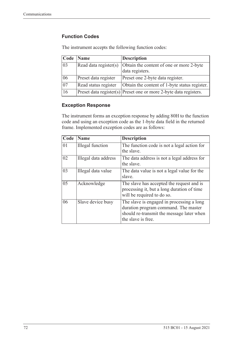# **Function Codes**

| Code            | <b>Name</b>           | <b>Description</b>                                                    |
|-----------------|-----------------------|-----------------------------------------------------------------------|
| 03              | Read data register(s) | Obtain the content of one or more 2-byte<br>data registers.           |
| 06              | Preset data register  | Preset one 2-byte data register.                                      |
| $\overline{07}$ | Read status register  | Obtain the content of 1-byte status register.                         |
| 16              |                       | $ $ Preset data register(s) Preset one or more 2-byte data registers. |

The instrument accepts the following function codes:

### **Exception Response**

The instrument forms an exception response by adding 80H to the function code and using an exception code as the 1-byte data field in the returned frame. Implemented exception codes are as follows:

| Code | <b>Name</b>             | <b>Description</b>                                                                                                                                   |
|------|-------------------------|------------------------------------------------------------------------------------------------------------------------------------------------------|
| 01   | <b>Illegal</b> function | The function code is not a legal action for<br>the slave.                                                                                            |
| 02   | Illegal data address    | The data address is not a legal address for<br>the slave.                                                                                            |
| 03   | Illegal data value      | The data value is not a legal value for the<br>slave.                                                                                                |
| 05   | Acknowledge             | The slave has accepted the request and is<br>processing it, but a long duration of time<br>will be required to do so.                                |
| 06   | Slave device busy       | The slave is engaged in processing a long<br>duration program command. The master<br>should re-transmit the message later when<br>the slave is free. |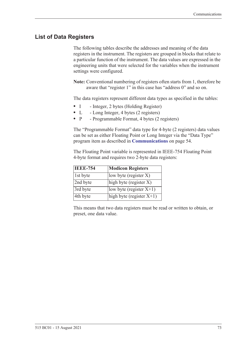# **List of Data Registers**

The following tables describe the addresses and meaning of the data registers in the instrument. The registers are grouped in blocks that relate to a particular function of the instrument. The data values are expressed in the engineering units that were selected for the variables when the instrument settings were configured.

**Note:** Conventional numbering of registers often starts from 1, therefore be aware that "register 1" in this case has "address 0" and so on.

The data registers represent different data types as specified in the tables:

- I Integer, 2 bytes (Holding Register)
- L Long Integer, 4 bytes (2 registers)
- P Programmable Format, 4 bytes (2 registers)

The "Programmable Format" data type for 4-byte (2 registers) data values can be set as either Floating Point or Long Integer via the "Data Type" program item as described in **[Communications](#page-63-0)** on page 54.

The Floating Point variable is represented in IEEE-754 Floating Point 4-byte format and requires two 2-byte data registers:

| <b>IEEE-754</b> | <b>Modicon Registers</b>                       |
|-----------------|------------------------------------------------|
| 1st byte        | low byte (register $X$ )                       |
| 2nd byte        | $\left  \text{high byte (register X)} \right $ |
| 3rd byte        | low byte (register $X+1$ )                     |
| 4th byte        | high byte (register $X+1$ )                    |

This means that two data registers must be read or written to obtain, or preset, one data value.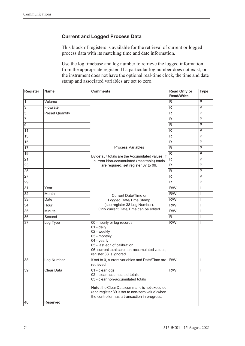# **Current and Logged Process Data**

This block of registers is available for the retrieval of current or logged process data with its matching time and date information.

Use the log timebase and log number to retrieve the logged information from the appropriate register. If a particular log number does not exist, or the instrument does not have the optional real-time clock, the time and date stamp and associated variables are set to zero.

| <b>Register</b>           | <b>Name</b>            | <b>Comments</b>                                                                                                                                                                                                                                               | <b>Read Only or</b><br><b>Read/Write</b> | <b>Type</b>    |
|---------------------------|------------------------|---------------------------------------------------------------------------------------------------------------------------------------------------------------------------------------------------------------------------------------------------------------|------------------------------------------|----------------|
| $\overline{1}$            | Volume                 |                                                                                                                                                                                                                                                               | R                                        | P              |
| $\ensuremath{\mathsf{3}}$ | Flowrate               |                                                                                                                                                                                                                                                               | $\mathsf{R}$                             | P              |
| $\mathbf 5$               | <b>Preset Quantity</b> |                                                                                                                                                                                                                                                               | R                                        | P              |
| $\overline{7}$            |                        |                                                                                                                                                                                                                                                               | R                                        | P              |
| $\overline{9}$            |                        |                                                                                                                                                                                                                                                               | $\mathsf{R}$                             | $\overline{P}$ |
| 11                        |                        |                                                                                                                                                                                                                                                               | R                                        | P              |
| 13                        |                        |                                                                                                                                                                                                                                                               | R                                        | P              |
| 15                        |                        |                                                                                                                                                                                                                                                               | $\mathsf{R}$                             | $\overline{P}$ |
| 17                        |                        | <b>Process Variables</b>                                                                                                                                                                                                                                      | R                                        | P              |
| 19                        |                        | By default totals are the Accumulated values. If                                                                                                                                                                                                              | $\mathsf R$                              | P              |
| $\overline{21}$           |                        | current Non-accumulated (resettable) totals                                                                                                                                                                                                                   | $\overline{\mathsf{R}}$                  | $\overline{P}$ |
| 23                        |                        | are required, set register 37 to 06.                                                                                                                                                                                                                          | R                                        | P              |
| 25                        |                        |                                                                                                                                                                                                                                                               | R                                        | P              |
| $\overline{27}$           |                        |                                                                                                                                                                                                                                                               | $\overline{\mathsf{R}}$                  | $\overline{P}$ |
| 29                        |                        |                                                                                                                                                                                                                                                               | R                                        | P              |
| 31                        | Year                   |                                                                                                                                                                                                                                                               | R/W                                      | I              |
| $\overline{32}$           | Month                  | Current Date/Time or                                                                                                                                                                                                                                          | R/W                                      | I              |
| 33                        | Date                   | Logged Date/Time Stamp                                                                                                                                                                                                                                        | R/W                                      | ı              |
| 34                        | Hour                   | (see register 38 Log Number).                                                                                                                                                                                                                                 | R/W                                      | I              |
| $\overline{35}$           | Minute                 | Only current Date/Time can be edited                                                                                                                                                                                                                          | R/W                                      | I              |
| 36                        | Second                 |                                                                                                                                                                                                                                                               | R                                        | ı              |
| $\overline{37}$           | Log Type               | 00 - hourly or log records<br>$01 - \text{daily}$<br>02 - weekly<br>03 - monthly<br>04 - yearly<br>05 - last edit of calibration<br>06-current totals are non-accumulated values,<br>register 38 is ignored.                                                  | R/W                                      | I              |
| 38                        | Log Number             | If set to 0, current variables and Date/Time are<br>retrieved                                                                                                                                                                                                 | R/W                                      | I              |
| 39                        | Clear Data             | $\overline{01}$ - clear logs<br>02 - clear accumulated totals<br>03 - clear non-accumulated totals<br><b>Note:</b> the Clear Data command is not executed<br>(and register 39 is set to non-zero value) when<br>the controller has a transaction in progress. | R/W                                      | I              |
| 40                        | Reserved               |                                                                                                                                                                                                                                                               |                                          |                |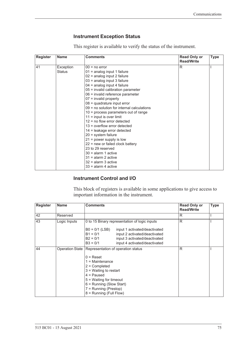# <span id="page-84-1"></span><span id="page-84-0"></span>**Instrument Exception Status**

This register is available to verify the status of the instrument.

| <b>Register</b><br><b>Name</b> |               | <b>Comments</b>                              | <b>Read Only or</b><br><b>Read/Write</b> | <b>Type</b> |
|--------------------------------|---------------|----------------------------------------------|------------------------------------------|-------------|
| 41                             | Exception     | $00 = no error$                              | R                                        |             |
|                                | <b>Status</b> | $01$ = analog input 1 failure                |                                          |             |
|                                |               | $02$ = analog input 2 failure                |                                          |             |
|                                |               | 03 = analog input 3 failure                  |                                          |             |
|                                |               | 04 = analog input 4 failure                  |                                          |             |
|                                |               | 05 = invalid calibration parameter           |                                          |             |
|                                |               | 06 = invalid reference parameter             |                                          |             |
|                                |               | $07$ = invalid property                      |                                          |             |
|                                |               | $08$ = quadrature input error                |                                          |             |
|                                |               | $09$ = no solution for internal calculations |                                          |             |
|                                |               | $10$ = process parameters out of range       |                                          |             |
|                                |               | $11 =$ input is over limit                   |                                          |             |
|                                |               | $12$ = no flow error detected                |                                          |             |
|                                |               | $13$ = overflow error detected               |                                          |             |
|                                |               | $14$ = leakage error detected                |                                          |             |
|                                |               | $20 =$ system failure                        |                                          |             |
|                                |               | $21$ = power supply is low                   |                                          |             |
|                                |               | $22$ = new or failed clock battery           |                                          |             |
|                                |               | 23 to 29 reserved                            |                                          |             |
|                                |               | $30 =$ alarm 1 active                        |                                          |             |
|                                |               | $31$ = alarm 2 active                        |                                          |             |
|                                |               | $32$ = alarm 3 active                        |                                          |             |
|                                |               | $33$ = alarm 4 active                        |                                          |             |

## **Instrument Control and I/O**

This block of registers is available in some applications to give access to important information in the instrument.

| <b>Register</b> | <b>Name</b>  | <b>Comments</b>                                      | <b>Read Only or</b><br><b>Read/Write</b> | Type |
|-----------------|--------------|------------------------------------------------------|------------------------------------------|------|
| 42              | Reserved     |                                                      | R                                        |      |
| 43              | Logic Inputs | 0 to 15 Binary representation of logic inputs        | R                                        |      |
|                 |              | $B0 = 0/1$ (LSB)<br>input 1 activated/deactivated    |                                          |      |
|                 |              | $B1 = 0/1$<br>input 2 activated/deactivated          |                                          |      |
|                 |              | $B2 = 0/1$<br>input 3 activated/deactivated          |                                          |      |
|                 |              | $B3 = 0/1$<br>input 4 activated/deactivated          |                                          |      |
| 44              |              | Operation State   Representation of operation status | R                                        |      |
|                 |              | $0 =$ Reset                                          |                                          |      |
|                 |              | 1 = Maintenance                                      |                                          |      |
|                 |              | $2 =$ Completed                                      |                                          |      |
|                 |              | $3$ = Waiting to restart                             |                                          |      |
|                 |              | $4 =$ Paused                                         |                                          |      |
|                 |              | $5 =$ Waiting for timeout                            |                                          |      |
|                 |              | $6$ = Running (Slow Start)                           |                                          |      |
|                 |              | 7 = Running (Prestop)                                |                                          |      |
|                 |              | $8 =$ Running (Full Flow)                            |                                          |      |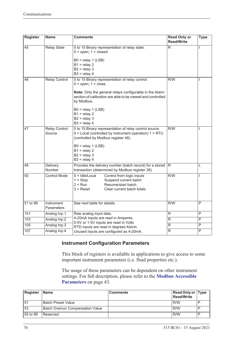| <b>Register</b> | <b>Name</b>                    | <b>Comments</b>                                                                                                                                                                                                                                                                                   | <b>Read Only or</b><br><b>Read/Write</b> | <b>Type</b>    |
|-----------------|--------------------------------|---------------------------------------------------------------------------------------------------------------------------------------------------------------------------------------------------------------------------------------------------------------------------------------------------|------------------------------------------|----------------|
| 45              | <b>Relay State</b>             | 0 to 15 Binary representation of relay state.<br>$0 =$ open; $1 =$ closed.<br>$B0 =$ relay 1 (LSB)<br>$B1$ = relay 2<br>$B2 =$ relay 3<br>$B3 =$ relay 4                                                                                                                                          | R                                        | T              |
| 46              | <b>Relay Control</b>           | 0 to 15 Binary representation of relay control.<br>$0 =$ open; $1 =$ close.<br>Note: Only the general relays configurable in the Alarm<br>section of calibration are able to be viewed and controlled<br>by Modbus.<br>$B0 =$ relay 1 (LSB)<br>$B1 =$ relay 2<br>$B2 =$ relay 3<br>$B3 =$ relay 4 | R/W                                      | T              |
| 47              | <b>Relay Control</b><br>Source | 0 to 15 Binary representation of relay control source.<br>0 = Local (controlled by instrument operation) 1 = RTU<br>(controlled by Modbus register 46).<br>$B0 =$ relay 1 (LSB)<br>$B1 =$ relay 2<br>$B2 =$ relay 3<br>$B3 =$ relay 4                                                             | R/W                                      | T              |
| 48              | Delivery<br>Number             | Provides the delivery number (batch record) for a stored<br>transaction (determined by Modbus register 38).                                                                                                                                                                                       | R                                        | L              |
| 50              | <b>Control Mode</b>            | $0 =$ Idle/Local<br>Control from logic inputs<br>$1 = Stop$<br>Suspend current batch<br>Resume/start batch<br>$2 = Run$<br>$3 =$ Reset<br>Clear current batch totals                                                                                                                              | R/W                                      | $\overline{1}$ |
| 51 to 99        | Instrument<br>Parameters       | See next table for details.                                                                                                                                                                                                                                                                       | R/W                                      | $\overline{P}$ |
| 101             | Analog Inp.1                   | Raw analog input data.                                                                                                                                                                                                                                                                            | R                                        | $\overline{P}$ |
| 103             | Analog Inp.2                   | 4-20mA inputs are read in Amperes.                                                                                                                                                                                                                                                                | R                                        | P              |
| 105             | Analog Inp.3                   | 0-5V or 1-5V inputs are read in Volts<br>RTD inputs are read in degrees Kelvin.                                                                                                                                                                                                                   | ${\sf R}$                                | $\overline{P}$ |
| 107             | Analog Inp.4                   | Unused inputs are configured as 4-20mA.                                                                                                                                                                                                                                                           | $\overline{\mathsf{R}}$                  | P              |

# **Instrument Configuration Parameters**

This block of registers is available in applications to give access to some important instrument parameters (i.e. fluid properties etc.).

The usage of these parameters can be dependent on other instrument settings. For full description, please refer to the **[Modbus Accessible](#page-52-0)  [Parameters](#page-52-0)** on page 43.

| Register   Name |                                  | <b>Comments</b> | Read Only or Type<br><b>Read/Write</b> |  |
|-----------------|----------------------------------|-----------------|----------------------------------------|--|
| 51              | Batch Preset Value               |                 | IR/W                                   |  |
| 53              | Batch Overrun Compensation Value |                 | IR/W                                   |  |
| 55 to 99        | l Reserved                       |                 | IR/W                                   |  |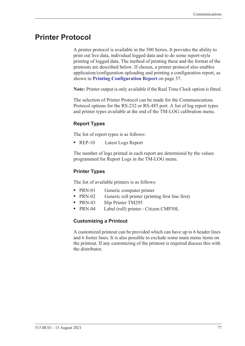# <span id="page-86-0"></span>**Printer Protocol**

<span id="page-86-2"></span>A printer protocol is available in the 500 Series. It provides the ability to print out live data, individual logged data and to do some report-style printing of logged data. The method of printing these and the format of the printouts are described below. If chosen, a printer protocol also enables application/configuration uploading and printing a configuration report, as shown in **[Printing Configuration Report](#page-46-0)** on page 37.

**Note:** Printer output is only available if the Real Time Clock option is fitted.

The selection of Printer Protocol can be made for the Communications Protocol options for the RS-232 or RS-485 port. A list of log report types and printer types available at the end of the TM-LOG calibration menu.

# <span id="page-86-3"></span>**Report Types**

The list of report types is as follows:

**•** REP-10 Latest Logs Report

The number of logs printed in each report are determined by the values programmed for Report Logs in the TM-LOG menu.

# <span id="page-86-4"></span>**Printer Types**

The list of available printers is as follows:

- PRN-01 Generic computer printer
- PRN-02 Generic roll printer (printing first line first)
- **•** PRN-03 Slip Printer TM295
- **•** PRN-04 Label (roll) printer Citizen CMP30L

# <span id="page-86-1"></span>**Customizing a Printout**

A customized printout can be provided which can have up to 6 header lines and 6 footer lines. It is also possible to exclude some main menu items on the printout. If any customizing of the printout is required discuss this with the distributor.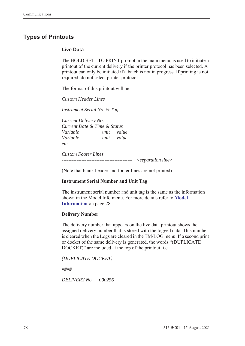# <span id="page-87-1"></span>**Types of Printouts**

#### <span id="page-87-0"></span>**Live Data**

The HOLD.SET - TO PRINT prompt in the main menu, is used to initiate a printout of the current delivery if the printer protocol has been selected. A printout can only be initiated if a batch is not in progress. If printing is not required, do not select printer protocol.

The format of this printout will be:

*Custom Header Lines*

*Instrument Serial No. & Tag*

*Current Delivery No. Current Date & Time & Status Variable unit value Variable unit value etc.*

*Custom Footer Lines ------------------------------------------- <separation line>*

(Note that blank header and footer lines are not printed).

#### **Instrument Serial Number and Unit Tag**

The instrument serial number and unit tag is the same as the information shown in the Model Info menu. For more details refer to **[Model](#page-37-0)  [Information](#page-37-0)** on page 28

#### **Delivery Number**

The delivery number that appears on the live data printout shows the assigned delivery number that is stored with the logged data. This number is cleared when the Logs are cleared in the TM/LOG menu. If a second print or docket of the same delivery is generated, the words "(DUPLICATE DOCKET)" are included at the top of the printout. i.e.

*(DUPLICATE DOCKET)*

*####*

*DELIVERY No. 000256*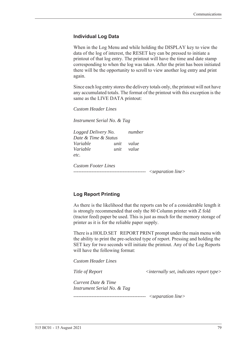## <span id="page-88-0"></span>**Individual Log Data**

When in the Log Menu and while holding the DISPLAY key to view the data of the log of interest, the RESET key can be pressed to initiate a printout of that log entry. The printout will have the time and date stamp corresponding to when the log was taken. After the print has been initiated there will be the opportunity to scroll to view another log entry and print again.

Since each log entry stores the delivery totals only, the printout will not have any accumulated totals. The format of the printout with this exception is the same as the LIVE DATA printout:

*Custom Header Lines*

*Instrument Serial No. & Tag*

| Logged Delivery No.        |      | number     |  |  |
|----------------------------|------|------------|--|--|
| Date & Time & Status       |      |            |  |  |
| Variable                   | unit | value      |  |  |
| Variable                   |      | unit value |  |  |
| etc.                       |      |            |  |  |
| <b>Custom Footer Lines</b> |      |            |  |  |

*-------------------------------------------- <separation line>*

# <span id="page-88-1"></span>**Log Report Printing**

As there is the likelihood that the reports can be of a considerable length it is strongly recommended that only the 80 Column printer with Z fold (tractor feed) paper be used. This is just as much for the memory storage of printer as it is for the reliable paper supply.

There is a HOLD.SET REPORT PRINT prompt under the main menu with the ability to print the pre-selected type of report. Pressing and holding the SET key for two seconds will initiate the printout. Any of the Log Reports will have the following format:

*Custom Header Lines*

*Title of Report*  $\langle$  *internally set, indicates report type>* 

*Current Date & Time Instrument Serial No. & Tag*

*-------------------------------------------- <separation line>*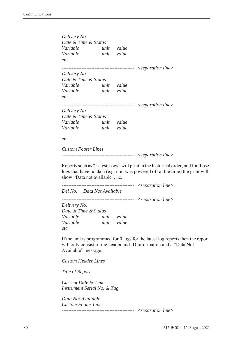*Delivery No. Date & Time & Status Variable unit value Variable unit value etc. -------------------------------------------- <separation line> Delivery No. Date & Time & Status Variable unit value Variable unit value etc. -------------------------------------------- <separation line> Delivery No. Date & Time & Status Variable unit value Variable unit value*

*etc.*

*Custom Footer Lines -------------------------------------------- <separation line>*

Reports such as "Latest Logs" will print in the historical order, and for those logs that have no data (e.g. unit was powered off at the time) the print will show "Data not available", i.e.

*-------------------------------------------- <separation line> Del No. Data Not Available -------------------------------------------- <separation line> Delivery No. Date & Time & Status Variable unit value Variable unit value etc.*

If the unit is programmed for 0 logs for the latest log reports then the report will only consist of the header and ID information and a "Data Not Available" message.

*Custom Header Lines*

*Title of Report*

*Current Date & Time Instrument Serial No. & Tag*

*Data Not Available Custom Footer Lines -------------------------------------------- <separation line>*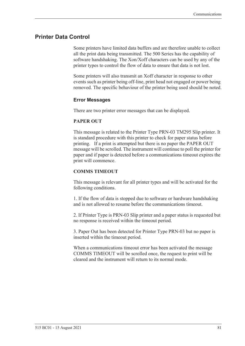# <span id="page-90-0"></span>**Printer Data Control**

Some printers have limited data buffers and are therefore unable to collect all the print data being transmitted. The 500 Series has the capability of software handshaking. The Xon/Xoff characters can be used by any of the printer types to control the flow of data to ensure that data is not lost.

Some printers will also transmit an Xoff character in response to other events such as printer being off-line, print head not engaged or power being removed. The specific behaviour of the printer being used should be noted.

#### <span id="page-90-1"></span>**Error Messages**

There are two printer error messages that can be displayed.

#### **PAPER OUT**

This message is related to the Printer Type PRN-03 TM295 Slip printer. It is standard procedure with this printer to check for paper status before printing. If a print is attempted but there is no paper the PAPER OUT message will be scrolled. The instrument will continue to poll the printer for paper and if paper is detected before a communications timeout expires the print will commence.

#### **COMMS TIMEOUT**

This message is relevant for all printer types and will be activated for the following conditions.

1. If the flow of data is stopped due to software or hardware handshaking and is not allowed to resume before the communications timeout.

2. If Printer Type is PRN-03 Slip printer and a paper status is requested but no response is received within the timeout period.

3. Paper Out has been detected for Printer Type PRN-03 but no paper is inserted within the timeout period.

When a communications timeout error has been activated the message COMMS TIMEOUT will be scrolled once, the request to print will be cleared and the instrument will return to its normal mode.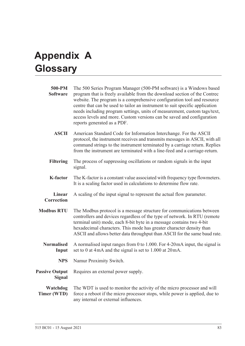# <span id="page-92-1"></span>**Appendix A Glossary**

<span id="page-92-0"></span>

| 500-PM<br><b>Software</b>              | The 500 Series Program Manager (500-PM software) is a Windows based<br>program that is freely available from the download section of the Contrec<br>website. The program is a comprehensive configuration tool and resource<br>centre that can be used to tailor an instrument to suit specific application<br>needs including program settings, units of measurement, custom tags/text,<br>access levels and more. Custom versions can be saved and configuration<br>reports generated as a PDF. |
|----------------------------------------|---------------------------------------------------------------------------------------------------------------------------------------------------------------------------------------------------------------------------------------------------------------------------------------------------------------------------------------------------------------------------------------------------------------------------------------------------------------------------------------------------|
| <b>ASCII</b>                           | American Standard Code for Information Interchange. For the ASCII<br>protocol, the instrument receives and transmits messages in ASCII, with all<br>command strings to the instrument terminated by a carriage return. Replies<br>from the instrument are terminated with a line-feed and a carriage-return.                                                                                                                                                                                      |
| <b>Filtering</b>                       | The process of suppressing oscillations or random signals in the input<br>signal.                                                                                                                                                                                                                                                                                                                                                                                                                 |
| <b>K-factor</b>                        | The K-factor is a constant value associated with frequency type flowmeters.<br>It is a scaling factor used in calculations to determine flow rate.                                                                                                                                                                                                                                                                                                                                                |
| <b>Linear</b><br>Correction            | A scaling of the input signal to represent the actual flow parameter.                                                                                                                                                                                                                                                                                                                                                                                                                             |
| <b>Modbus RTU</b>                      | The Modbus protocol is a message structure for communications between<br>controllers and devices regardless of the type of network. In RTU (remote<br>terminal unit) mode, each 8-bit byte in a message contains two 4-bit<br>hexadecimal characters. This mode has greater character density than<br>ASCII and allows better data throughput than ASCII for the same baud rate.                                                                                                                  |
| <b>Normalised</b><br>Input             | A normalised input ranges from 0 to 1.000. For 4-20 mA input, the signal is<br>set to 0 at 4mA and the signal is set to 1.000 at 20mA.                                                                                                                                                                                                                                                                                                                                                            |
| <b>NPS</b>                             | Namur Proximity Switch.                                                                                                                                                                                                                                                                                                                                                                                                                                                                           |
| <b>Passive Output</b><br><b>Signal</b> | Requires an external power supply.                                                                                                                                                                                                                                                                                                                                                                                                                                                                |
| Watchdog<br>Timer (WTD)                | The WDT is used to monitor the activity of the micro processor and will<br>force a reboot if the micro processor stops, while power is applied, due to<br>any internal or external influences.                                                                                                                                                                                                                                                                                                    |
|                                        |                                                                                                                                                                                                                                                                                                                                                                                                                                                                                                   |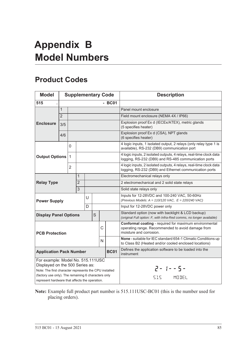# <span id="page-94-1"></span>**Appendix B Model Numbers**

# <span id="page-94-0"></span>**Product Codes**

| <b>Model</b>                                                                                                                                                                                                                            |                |                |                |   |                                                                                                                                        |   | <b>Supplementary Code</b>                    | <b>Description</b>                                                                                                           |
|-----------------------------------------------------------------------------------------------------------------------------------------------------------------------------------------------------------------------------------------|----------------|----------------|----------------|---|----------------------------------------------------------------------------------------------------------------------------------------|---|----------------------------------------------|------------------------------------------------------------------------------------------------------------------------------|
| 515                                                                                                                                                                                                                                     |                |                |                |   |                                                                                                                                        |   | - BC01                                       |                                                                                                                              |
|                                                                                                                                                                                                                                         | $\mathbf{1}$   |                |                |   |                                                                                                                                        |   |                                              | Panel mount enclosure                                                                                                        |
|                                                                                                                                                                                                                                         | $\overline{2}$ |                |                |   |                                                                                                                                        |   |                                              | Field mount enclosure (NEMA 4X / IP66)                                                                                       |
| <b>Enclosure</b>                                                                                                                                                                                                                        | 3/5            |                |                |   |                                                                                                                                        |   |                                              | Explosion proof Ex d (IECEx/ATEX), metric glands<br>(5 specifies heater)                                                     |
|                                                                                                                                                                                                                                         | 4/6            |                |                |   |                                                                                                                                        |   |                                              | Explosion proof Ex d (CSA), NPT glands<br>(6 specifies heater)                                                               |
|                                                                                                                                                                                                                                         |                | 0              |                |   |                                                                                                                                        |   |                                              | 4 logic inputs, 1 isolated output, 2 relays (only relay type 1 is<br>available), RS-232 (DB9) communication port             |
| <b>Output Options</b>                                                                                                                                                                                                                   |                | $\mathbf{1}$   |                |   |                                                                                                                                        |   |                                              | 4 logic inputs, 2 isolated outputs, 4 relays, real-time clock data<br>logging, RS-232 (DB9) and RS-485 communication ports   |
|                                                                                                                                                                                                                                         |                | $\overline{2}$ |                |   |                                                                                                                                        |   |                                              | 4 logic inputs, 2 isolated outputs, 4 relays, real-time clock data<br>logging, RS-232 (DB9) and Ethernet communication ports |
|                                                                                                                                                                                                                                         |                |                | $\mathbf{1}$   |   |                                                                                                                                        |   |                                              | Electromechanical relays only                                                                                                |
| <b>Relay Type</b>                                                                                                                                                                                                                       | $\overline{2}$ |                |                |   |                                                                                                                                        |   | 2 electromechanical and 2 solid state relays |                                                                                                                              |
|                                                                                                                                                                                                                                         |                |                | $\overline{3}$ |   |                                                                                                                                        |   |                                              | Solid state relays only                                                                                                      |
| <b>Power Supply</b>                                                                                                                                                                                                                     |                |                |                | U |                                                                                                                                        |   |                                              | Inputs for 12-28VDC and 100-240 VAC, 50-60Hz<br>(Previous Models: $A = 110/120$ VAC, $E = 220/240$ VAC)                      |
|                                                                                                                                                                                                                                         |                |                |                | D |                                                                                                                                        |   |                                              | Input for 12-28VDC power only                                                                                                |
| <b>Display Panel Options</b>                                                                                                                                                                                                            |                |                |                |   | S                                                                                                                                      |   |                                              | Standard option (now with backlight & LCD backup)<br>(original Full option: F, with Infra-Red comms, no longer available)    |
| C<br><b>PCB Protection</b>                                                                                                                                                                                                              |                |                |                |   | Conformal coating - required for maximum environmental<br>operating range. Recommended to avoid damage from<br>moisture and corrosion. |   |                                              |                                                                                                                              |
|                                                                                                                                                                                                                                         |                |                |                |   |                                                                                                                                        | N |                                              | None - suitable for IEC standard 654-1 Climatic Conditions up<br>to Class B2 (Heated and/or cooled enclosed locations)       |
| <b>BC01</b><br><b>Application Pack Number</b>                                                                                                                                                                                           |                |                |                |   | Defines the application software to be loaded into the<br>instrument                                                                   |   |                                              |                                                                                                                              |
| For example: Model No. 515.111USC<br>Displayed on the 500 Series as:<br>Note: The first character represents the CPU installed<br>(factory use only). The remaining 6 characters only<br>represent hardware that affects the operation. |                |                |                |   |                                                                                                                                        |   |                                              | $2 - 1 - - 5 -$<br>515<br>MODEL                                                                                              |

**Note:** Example full product part number is 515.111USC-BC01 (this is the number used for placing orders).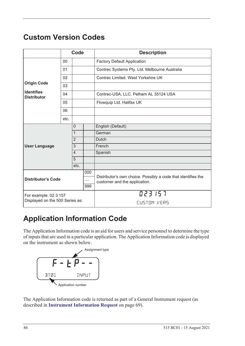# <span id="page-95-1"></span>**Custom Version Codes**

|                                              |      | Code                                                                                           | <b>Description</b>                            |
|----------------------------------------------|------|------------------------------------------------------------------------------------------------|-----------------------------------------------|
|                                              | 00   |                                                                                                | <b>Factory Default Application</b>            |
|                                              | 01   |                                                                                                | Contrec Systems Pty. Ltd. Melbourne Australia |
|                                              | 02   |                                                                                                | Contrec Limited. West Yorkshire UK            |
| <b>Origin Code</b>                           | 03   |                                                                                                |                                               |
| <b>Identifies</b><br><b>Distributor</b>      | 04   |                                                                                                | Contrec-USA, LLC. Pelham AL 35124 USA         |
|                                              | 05   |                                                                                                | Flowquip Ltd. Halifax UK                      |
|                                              | 06   |                                                                                                |                                               |
|                                              | etc. |                                                                                                |                                               |
|                                              |      | 0                                                                                              | English (Default)                             |
|                                              |      | $\mathbf{1}$                                                                                   | German                                        |
|                                              |      | $\overline{2}$                                                                                 | Dutch                                         |
| <b>User Language</b>                         |      | 3                                                                                              | French                                        |
|                                              |      | $\overline{4}$                                                                                 | Spanish                                       |
|                                              |      | $\overline{5}$                                                                                 |                                               |
|                                              |      | etc.                                                                                           |                                               |
| 000<br><b>Distributor's Code</b><br>$\ldots$ |      |                                                                                                |                                               |
|                                              |      | Distributor's own choice. Possibly a code that identifies the<br>customer and the application. |                                               |
| 999                                          |      |                                                                                                |                                               |
| For example: 02 3 157                        |      |                                                                                                | 023157                                        |
| Displayed on the 500 Series as:              |      |                                                                                                | <b>CUSTOM VERS</b>                            |

# **Application Information Code**

The Application Information code is an aid for users and service personnel to determine the type of inputs that are used in a particular application. The Application Information code is displayed on the instrument as shown below.

<span id="page-95-0"></span>

The Application Information code is returned as part of a General Instrument request (as described in **[Instrument Information Request](#page-78-0)** on page 69).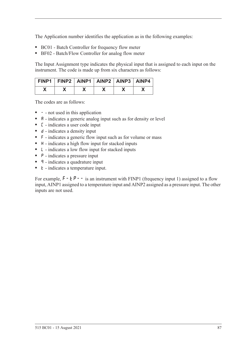The Application number identifies the application as in the following examples:

- **•** BC01 Batch Controller for frequency flow meter
- **•** BF02 Batch/Flow Controller for analog flow meter

The Input Assignment type indicates the physical input that is assigned to each input on the instrument. The code is made up from six characters as follows:

| FINP1   FINP2   AINP1   AINP2   AINP3   AINP4 |  |  |  |
|-----------------------------------------------|--|--|--|
|                                               |  |  |  |

The codes are as follows:

- - not used in this application
- **A** indicates a generic analog input such as for density or level
- **•** C indicates a user code input
- d indicates a density input
- **•** F indicates a generic flow input such as for volume or mass
- H indicates a high flow input for stacked inputs
- **•** L indicates a low flow input for stacked inputs
- **•** P indicates a pressure input
- **q** indicates a quadrature input
- *k* indicates a temperature input.

For example,  $F - tP - -$  is an instrument with FINP1 (frequency input 1) assigned to a flow input, AINP1 assigned to a temperature input and AINP2 assigned as a pressure input. The other inputs are not used.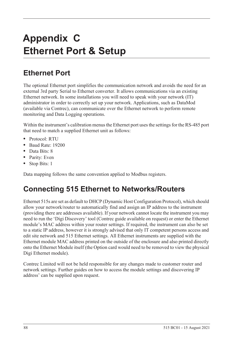# <span id="page-97-0"></span>**Appendix C Ethernet Port & Setup**

# **Ethernet Port**

The optional Ethernet port simplifies the communication network and avoids the need for an external 3rd party Serial to Ethernet converter. It allows communications via an existing Ethernet network. In some installations you will need to speak with your network (IT) administrator in order to correctly set up your network. Applications, such as DataMod (available via Contrec), can communicate over the Ethernet network to perform remote monitoring and Data Logging operations.

Within the instrument's calibration menus the Ethernet port uses the settings for the RS-485 port that need to match a supplied Ethernet unit as follows:

- **•** Protocol: RTU
- **•** Baud Rate: 19200
- **•** Data Bits: 8
- **•** Parity: Even
- **•** Stop Bits: 1

Data mapping follows the same convention applied to Modbus registers.

# **Connecting 515 Ethernet to Networks/Routers**

Ethernet 515s are set as default to DHCP (Dynamic Host Configuration Protocol), which should allow your network/router to automatically find and assign an IP address to the instrument (providing there are addresses available). If your network cannot locate the instrument you may need to run the 'Digi Discovery' tool (Contrec guide available on request) or enter the Ethernet module's MAC address within your router settings. If required, the instrument can also be set to a static IP address, however it is strongly advised that only IT competent persons access and edit site network and 515 Ethernet settings. All Ethernet instruments are supplied with the Ethernet module MAC address printed on the outside of the enclosure and also printed directly onto the Ethernet Module itself (the Option card would need to be removed to view the physical Digi Ethernet module).

Contrec Limited will not be held responsible for any changes made to customer router and network settings. Further guides on how to access the module settings and discovering IP address' can be supplied upon request.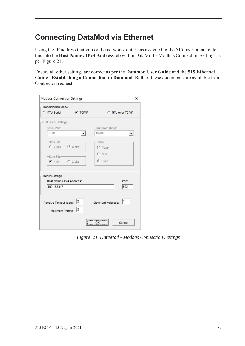# **Connecting DataMod via Ethernet**

Using the IP address that you or the network/router has assigned to the 515 instrument, enter this into the **Host Name / IPv4 Address** tab within DataMod's Modbus Connection Settings as per [Figure 21.](#page-98-0)

Ensure all other settings are correct as per the **Datamod User Guide** and the **515 Ethernet Guide - Establishing a Connection to Datamod**. Both of these documents are available from Contrec on request.

| Transmission Mode-                                            |                      |                     |                      |
|---------------------------------------------------------------|----------------------|---------------------|----------------------|
| C RTU Serial                                                  | <b>C</b> TCP/IP      | C RTU over TCP/IP   |                      |
| -RTU Serial Settings-                                         |                      |                     |                      |
| Serial Port:                                                  |                      | Baud Rate (bps):    |                      |
| COM1                                                          |                      | 19200               | $\blacktriangledown$ |
| -Data Bits-                                                   |                      | -Parity-            |                      |
| C 7 bits C 8 bits                                             |                      | C None              |                      |
|                                                               |                      | $C$ Odd             |                      |
| -Stop Bits-                                                   |                      |                     |                      |
| $C$ 1 bit $C$ 2 bits                                          |                      | $G$ Even            |                      |
|                                                               |                      |                     |                      |
| TCP/IP Settings                                               |                      |                     |                      |
| Host Name / IPv4 Address:                                     |                      |                     | Port:                |
| 192.168.0.7                                                   |                      |                     | 502                  |
|                                                               |                      |                     |                      |
|                                                               |                      | Slave Unit Address: | 11                   |
| Receive Timeout (sec): $\begin{vmatrix} 2 \\ 1 \end{vmatrix}$ |                      |                     |                      |
| Maximum Retries:                                              | $\vert$ <sub>2</sub> |                     |                      |
|                                                               |                      |                     |                      |
|                                                               |                      | <br>$\frac{QK}{2}$  | Cancel               |

<span id="page-98-0"></span>*Figure 21 DataMod - Modbus Connection Settings*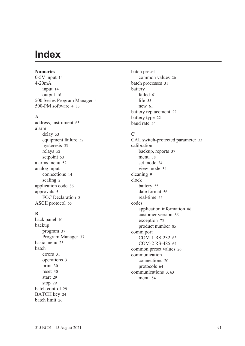# **Index**

# **Numerics**

0-5V inpu[t 14](#page-23-0) 4-20mA input [14](#page-23-1) output [16](#page-25-0) 500 Series Program Manage[r 4](#page-13-0) 500-PM software [4,](#page-13-0) [83](#page-92-0)

# **A**

address, instrumen[t 65](#page-74-0) alarm dela[y 53](#page-62-0) equipment failur[e 52](#page-61-0) hysteresi[s 53](#page-62-1) relays [52](#page-61-1) setpoin[t 53](#page-62-2) alarms menu [52](#page-61-2) analog input connection[s 14](#page-23-2) scalin[g 2](#page-11-0) application cod[e 86](#page-95-0) approvals [5](#page-14-0) FCC Declaration [5](#page-14-1) ASCII protoco[l 65](#page-74-1)

# **B**

back panel [10](#page-19-0) backup program [37](#page-46-1) Program Manage[r 37](#page-46-2) basic men[u 25](#page-34-0) batch error[s 31](#page-40-0) operation[s 31](#page-40-1) print [30](#page-39-0) reset [30](#page-39-1) start [29](#page-38-0) sto[p 29](#page-38-1) batch contro[l 29](#page-38-2) BATCH ke[y 24](#page-33-0) batch limit [26](#page-35-0)

batch preset common values [26](#page-35-1) batch processes [31](#page-40-1) battery faile[d 61](#page-70-0) life [55](#page-64-1) new [61](#page-70-0) battery replacement [22](#page-31-0) battery type [22](#page-31-1) baud rat[e 54](#page-63-1)

# $\Gamma$

CAL switch-protected parameter [33](#page-42-0) calibration backup, reports [37](#page-46-1) menu [38](#page-47-0) set mode [34](#page-43-0) view mode [34](#page-43-1) cleaning [9](#page-18-0) clock batter[y 55](#page-64-1) date format [56](#page-65-0) real-tim[e 55](#page-64-2) codes application information [86](#page-95-0) customer versio[n 86](#page-95-1) exception [75](#page-84-1) product numbe[r 85](#page-94-0) comm port COM-1 RS-232 [63](#page-72-1) COM-2 RS-485 [64](#page-73-1) common preset value[s 26](#page-35-1) communication connection[s 20](#page-29-0) protocols [64](#page-73-2) communication[s 3,](#page-12-1) [63](#page-72-2) menu [54](#page-63-2)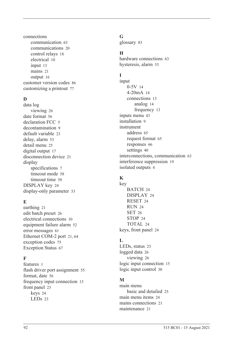connections communicatio[n 63](#page-72-3) communication[s 20](#page-29-0) control relay[s 18](#page-27-0) electrical [10](#page-19-1) inpu[t 13](#page-22-0) main[s 21](#page-30-0) outpu[t 16](#page-25-1) customer version code[s 86](#page-95-1) customizing a printout [77](#page-86-1)

## **D**

data log viewin[g 26](#page-35-2) date format [56](#page-65-0) declaration FCC [5](#page-14-1) decontamination [9](#page-18-0) default variable [23](#page-32-0) delay, alar[m 53](#page-62-0) detail men[u 25](#page-34-0) digital outpu[t 17](#page-26-0) disconnection device [21](#page-30-1) display specifications [7](#page-16-0) timeout mod[e 58](#page-67-0) timeout time [58](#page-67-1) DISPLAY key [24](#page-33-1) display-only parameter [33](#page-42-1)

# **E**

earthin[g 21](#page-30-2) edit batch prese[t 26](#page-35-3) electrical connections [10](#page-19-1) equipment failure alarm [52](#page-61-0) error message[s 61](#page-70-1) Ethernet COM-2 por[t 21,](#page-30-3) [64](#page-73-3) exception codes [75](#page-84-1) Exception Status [67](#page-76-0)

### **F**

features [1](#page-10-0) flash driver port assignmen[t 55](#page-64-3) format, date [56](#page-65-0) frequency input connection [13](#page-22-1) front pane[l 23](#page-32-1) keys [24](#page-33-2) LEDs [23](#page-32-2)

#### **G**

glossary [83](#page-92-1)

#### **H**

hardware connections [63](#page-72-3) hysteresis, alar[m 53](#page-62-1)

#### **I**

input 0-5[V 14](#page-23-0) 4-20mA [14](#page-23-1) connections [13](#page-22-0) analog [14](#page-23-2) frequency [13](#page-22-1) inputs menu [43](#page-52-1) installation [9](#page-18-1) instrument address [65](#page-74-0) request forma[t 65](#page-74-2) response[s 66](#page-75-0) setting[s 40](#page-49-0) interconnections, communication [63](#page-72-3) interference suppression [19](#page-28-0) isolated output[s 4](#page-13-1)

### **K**

key BATC[H 24](#page-33-0) DISPLA[Y 24](#page-33-1) RESE[T 24](#page-33-3) RUN [24](#page-33-4) SET [26](#page-35-4) STOP [24](#page-33-5) TOTAL [24](#page-33-6) keys, front panel [24](#page-33-2)

### **L**

LEDs, status [23](#page-32-2) logged dat[a 26](#page-35-2) viewin[g 26](#page-35-5) logic input connection [15](#page-24-0) logic input contro[l 30](#page-39-2)

### **M**

main menu basic and detailed [25](#page-34-0) main menu item[s 24](#page-33-7) mains connections [21](#page-30-0) maintenanc[e 21](#page-30-4)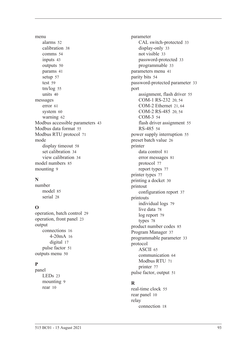menu alarm[s 52](#page-61-2) calibratio[n 38](#page-47-0) comms [54](#page-63-2) input[s 43](#page-52-1) output[s 50](#page-59-0) params [41](#page-50-0) setu[p 57](#page-66-0) test [59](#page-68-0) tm/lo[g 55](#page-64-4) unit[s 40](#page-49-1) messages erro[r 61](#page-70-1) syste[m 60](#page-69-0) warnin[g 62](#page-71-0) Modbus accessible parameters [43](#page-52-0) Modbus data forma[t 55](#page-64-5) Modbus RTU protoco[l 71](#page-80-0) mode display timeou[t 58](#page-67-0) set calibration [34](#page-43-0) view calibration [34](#page-43-1) model number[s 85](#page-94-1) mountin[g 9](#page-18-2)

# **N**

number mode[l 85](#page-94-1) seria[l 28](#page-37-1)

# **O**

operation, batch contro[l 29](#page-38-2) operation, front panel [23](#page-32-1) output connection[s 16](#page-25-1) 4-20m[A 16](#page-25-0) digital [17](#page-26-0) pulse facto[r 51](#page-60-0) outputs men[u 50](#page-59-0)

# **P**

panel LED[s 23](#page-32-2) mountin[g 9](#page-18-2) rear [10](#page-19-0)

parameter CAL switch-protected [33](#page-42-0) display-only [33](#page-42-1) not visibl[e 33](#page-42-2) password-protected [33](#page-42-3) programmable [33](#page-42-4) parameters men[u 41](#page-50-0) parity bit[s 54](#page-63-3) password-protected parameter [33](#page-42-3) port assignment, flash driver [55](#page-64-3) COM-1 RS-232 [20,](#page-29-1) [54](#page-63-4) COM-2 Ethernet [21,](#page-30-3) [64](#page-73-3) COM-2 RS-485 [20,](#page-29-2) [54](#page-63-5) COM-[3 54](#page-63-6) flash driver assignment [55](#page-64-3) RS-485 [54](#page-63-7) power supply interruption [55](#page-64-1) preset batch value [26](#page-35-3) printer data control [81](#page-90-0) error messages [81](#page-90-1) protocol [77](#page-86-2) report types [77](#page-86-3) printer type[s 77](#page-86-4) printing a docke[t 30](#page-39-0) printout configuration repor[t 37](#page-46-0) printouts individual logs [79](#page-88-0) live data [78](#page-87-0) log report [79](#page-88-1) type[s 78](#page-87-1) product number codes [85](#page-94-0) Program Manager [37](#page-46-2) programmable parameter [33](#page-42-4) protocol ASCI[I 65](#page-74-1) communication [64](#page-73-2) Modbus RT[U 71](#page-80-0) printer [77](#page-86-2) pulse factor, output [51](#page-60-0)

# **R**

real-time cloc[k 55](#page-64-2) rear panel [10](#page-19-0) relay connection [18](#page-27-0)